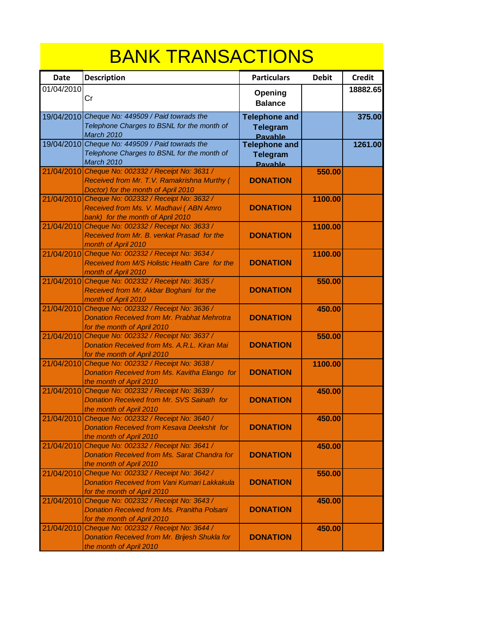## BANK TRANSACTIONS

| <b>Date</b> | <b>Description</b>                                                                                                                      | <b>Particulars</b>                                        | <b>Debit</b> | <b>Credit</b> |
|-------------|-----------------------------------------------------------------------------------------------------------------------------------------|-----------------------------------------------------------|--------------|---------------|
| 01/04/2010  | Cr                                                                                                                                      | Opening<br><b>Balance</b>                                 |              | 18882.65      |
|             | 19/04/2010 Cheque No: 449509 / Paid towrads the<br>Telephone Charges to BSNL for the month of<br><b>March 2010</b>                      | <b>Telephone and</b><br><b>Telegram</b><br><b>Pavable</b> |              | 375.00        |
|             | 19/04/2010 Cheque No: 449509 / Paid towrads the<br>Telephone Charges to BSNL for the month of<br>March 2010                             | <b>Telephone and</b><br><b>Telegram</b><br><b>Pavable</b> |              | 1261.00       |
|             | 21/04/2010 Cheque No: 002332 / Receipt No: 3631 /<br>Received from Mr. T.V. Ramakrishna Murthy (<br>Doctor) for the month of April 2010 | <b>DONATION</b>                                           | 550.00       |               |
| 21/04/2010  | Cheque No: 002332 / Receipt No: 3632 /<br>Received from Ms. V. Madhavi (ABN Amro<br>bank) for the month of April 2010                   | <b>DONATION</b>                                           | 1100.00      |               |
| 21/04/2010  | Cheque No: 002332 / Receipt No: 3633 /<br>Received from Mr. B. venkat Prasad for the<br>month of April 2010                             | <b>DONATION</b>                                           | 1100.00      |               |
|             | 21/04/2010 Cheque No: 002332 / Receipt No: 3634 /<br>Received from M/S Holistic Health Care for the<br>month of April 2010              | <b>DONATION</b>                                           | 1100.00      |               |
|             | 21/04/2010 Cheque No: 002332 / Receipt No: 3635 /<br>Received from Mr. Akbar Boghani for the<br>month of April 2010                     | <b>DONATION</b>                                           | 550.00       |               |
| 21/04/2010  | Cheque No: 002332 / Receipt No: 3636 /<br><b>Donation Received from Mr. Prabhat Mehrotra</b><br>for the month of April 2010             | <b>DONATION</b>                                           | 450.00       |               |
| 21/04/2010  | Cheque No: 002332 / Receipt No: 3637 /<br>Donation Received from Ms. A.R.L. Kiran Mai<br>for the month of April 2010                    | <b>DONATION</b>                                           | 550.00       |               |
| 21/04/2010  | Cheque No: 002332 / Receipt No: 3638 /<br>Donation Received from Ms. Kavitha Elango for<br>the month of April 2010                      | <b>DONATION</b>                                           | 1100.00      |               |
| 21/04/2010  | Cheque No: 002332 / Receipt No: 3639 /<br>Donation Received from Mr. SVS Sainath for<br>the month of April 2010                         | <b>DONATION</b>                                           | 450.00       |               |
|             | 21/04/2010 Cheque No: 002332 / Receipt No: 3640 /<br>Donation Received from Kesava Deekshit for<br>the month of April 2010              | <b>DONATION</b>                                           | 450.00       |               |
|             | 21/04/2010 Cheque No: 002332 / Receipt No: 3641 /<br><b>Donation Received from Ms. Sarat Chandra for</b><br>the month of April 2010     | <b>DONATION</b>                                           | 450.00       |               |
| 21/04/2010  | Cheque No: 002332 / Receipt No: 3642 /<br>Donation Received from Vani Kumari Lakkakula<br>for the month of April 2010                   | <b>DONATION</b>                                           | 550.00       |               |
| 21/04/2010  | Cheque No: 002332 / Receipt No: 3643 /<br>Donation Received from Ms. Pranitha Polsani<br>for the month of April 2010                    | <b>DONATION</b>                                           | 450.00       |               |
| 21/04/2010  | Cheque No: 002332 / Receipt No: 3644 /<br>Donation Received from Mr. Brijesh Shukla for<br>the month of April 2010                      | <b>DONATION</b>                                           | 450.00       |               |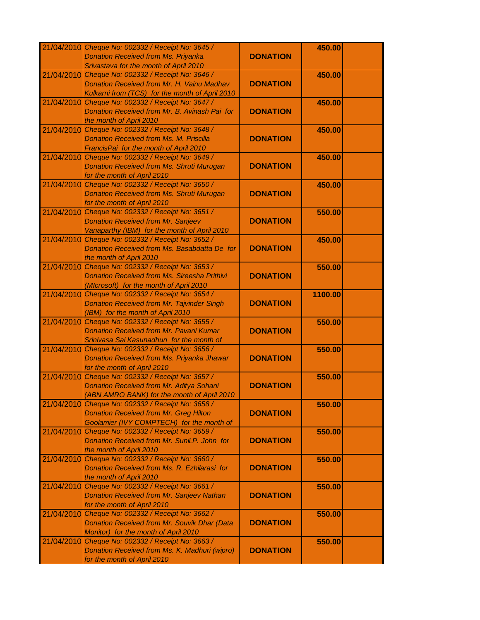|            | 21/04/2010 Cheque No: 002332 / Receipt No: 3645 /                                     |                 | 450.00  |  |
|------------|---------------------------------------------------------------------------------------|-----------------|---------|--|
|            | <b>Donation Received from Ms. Priyanka</b>                                            | <b>DONATION</b> |         |  |
|            | Srivastava for the month of April 2010                                                |                 |         |  |
| 21/04/2010 | Cheque No: 002332 / Receipt No: 3646 /                                                |                 | 450.00  |  |
|            | Donation Received from Mr. H. Vainu Madhav                                            | <b>DONATION</b> |         |  |
|            | Kulkarni from (TCS) for the month of April 2010                                       |                 |         |  |
| 21/04/2010 | Cheque No: 002332 / Receipt No: 3647 /                                                |                 | 450.00  |  |
|            | Donation Received from Mr. B. Avinash Pai for                                         | <b>DONATION</b> |         |  |
|            | the month of April 2010                                                               |                 |         |  |
|            | 21/04/2010 Cheque No: 002332 / Receipt No: 3648 /                                     |                 | 450.00  |  |
|            | <b>Donation Received from Ms. M. Priscilla</b>                                        | <b>DONATION</b> |         |  |
|            | FrancisPai for the month of April 2010                                                |                 |         |  |
|            | 21/04/2010 Cheque No: 002332 / Receipt No: 3649 /                                     |                 | 450.00  |  |
|            | <b>Donation Received from Ms. Shruti Murugan</b>                                      | <b>DONATION</b> |         |  |
|            | for the month of April 2010                                                           |                 |         |  |
|            | 21/04/2010 Cheque No: 002332 / Receipt No: 3650 /                                     |                 | 450.00  |  |
|            | <b>Donation Received from Ms. Shruti Murugan</b>                                      | <b>DONATION</b> |         |  |
|            | for the month of April 2010                                                           |                 |         |  |
|            | 21/04/2010 Cheque No: 002332 / Receipt No: 3651 /                                     |                 | 550.00  |  |
|            | <b>Donation Received from Mr. Sanjeev</b>                                             | <b>DONATION</b> |         |  |
|            | Vanaparthy (IBM) for the month of April 2010                                          |                 |         |  |
| 21/04/2010 | Cheque No: 002332 / Receipt No: 3652 /                                                |                 | 450.00  |  |
|            | Donation Received from Ms. Basabdatta De for                                          | <b>DONATION</b> |         |  |
|            | the month of April 2010                                                               |                 |         |  |
| 21/04/2010 | Cheque No: 002332 / Receipt No: 3653 /                                                |                 | 550.00  |  |
|            | <b>Donation Received from Ms. Sireesha Prithivi</b>                                   | <b>DONATION</b> |         |  |
|            | (MIcrosoft) for the month of April 2010                                               |                 |         |  |
| 21/04/2010 | Cheque No: 002332 / Receipt No: 3654 /                                                |                 | 1100.00 |  |
|            | <b>Donation Received from Mr. Tajvinder Singh</b>                                     | <b>DONATION</b> |         |  |
|            | (IBM) for the month of April 2010                                                     |                 |         |  |
|            | 21/04/2010 Cheque No: 002332 / Receipt No: 3655 /                                     |                 | 550.00  |  |
|            | Donation Received from Mr. Pavani Kumar                                               | <b>DONATION</b> |         |  |
|            | Srinivasa Sai Kasunadhun for the month of                                             |                 |         |  |
|            | 21/04/2010 Cheque No: 002332 / Receipt No: 3656 /                                     |                 | 550.00  |  |
|            | Donation Received from Ms. Priyanka Jhawar                                            | <b>DONATION</b> |         |  |
|            | for the month of April 2010                                                           |                 |         |  |
|            | 21/04/2010 Cheque No: 002332 / Receipt No: 3657 /                                     | <b>DONATION</b> | 550.00  |  |
|            | Donation Received from Mr. Aditya Sohani                                              |                 |         |  |
| 21/04/2010 | (ABN AMRO BANK) for the month of April 2010<br>Cheque No: 002332 / Receipt No: 3658 / |                 |         |  |
|            | <b>Donation Received from Mr. Greg Hilton</b>                                         | <b>DONATION</b> | 550.00  |  |
|            | Goolamier (IVY COMPTECH) for the month of                                             |                 |         |  |
| 21/04/2010 | Cheque No: 002332 / Receipt No: 3659 /                                                |                 | 550.00  |  |
|            | Donation Received from Mr. Sunil.P. John for                                          | <b>DONATION</b> |         |  |
|            | the month of April 2010                                                               |                 |         |  |
| 21/04/2010 | Cheque No: 002332 / Receipt No: 3660 /                                                |                 | 550.00  |  |
|            | Donation Received from Ms. R. Ezhilarasi for                                          | <b>DONATION</b> |         |  |
|            | the month of April 2010                                                               |                 |         |  |
|            | 21/04/2010 Cheque No: 002332 / Receipt No: 3661 /                                     |                 | 550.00  |  |
|            | <b>Donation Received from Mr. Sanjeev Nathan</b>                                      | <b>DONATION</b> |         |  |
|            | for the month of April 2010                                                           |                 |         |  |
| 21/04/2010 | Cheque No: 002332 / Receipt No: 3662 /                                                |                 | 550.00  |  |
|            | Donation Received from Mr. Souvik Dhar (Data                                          | <b>DONATION</b> |         |  |
|            | Monitor) for the month of April 2010                                                  |                 |         |  |
| 21/04/2010 | Cheque No: 002332 / Receipt No: 3663 /                                                |                 | 550.00  |  |
|            | Donation Received from Ms. K. Madhuri (wipro)                                         | <b>DONATION</b> |         |  |
|            | for the month of April 2010                                                           |                 |         |  |
|            |                                                                                       |                 |         |  |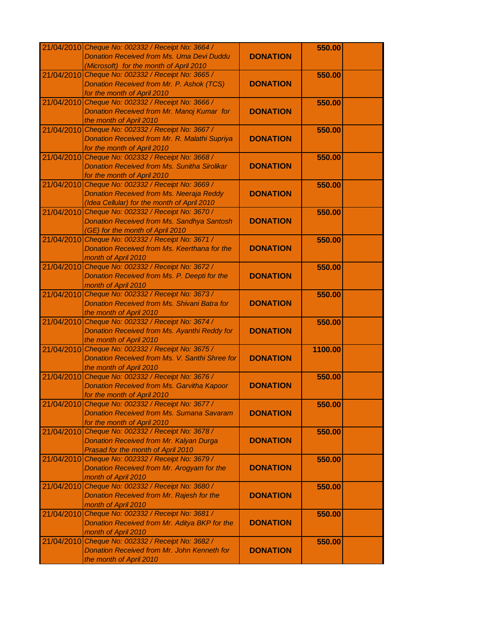|            | 21/04/2010 Cheque No: 002332 / Receipt No: 3664 /   |                 | 550.00  |  |
|------------|-----------------------------------------------------|-----------------|---------|--|
|            | <b>Donation Received from Ms. Uma Devi Duddu</b>    | <b>DONATION</b> |         |  |
|            | (Microsoft) for the month of April 2010             |                 |         |  |
| 21/04/2010 | Cheque No: 002332 / Receipt No: 3665 /              |                 | 550.00  |  |
|            | Donation Received from Mr. P. Ashok (TCS)           | <b>DONATION</b> |         |  |
|            | for the month of April 2010                         |                 |         |  |
| 21/04/2010 | Cheque No: 002332 / Receipt No: 3666 /              |                 | 550.00  |  |
|            | Donation Received from Mr. Manoj Kumar for          | <b>DONATION</b> |         |  |
|            | the month of April 2010                             |                 |         |  |
|            |                                                     |                 |         |  |
|            | 21/04/2010 Cheque No: 002332 / Receipt No: 3667 /   |                 | 550.00  |  |
|            | Donation Received from Mr. R. Malathi Supriya       | <b>DONATION</b> |         |  |
|            | for the month of April 2010                         |                 |         |  |
|            | 21/04/2010 Cheque No: 002332 / Receipt No: 3668 /   |                 | 550.00  |  |
|            | <b>Donation Received from Ms. Sunitha Sirolikar</b> | <b>DONATION</b> |         |  |
|            | for the month of April 2010                         |                 |         |  |
|            | 21/04/2010 Cheque No: 002332 / Receipt No: 3669 /   |                 | 550.00  |  |
|            | Donation Received from Ms. Neeraja Reddy            | <b>DONATION</b> |         |  |
|            | (Idea Cellular) for the month of April 2010         |                 |         |  |
|            | 21/04/2010 Cheque No: 002332 / Receipt No: 3670 /   |                 | 550.00  |  |
|            | Donation Received from Ms. Sandhya Santosh          | <b>DONATION</b> |         |  |
|            | (GE) for the month of April 2010                    |                 |         |  |
|            | 21/04/2010 Cheque No: 002332 / Receipt No: 3671 /   |                 | 550.00  |  |
|            | Donation Received from Ms. Keerthana for the        | <b>DONATION</b> |         |  |
|            | month of April 2010                                 |                 |         |  |
| 21/04/2010 | Cheque No: 002332 / Receipt No: 3672 /              |                 | 550.00  |  |
|            | Donation Received from Ms. P. Deepti for the        | <b>DONATION</b> |         |  |
|            | month of April 2010                                 |                 |         |  |
| 21/04/2010 | Cheque No: 002332 / Receipt No: 3673 /              |                 | 550.00  |  |
|            | Donation Received from Ms. Shivani Batra for        | <b>DONATION</b> |         |  |
|            | the month of April 2010                             |                 |         |  |
|            | 21/04/2010 Cheque No: 002332 / Receipt No: 3674 /   |                 | 550.00  |  |
|            | Donation Received from Ms. Ayanthi Reddy for        | <b>DONATION</b> |         |  |
|            | the month of April 2010                             |                 |         |  |
|            | 21/04/2010 Cheque No: 002332 / Receipt No: 3675 /   |                 | 1100.00 |  |
|            | Donation Received from Ms. V. Santhi Shree for      | <b>DONATION</b> |         |  |
|            | the month of April 2010                             |                 |         |  |
|            | 21/04/2010 Cheque No: 002332 / Receipt No: 3676 /   |                 | 550.00  |  |
|            | <b>Donation Received from Ms. Garvitha Kapoor</b>   | <b>DONATION</b> |         |  |
|            |                                                     |                 |         |  |
|            | for the month of April 2010                         |                 |         |  |
|            | 21/04/2010 Cheque No: 002332 / Receipt No: 3677 /   |                 | 550.00  |  |
|            | <b>Donation Received from Ms. Sumana Savaram</b>    | <b>DONATION</b> |         |  |
|            | for the month of April 2010                         |                 |         |  |
| 21/04/2010 | Cheque No: 002332 / Receipt No: 3678 /              |                 | 550.00  |  |
|            | Donation Received from Mr. Kalyan Durga             | <b>DONATION</b> |         |  |
|            | Prasad for the month of April 2010                  |                 |         |  |
| 21/04/2010 | Cheque No: 002332 / Receipt No: 3679 /              |                 | 550.00  |  |
|            | Donation Received from Mr. Arogyam for the          | <b>DONATION</b> |         |  |
|            | month of April 2010                                 |                 |         |  |
|            | 21/04/2010 Cheque No: 002332 / Receipt No: 3680 /   |                 | 550.00  |  |
|            | Donation Received from Mr. Rajesh for the           | <b>DONATION</b> |         |  |
|            | month of April 2010                                 |                 |         |  |
|            | 21/04/2010 Cheque No: 002332 / Receipt No: 3681 /   |                 | 550.00  |  |
|            | Donation Received from Mr. Aditya BKP for the       | <b>DONATION</b> |         |  |
|            | month of April 2010                                 |                 |         |  |
|            | 21/04/2010 Cheque No: 002332 / Receipt No: 3682 /   |                 | 550.00  |  |
|            | Donation Received from Mr. John Kenneth for         | <b>DONATION</b> |         |  |
|            | the month of April 2010                             |                 |         |  |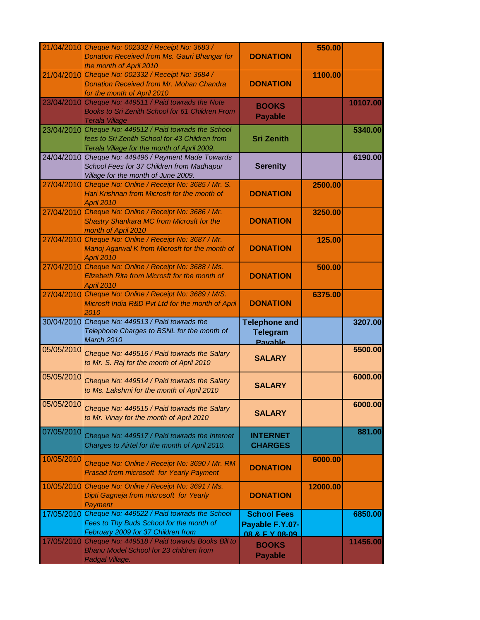|            | 21/04/2010 Cheque No: 002332 / Receipt No: 3683 /<br><b>Donation Received from Ms. Gauri Bhangar for</b><br>the month of April 2010          | <b>DONATION</b>                                         | 550.00   |          |
|------------|----------------------------------------------------------------------------------------------------------------------------------------------|---------------------------------------------------------|----------|----------|
| 21/04/2010 | Cheque No: 002332 / Receipt No: 3684 /<br><b>Donation Received from Mr. Mohan Chandra</b><br>for the month of April 2010                     | <b>DONATION</b>                                         | 1100.00  |          |
| 23/04/2010 | Cheque No: 449511 / Paid towrads the Note<br>Books to Sri Zenith School for 61 Children From<br><b>Terala Village</b>                        | <b>BOOKS</b><br><b>Payable</b>                          |          | 10107.00 |
| 23/04/2010 | Cheque No: 449512 / Paid towrads the School<br>fees to Sri Zenith School for 43 Children from<br>Terala Village for the month of April 2009. | <b>Sri Zenith</b>                                       |          | 5340.00  |
|            | 24/04/2010 Cheque No: 449496 / Payment Made Towards<br>School Fees for 37 Children from Madhapur<br>Village for the month of June 2009.      | <b>Serenity</b>                                         |          | 6190.00  |
| 27/04/2010 | Cheque No: Online / Receipt No: 3685 / Mr. S.<br>Hari Krishnan from Microsft for the month of<br><b>April 2010</b>                           | <b>DONATION</b>                                         | 2500.00  |          |
|            | 27/04/2010 Cheque No: Online / Receipt No: 3686 / Mr.<br><b>Shastry Shankara MC from Microsft for the</b><br>month of April 2010             | <b>DONATION</b>                                         | 3250.00  |          |
|            | 27/04/2010 Cheque No: Online / Receipt No: 3687 / Mr.<br>Manoj Agarwal K from Microsft for the month of<br>April 2010                        | <b>DONATION</b>                                         | 125.00   |          |
| 27/04/2010 | Cheque No: Online / Receipt No: 3688 / Ms.<br>Elizebeth Rita from Microsft for the month of<br>April 2010                                    | <b>DONATION</b>                                         | 500.00   |          |
|            | 27/04/2010 Cheque No: Online / Receipt No: 3689 / M/S.<br>Microsft India R&D Pvt Ltd for the month of April<br>2010                          | <b>DONATION</b>                                         | 6375.00  |          |
|            | 30/04/2010 Cheque No: 449513 / Paid towrads the<br>Telephone Charges to BSNL for the month of<br>March 2010                                  | <b>Telephone and</b><br><b>Telegram</b><br>Pavable      |          | 3207.00  |
| 05/05/2010 | Cheque No: 449516 / Paid towrads the Salary<br>to Mr. S. Raj for the month of April 2010                                                     | <b>SALARY</b>                                           |          | 5500.00  |
| 05/05/2010 | Cheque No: 449514 / Paid towrads the Salary<br>to Ms. Lakshmi for the month of April 2010                                                    | <b>SALARY</b>                                           |          | 6000.00  |
| 05/05/2010 | Cheque No: 449515 / Paid towrads the Salary<br>to Mr. Vinay for the month of April 2010                                                      | <b>SALARY</b>                                           |          | 6000.00  |
| 07/05/2010 | Cheque No: 449517 / Paid towrads the Internet<br>Charges to Airtel for the month of April 2010.                                              | <b>INTERNET</b><br><b>CHARGES</b>                       |          | 881.00   |
| 10/05/2010 | Cheque No: Online / Receipt No: 3690 / Mr. RM<br><b>Prasad from microsoft for Yearly Payment</b>                                             | <b>DONATION</b>                                         | 6000.00  |          |
| 10/05/2010 | Cheque No: Online / Receipt No: 3691 / Ms.<br>Dipti Gagneja from microsoft for Yearly<br><b>Payment</b>                                      | <b>DONATION</b>                                         | 12000.00 |          |
|            | 17/05/2010 Cheque No: 449522 / Paid towrads the School<br>Fees to Thy Buds School for the month of<br>February 2009 for 37 Children from     | <b>School Fees</b><br>Payable F.Y.07-<br>08 & F Y 08-09 |          | 6850.00  |
|            | 17/05/2010 Cheque No: 449518 / Paid towards Books Bill to<br><b>Bhanu Model School for 23 children from</b><br>Padgal Village.               | <b>BOOKS</b><br><b>Payable</b>                          |          | 11456.00 |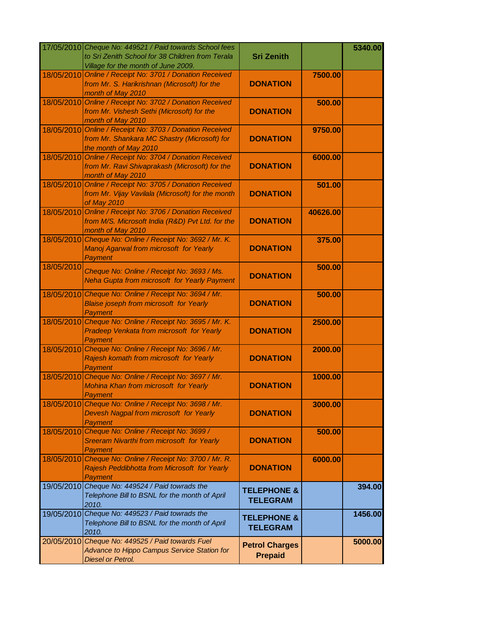|            | 17/05/2010 Cheque No: 449521 / Paid towards School fees<br>to Sri Zenith School for 38 Children from Terala<br>Village for the month of June 2009. | <b>Sri Zenith</b>                         |          | 5340.00 |
|------------|----------------------------------------------------------------------------------------------------------------------------------------------------|-------------------------------------------|----------|---------|
| 18/05/2010 | Online / Receipt No: 3701 / Donation Received<br>from Mr. S. Harikrishnan (Microsoft) for the<br>month of May 2010                                 | <b>DONATION</b>                           | 7500.00  |         |
| 18/05/2010 | Online / Receipt No: 3702 / Donation Received<br>from Mr. Vishesh Sethi (Microsoft) for the<br>month of May 2010                                   | <b>DONATION</b>                           | 500.00   |         |
|            | 18/05/2010 Online / Receipt No: 3703 / Donation Received<br>from Mr. Shankara MC Shastry (Microsoft) for<br>the month of May 2010                  | <b>DONATION</b>                           | 9750.00  |         |
|            | 18/05/2010 Online / Receipt No: 3704 / Donation Received<br>from Mr. Ravi Shivaprakash (Microsoft) for the<br>month of May 2010                    | <b>DONATION</b>                           | 6000.00  |         |
|            | 18/05/2010 Online / Receipt No: 3705 / Donation Received<br>from Mr. Vijay Vavilala (Microsoft) for the month<br>of May 2010                       | <b>DONATION</b>                           | 501.00   |         |
|            | 18/05/2010 Online / Receipt No: 3706 / Donation Received<br>from M/S. Microsoft India (R&D) Pvt Ltd. for the<br>month of May 2010                  | <b>DONATION</b>                           | 40626.00 |         |
|            | 18/05/2010 Cheque No: Online / Receipt No: 3692 / Mr. K.<br>Manoj Agarwal from microsoft for Yearly<br>Payment                                     | <b>DONATION</b>                           | 375.00   |         |
| 18/05/2010 | Cheque No: Online / Receipt No: 3693 / Ms.<br>Neha Gupta from microsoft for Yearly Payment                                                         | <b>DONATION</b>                           | 500.00   |         |
|            | 18/05/2010 Cheque No: Online / Receipt No: 3694 / Mr.<br><b>Blaise joseph from microsoft for Yearly</b><br>Payment                                 | <b>DONATION</b>                           | 500.00   |         |
|            | 18/05/2010 Cheque No: Online / Receipt No: 3695 / Mr. K.<br>Pradeep Venkata from microsoft for Yearly<br><b>Payment</b>                            | <b>DONATION</b>                           | 2500.00  |         |
|            | 18/05/2010 Cheque No: Online / Receipt No: 3696 / Mr.<br>Rajesh komath from microsoft for Yearly<br>Payment                                        | <b>DONATION</b>                           | 2000.00  |         |
|            | 18/05/2010 Cheque No: Online / Receipt No: 3697 / Mr.<br>Mohina Khan from microsoft for Yearly<br>Payment                                          | <b>DONATION</b>                           | 1000.00  |         |
| 18/05/2010 | Cheque No: Online / Receipt No: 3698 / Mr.<br>Devesh Nagpal from microsoft for Yearly<br><b>Payment</b>                                            | <b>DONATION</b>                           | 3000.00  |         |
| 18/05/2010 | Cheque No: Online / Receipt No: 3699 /<br>Sreeram Nivarthi from microsoft for Yearly<br>Payment                                                    | <b>DONATION</b>                           | 500.00   |         |
| 18/05/2010 | Cheque No: Online / Receipt No: 3700 / Mr. R.<br>Rajesh Peddibhotta from Microsoft for Yearly<br><b>Payment</b>                                    | <b>DONATION</b>                           | 6000.00  |         |
|            | 19/05/2010 Cheque No: 449524 / Paid towrads the<br>Telephone Bill to BSNL for the month of April<br>2010.                                          | <b>TELEPHONE &amp;</b><br><b>TELEGRAM</b> |          | 394.00  |
|            | 19/05/2010 Cheque No: 449523 / Paid towrads the<br>Telephone Bill to BSNL for the month of April<br>2010.                                          | <b>TELEPHONE &amp;</b><br><b>TELEGRAM</b> |          | 1456.00 |
|            | 20/05/2010 Cheque No: 449525 / Paid towards Fuel<br>Advance to Hippo Campus Service Station for<br><b>Diesel or Petrol.</b>                        | <b>Petrol Charges</b><br><b>Prepaid</b>   |          | 5000.00 |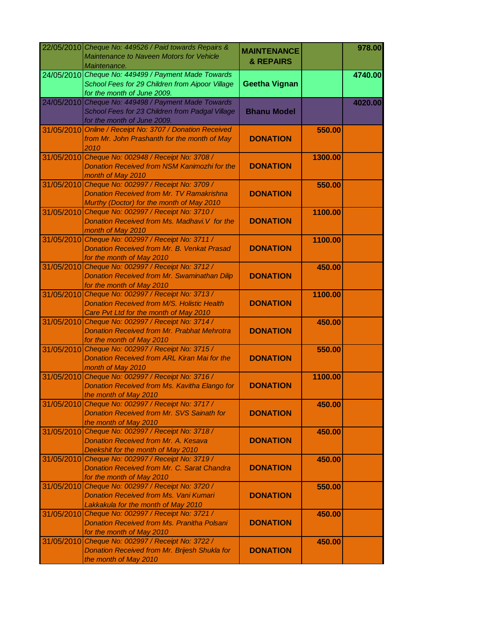|            | 22/05/2010 Cheque No: 449526 / Paid towards Repairs &<br>Maintenance to Naveen Motors for Vehicle<br>Maintenance.                           | <b>MAINTENANCE</b><br><b>&amp; REPAIRS</b> |         | 978.00  |
|------------|---------------------------------------------------------------------------------------------------------------------------------------------|--------------------------------------------|---------|---------|
|            | 24/05/2010 Cheque No: 449499 / Payment Made Towards<br>School Fees for 29 Children from Aipoor Village<br>for the month of June 2009.       | <b>Geetha Vignan</b>                       |         | 4740.00 |
|            | 24/05/2010 Cheque No: 449498 / Payment Made Towards<br>School Fees for 23 Children from Padgal Village<br>for the month of June 2009.       | <b>Bhanu Model</b>                         |         | 4020.00 |
|            | 31/05/2010 Online / Receipt No: 3707 / Donation Received<br>from Mr. John Prashanth for the month of May<br>2010                            | <b>DONATION</b>                            | 550.00  |         |
|            | 31/05/2010 Cheque No: 002948 / Receipt No: 3708 /<br>Donation Received from NSM Kanimozhi for the<br>month of May 2010                      | <b>DONATION</b>                            | 1300.00 |         |
|            | 31/05/2010 Cheque No: 002997 / Receipt No: 3709 /<br>Donation Received from Mr. TV Ramakrishna<br>Murthy (Doctor) for the month of May 2010 | <b>DONATION</b>                            | 550.00  |         |
|            | 31/05/2010 Cheque No: 002997 / Receipt No: 3710 /<br>Donation Received from Ms. Madhavi. V for the<br>month of May 2010                     | <b>DONATION</b>                            | 1100.00 |         |
|            | 31/05/2010 Cheque No: 002997 / Receipt No: 3711 /<br>Donation Received from Mr. B. Venkat Prasad<br>for the month of May 2010               | <b>DONATION</b>                            | 1100.00 |         |
| 31/05/2010 | Cheque No: 002997 / Receipt No: 3712 /<br><b>Donation Received from Mr. Swaminathan Dilip</b><br>for the month of May 2010                  | <b>DONATION</b>                            | 450.00  |         |
| 31/05/2010 | Cheque No: 002997 / Receipt No: 3713 /<br>Donation Received from M/S. Holistic Health<br>Care Pvt Ltd for the month of May 2010             | <b>DONATION</b>                            | 1100.00 |         |
|            | 31/05/2010 Cheque No: 002997 / Receipt No: 3714 /<br><b>Donation Received from Mr. Prabhat Mehrotra</b><br>for the month of May 2010        | <b>DONATION</b>                            | 450.00  |         |
|            | 31/05/2010 Cheque No: 002997 / Receipt No: 3715 /<br>Donation Received from ARL Kiran Mai for the<br>month of May 2010                      | <b>DONATION</b>                            | 550.00  |         |
|            | 31/05/2010 Cheque No: 002997 / Receipt No: 3716 /<br>Donation Received from Ms. Kavitha Elango for<br>the month of May 2010                 | <b>DONATION</b>                            | 1100.00 |         |
| 31/05/2010 | Cheque No: 002997 / Receipt No: 3717 /<br>Donation Received from Mr. SVS Sainath for<br>the month of May 2010                               | <b>DONATION</b>                            | 450.00  |         |
| 31/05/2010 | Cheque No: 002997 / Receipt No: 3718 /<br><b>Donation Received from Mr. A. Kesava</b><br>Deekshit for the month of May 2010                 | <b>DONATION</b>                            | 450.00  |         |
| 31/05/2010 | Cheque No: 002997 / Receipt No: 3719 /<br>Donation Received from Mr. C. Sarat Chandra<br>for the month of May 2010                          | <b>DONATION</b>                            | 450.00  |         |
|            | 31/05/2010 Cheque No: 002997 / Receipt No: 3720 /<br><b>Donation Received from Ms. Vani Kumari</b><br>Lakkakula for the month of May 2010   | <b>DONATION</b>                            | 550.00  |         |
|            | 31/05/2010 Cheque No: 002997 / Receipt No: 3721 /<br>Donation Received from Ms. Pranitha Polsani<br>for the month of May 2010               | <b>DONATION</b>                            | 450.00  |         |
| 31/05/2010 | Cheque No: 002997 / Receipt No: 3722 /<br>Donation Received from Mr. Brijesh Shukla for<br>the month of May 2010                            | <b>DONATION</b>                            | 450.00  |         |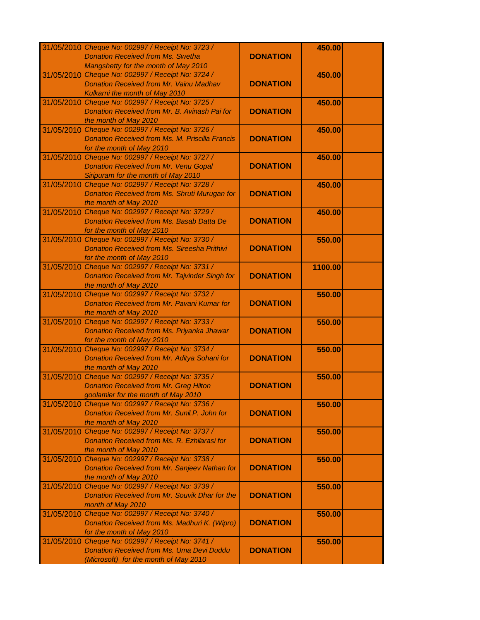|            | 31/05/2010 Cheque No: 002997 / Receipt No: 3723 /      |                 | 450.00  |  |
|------------|--------------------------------------------------------|-----------------|---------|--|
|            | <b>Donation Received from Ms. Swetha</b>               | <b>DONATION</b> |         |  |
|            | Mangshetty for the month of May 2010                   |                 |         |  |
| 31/05/2010 | Cheque No: 002997 / Receipt No: 3724 /                 |                 | 450.00  |  |
|            | <b>Donation Received from Mr. Vainu Madhav</b>         | <b>DONATION</b> |         |  |
|            | Kulkarni the month of May 2010                         |                 |         |  |
| 31/05/2010 | Cheque No: 002997 / Receipt No: 3725 /                 |                 | 450.00  |  |
|            | Donation Received from Mr. B. Avinash Pai for          | <b>DONATION</b> |         |  |
|            | the month of May 2010                                  |                 |         |  |
|            | 31/05/2010 Cheque No: 002997 / Receipt No: 3726 /      |                 | 450.00  |  |
|            | <b>Donation Received from Ms. M. Priscilla Francis</b> | <b>DONATION</b> |         |  |
|            | for the month of May 2010                              |                 |         |  |
|            | 31/05/2010 Cheque No: 002997 / Receipt No: 3727 /      |                 | 450.00  |  |
|            | <b>Donation Received from Mr. Venu Gopal</b>           | <b>DONATION</b> |         |  |
|            | Siripuram for the month of May 2010                    |                 |         |  |
|            | 31/05/2010 Cheque No: 002997 / Receipt No: 3728 /      |                 | 450.00  |  |
|            | Donation Received from Ms. Shruti Murugan for          | <b>DONATION</b> |         |  |
|            | the month of May 2010                                  |                 |         |  |
|            | 31/05/2010 Cheque No: 002997 / Receipt No: 3729 /      |                 | 450.00  |  |
|            | <b>Donation Received from Ms. Basab Datta De</b>       | <b>DONATION</b> |         |  |
|            | for the month of May 2010                              |                 |         |  |
|            | 31/05/2010 Cheque No: 002997 / Receipt No: 3730 /      |                 | 550.00  |  |
|            | <b>Donation Received from Ms. Sireesha Prithivi</b>    | <b>DONATION</b> |         |  |
|            | for the month of May 2010                              |                 |         |  |
| 31/05/2010 | Cheque No: 002997 / Receipt No: 3731 /                 |                 | 1100.00 |  |
|            | Donation Received from Mr. Tajvinder Singh for         | <b>DONATION</b> |         |  |
|            | the month of May 2010                                  |                 |         |  |
| 31/05/2010 | Cheque No: 002997 / Receipt No: 3732 /                 |                 | 550.00  |  |
|            | Donation Received from Mr. Pavani Kumar for            | <b>DONATION</b> |         |  |
|            | the month of May 2010                                  |                 |         |  |
|            | 31/05/2010 Cheque No: 002997 / Receipt No: 3733 /      |                 | 550.00  |  |
|            | Donation Received from Ms. Priyanka Jhawar             | <b>DONATION</b> |         |  |
|            | for the month of May 2010                              |                 |         |  |
|            | 31/05/2010 Cheque No: 002997 / Receipt No: 3734 /      |                 | 550.00  |  |
|            | Donation Received from Mr. Aditya Sohani for           | <b>DONATION</b> |         |  |
|            | the month of May 2010                                  |                 |         |  |
|            | 31/05/2010 Cheque No: 002997 / Receipt No: 3735 /      |                 | 550.00  |  |
|            | <b>Donation Received from Mr. Greg Hilton</b>          | <b>DONATION</b> |         |  |
|            | goolamier for the month of May 2010                    |                 |         |  |
| 31/05/2010 | Cheque No: 002997 / Receipt No: 3736 /                 |                 | 550.00  |  |
|            | Donation Received from Mr. Sunil.P. John for           | <b>DONATION</b> |         |  |
|            | the month of May 2010                                  |                 |         |  |
| 31/05/2010 | Cheque No: 002997 / Receipt No: 3737 /                 |                 | 550.00  |  |
|            | Donation Received from Ms. R. Ezhilarasi for           | <b>DONATION</b> |         |  |
|            | the month of May 2010                                  |                 |         |  |
| 31/05/2010 | Cheque No: 002997 / Receipt No: 3738 /                 |                 | 550.00  |  |
|            | Donation Received from Mr. Sanjeev Nathan for          | <b>DONATION</b> |         |  |
|            | the month of May 2010                                  |                 |         |  |
|            | 31/05/2010 Cheque No: 002997 / Receipt No: 3739 /      |                 | 550.00  |  |
|            | Donation Received from Mr. Souvik Dhar for the         | <b>DONATION</b> |         |  |
|            | month of May 2010                                      |                 |         |  |
|            | 31/05/2010 Cheque No: 002997 / Receipt No: 3740 /      |                 | 550.00  |  |
|            | Donation Received from Ms. Madhuri K. (Wipro)          | <b>DONATION</b> |         |  |
|            | for the month of May 2010                              |                 |         |  |
|            | 31/05/2010 Cheque No: 002997 / Receipt No: 3741 /      |                 | 550.00  |  |
|            | <b>Donation Received from Ms. Uma Devi Duddu</b>       | <b>DONATION</b> |         |  |
|            | (Microsoft) for the month of May 2010                  |                 |         |  |
|            |                                                        |                 |         |  |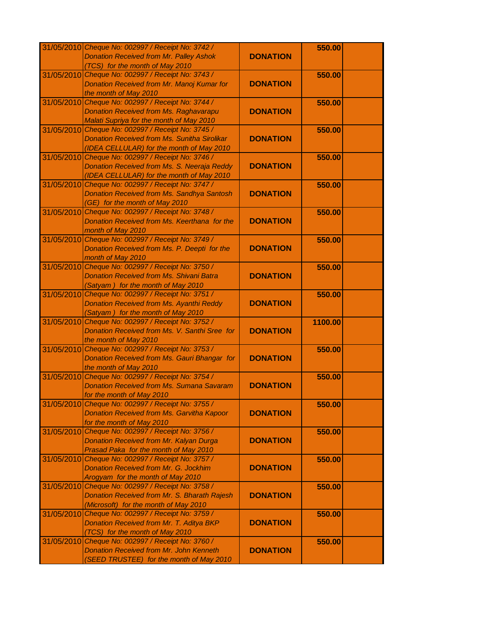|            | 31/05/2010 Cheque No: 002997 / Receipt No: 3742 /   |                 | 550.00  |  |
|------------|-----------------------------------------------------|-----------------|---------|--|
|            | <b>Donation Received from Mr. Palley Ashok</b>      | <b>DONATION</b> |         |  |
|            | (TCS) for the month of May 2010                     |                 |         |  |
| 31/05/2010 | Cheque No: 002997 / Receipt No: 3743 /              |                 | 550.00  |  |
|            |                                                     |                 |         |  |
|            | Donation Received from Mr. Manoj Kumar for          | <b>DONATION</b> |         |  |
|            | the month of May 2010                               |                 |         |  |
| 31/05/2010 | Cheque No: 002997 / Receipt No: 3744 /              |                 | 550.00  |  |
|            | <b>Donation Received from Ms. Raghavarapu</b>       | <b>DONATION</b> |         |  |
|            | Malati Supriya for the month of May 2010            |                 |         |  |
|            | 31/05/2010 Cheque No: 002997 / Receipt No: 3745 /   |                 | 550.00  |  |
|            | <b>Donation Received from Ms. Sunitha Sirolikar</b> | <b>DONATION</b> |         |  |
|            | (IDEA CELLULAR) for the month of May 2010           |                 |         |  |
|            | 31/05/2010 Cheque No: 002997 / Receipt No: 3746 /   |                 | 550.00  |  |
|            | Donation Received from Ms. S. Neeraja Reddy         | <b>DONATION</b> |         |  |
|            | (IDEA CELLULAR) for the month of May 2010           |                 |         |  |
|            | 31/05/2010 Cheque No: 002997 / Receipt No: 3747 /   |                 | 550.00  |  |
|            | <b>Donation Received from Ms. Sandhya Santosh</b>   | <b>DONATION</b> |         |  |
|            |                                                     |                 |         |  |
|            | (GE) for the month of May 2010                      |                 |         |  |
|            | 31/05/2010 Cheque No: 002997 / Receipt No: 3748 /   |                 | 550.00  |  |
|            | Donation Received from Ms. Keerthana for the        | <b>DONATION</b> |         |  |
|            | month of May 2010                                   |                 |         |  |
|            | 31/05/2010 Cheque No: 002997 / Receipt No: 3749 /   |                 | 550.00  |  |
|            | Donation Received from Ms. P. Deepti for the        | <b>DONATION</b> |         |  |
|            | month of May 2010                                   |                 |         |  |
|            | 31/05/2010 Cheque No: 002997 / Receipt No: 3750 /   |                 | 550.00  |  |
|            | <b>Donation Received from Ms. Shivani Batra</b>     | <b>DONATION</b> |         |  |
|            | (Satyam) for the month of May 2010                  |                 |         |  |
|            | 31/05/2010 Cheque No: 002997 / Receipt No: 3751 /   |                 | 550.00  |  |
|            | <b>Donation Received from Ms. Ayanthi Reddy</b>     | <b>DONATION</b> |         |  |
|            | (Satyam) for the month of May 2010                  |                 |         |  |
|            | 31/05/2010 Cheque No: 002997 / Receipt No: 3752 /   |                 | 1100.00 |  |
|            |                                                     | <b>DONATION</b> |         |  |
|            | Donation Received from Ms. V. Santhi Sree for       |                 |         |  |
|            | the month of May 2010                               |                 |         |  |
|            | 31/05/2010 Cheque No: 002997 / Receipt No: 3753 /   |                 | 550.00  |  |
|            | Donation Received from Ms. Gauri Bhangar for        | <b>DONATION</b> |         |  |
|            | the month of May 2010                               |                 |         |  |
|            | 31/05/2010 Cheque No: 002997 / Receipt No: 3754 /   |                 | 550.00  |  |
|            | <b>Donation Received from Ms. Sumana Savaram</b>    | <b>DONATION</b> |         |  |
|            | for the month of May 2010                           |                 |         |  |
|            | 31/05/2010 Cheque No: 002997 / Receipt No: 3755 /   |                 | 550.00  |  |
|            | Donation Received from Ms. Garvitha Kapoor          | <b>DONATION</b> |         |  |
|            | for the month of May 2010                           |                 |         |  |
| 31/05/2010 | Cheque No: 002997 / Receipt No: 3756 /              |                 | 550.00  |  |
|            | Donation Received from Mr. Kalyan Durga             | <b>DONATION</b> |         |  |
|            | Prasad Paka for the month of May 2010               |                 |         |  |
| 31/05/2010 | Cheque No: 002997 / Receipt No: 3757 /              |                 | 550.00  |  |
|            | Donation Received from Mr. G. Jockhim               | <b>DONATION</b> |         |  |
|            |                                                     |                 |         |  |
|            | Arogyam for the month of May 2010                   |                 |         |  |
|            | 31/05/2010 Cheque No: 002997 / Receipt No: 3758 /   |                 | 550.00  |  |
|            | Donation Received from Mr. S. Bharath Rajesh        | <b>DONATION</b> |         |  |
|            | (Microsoft) for the month of May 2010               |                 |         |  |
|            | 31/05/2010 Cheque No: 002997 / Receipt No: 3759 /   |                 | 550.00  |  |
|            | Donation Received from Mr. T. Aditya BKP            | <b>DONATION</b> |         |  |
|            | (TCS) for the month of May 2010                     |                 |         |  |
|            | 31/05/2010 Cheque No: 002997 / Receipt No: 3760 /   |                 | 550.00  |  |
|            | Donation Received from Mr. John Kenneth             | <b>DONATION</b> |         |  |
|            | (SEED TRUSTEE) for the month of May 2010            |                 |         |  |
|            |                                                     |                 |         |  |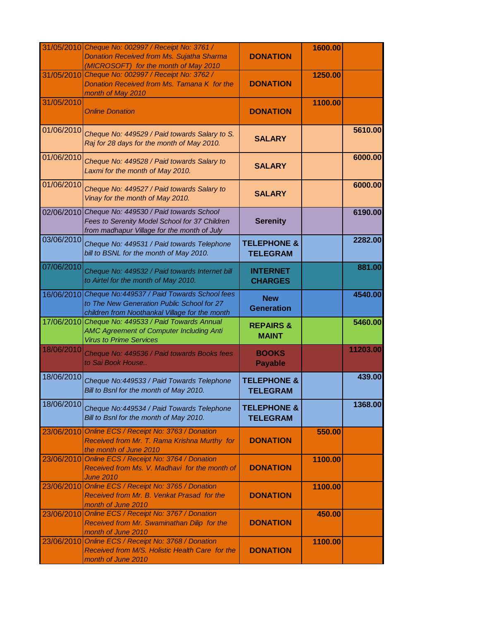|            | 31/05/2010 Cheque No: 002997 / Receipt No: 3761 /<br><b>Donation Received from Ms. Sujatha Sharma</b><br>(MICROSOFT) for the month of May 2010 | <b>DONATION</b>                           | 1600.00 |          |
|------------|------------------------------------------------------------------------------------------------------------------------------------------------|-------------------------------------------|---------|----------|
| 31/05/2010 | Cheque No: 002997 / Receipt No: 3762 /<br>Donation Received from Ms. Tamana K for the<br>month of May 2010                                     | <b>DONATION</b>                           | 1250.00 |          |
| 31/05/2010 | <b>Online Donation</b>                                                                                                                         | <b>DONATION</b>                           | 1100.00 |          |
| 01/06/2010 | Cheque No: 449529 / Paid towards Salary to S.<br>Raj for 28 days for the month of May 2010.                                                    | <b>SALARY</b>                             |         | 5610.00  |
| 01/06/2010 | Cheque No: 449528 / Paid towards Salary to<br>Laxmi for the month of May 2010.                                                                 | <b>SALARY</b>                             |         | 6000.00  |
| 01/06/2010 | Cheque No: 449527 / Paid towards Salary to<br>Vinay for the month of May 2010.                                                                 | <b>SALARY</b>                             |         | 6000.00  |
| 02/06/2010 | Cheque No: 449530 / Paid towards School<br>Fees to Serenity Model School for 37 Children<br>from madhapur Village for the month of July        | <b>Serenity</b>                           |         | 6190.00  |
| 03/06/2010 | Cheque No: 449531 / Paid towards Telephone<br>bill to BSNL for the month of May 2010.                                                          | <b>TELEPHONE &amp;</b><br><b>TELEGRAM</b> |         | 2282.00  |
| 07/06/2010 | Cheque No: 449532 / Paid towards Internet bill<br>to Airtel for the month of May 2010.                                                         | <b>INTERNET</b><br><b>CHARGES</b>         |         | 881.00   |
| 16/06/2010 | Cheque No:449537 / Paid Towards School fees<br>to The New Generation Public School for 27<br>children from Noothankal Village for the month    | <b>New</b><br><b>Generation</b>           |         | 4540.00  |
|            | 17/06/2010 Cheque No: 449533 / Paid Towards Annual<br><b>AMC Agreement of Computer Including Anti</b><br><b>Virus to Prime Services</b>        | <b>REPAIRS &amp;</b><br><b>MAINT</b>      |         | 5460.00  |
| 18/06/2010 | Cheque No: 449536 / Paid towards Books fees<br>to Sai Book House                                                                               | <b>BOOKS</b><br><b>Payable</b>            |         | 11203.00 |
| 18/06/2010 | Cheque No:449533 / Paid Towards Telephone<br>Bill to Bsnl for the month of May 2010.                                                           | <b>TELEPHONE &amp;</b><br><b>TELEGRAM</b> |         | 439.00   |
| 18/06/2010 | Cheque No:449534 / Paid Towards Telephone<br>Bill to Bsnl for the month of May 2010.                                                           | <b>TELEPHONE &amp;</b><br><b>TELEGRAM</b> |         | 1368.00  |
| 23/06/2010 | Online ECS / Receipt No: 3763 / Donation<br>Received from Mr. T. Rama Krishna Murthy for<br>the month of June 2010                             | <b>DONATION</b>                           | 550.00  |          |
| 23/06/2010 | Online ECS / Receipt No: 3764 / Donation<br>Received from Ms. V. Madhavi for the month of<br><b>June 2010</b>                                  | <b>DONATION</b>                           | 1100.00 |          |
| 23/06/2010 | Online ECS / Receipt No: 3765 / Donation<br>Received from Mr. B. Venkat Prasad for the<br>month of June 2010                                   | <b>DONATION</b>                           | 1100.00 |          |
| 23/06/2010 | Online ECS / Receipt No: 3767 / Donation<br>Received from Mr. Swaminathan Dilip for the<br>month of June 2010                                  | <b>DONATION</b>                           | 450.00  |          |
| 23/06/2010 | Online ECS / Receipt No: 3768 / Donation<br>Received from M/S. Holistic Health Care for the<br>month of June 2010                              | <b>DONATION</b>                           | 1100.00 |          |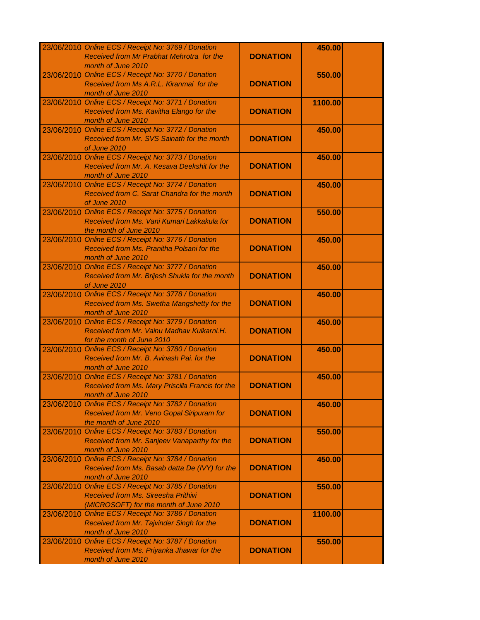|            | 23/06/2010 Online ECS / Receipt No: 3769 / Donation |                 | 450.00  |  |
|------------|-----------------------------------------------------|-----------------|---------|--|
|            | Received from Mr Prabhat Mehrotra for the           | <b>DONATION</b> |         |  |
|            | month of June 2010                                  |                 |         |  |
|            | 23/06/2010 Online ECS / Receipt No: 3770 / Donation |                 | 550.00  |  |
|            | Received from Ms A.R.L. Kiranmai for the            | <b>DONATION</b> |         |  |
|            | month of June 2010                                  |                 |         |  |
|            | 23/06/2010 Online ECS / Receipt No: 3771 / Donation |                 | 1100.00 |  |
|            | Received from Ms. Kavitha Elango for the            | <b>DONATION</b> |         |  |
|            |                                                     |                 |         |  |
|            | month of June 2010                                  |                 |         |  |
|            | 23/06/2010 Online ECS / Receipt No: 3772 / Donation |                 | 450.00  |  |
|            | Received from Mr. SVS Sainath for the month         | <b>DONATION</b> |         |  |
|            | of June 2010                                        |                 |         |  |
|            | 23/06/2010 Online ECS / Receipt No: 3773 / Donation |                 | 450.00  |  |
|            | Received from Mr. A. Kesava Deekshit for the        | <b>DONATION</b> |         |  |
|            | month of June 2010                                  |                 |         |  |
|            | 23/06/2010 Online ECS / Receipt No: 3774 / Donation |                 | 450.00  |  |
|            | Received from C. Sarat Chandra for the month        | <b>DONATION</b> |         |  |
|            | of June 2010                                        |                 |         |  |
|            | 23/06/2010 Online ECS / Receipt No: 3775 / Donation |                 | 550.00  |  |
|            | Received from Ms. Vani Kumari Lakkakula for         | <b>DONATION</b> |         |  |
|            | the month of June 2010                              |                 |         |  |
| 23/06/2010 | Online ECS / Receipt No: 3776 / Donation            |                 | 450.00  |  |
|            | Received from Ms. Pranitha Polsani for the          | <b>DONATION</b> |         |  |
|            | month of June 2010                                  |                 |         |  |
|            | 23/06/2010 Online ECS / Receipt No: 3777 / Donation |                 | 450.00  |  |
|            | Received from Mr. Brijesh Shukla for the month      | <b>DONATION</b> |         |  |
|            | of June 2010                                        |                 |         |  |
|            | 23/06/2010 Online ECS / Receipt No: 3778 / Donation |                 | 450.00  |  |
|            |                                                     |                 |         |  |
|            | Received from Ms. Swetha Mangshetty for the         | <b>DONATION</b> |         |  |
|            | month of June 2010                                  |                 |         |  |
|            | 23/06/2010 Online ECS / Receipt No: 3779 / Donation |                 | 450.00  |  |
|            | Received from Mr. Vainu Madhav Kulkarni.H.          | <b>DONATION</b> |         |  |
|            | for the month of June 2010                          |                 |         |  |
|            | 23/06/2010 Online ECS / Receipt No: 3780 / Donation |                 | 450.00  |  |
|            | Received from Mr. B. Avinash Pai. for the           | <b>DONATION</b> |         |  |
|            | month of June 2010                                  |                 |         |  |
|            | 23/06/2010 Online ECS / Receipt No: 3781 / Donation |                 | 450.00  |  |
|            | Received from Ms. Mary Priscilla Francis for the    | <b>DONATION</b> |         |  |
|            | month of June 2010                                  |                 |         |  |
| 23/06/2010 | Online ECS / Receipt No: 3782 / Donation            |                 | 450.00  |  |
|            | Received from Mr. Veno Gopal Siripuram for          | <b>DONATION</b> |         |  |
|            | the month of June 2010                              |                 |         |  |
| 23/06/2010 | Online ECS / Receipt No: 3783 / Donation            |                 | 550.00  |  |
|            | Received from Mr. Sanjeev Vanaparthy for the        | <b>DONATION</b> |         |  |
|            | month of June 2010                                  |                 |         |  |
| 23/06/2010 | Online ECS / Receipt No: 3784 / Donation            |                 | 450.00  |  |
|            | Received from Ms. Basab datta De (IVY) for the      | <b>DONATION</b> |         |  |
|            | month of June 2010                                  |                 |         |  |
|            | 23/06/2010 Online ECS / Receipt No: 3785 / Donation |                 | 550.00  |  |
|            | <b>Received from Ms. Sireesha Prithivi</b>          | <b>DONATION</b> |         |  |
|            | (MICROSOFT) for the month of June 2010              |                 |         |  |
|            |                                                     |                 |         |  |
|            | 23/06/2010 Online ECS / Receipt No: 3786 / Donation |                 | 1100.00 |  |
|            | Received from Mr. Tajvinder Singh for the           | <b>DONATION</b> |         |  |
|            | month of June 2010                                  |                 |         |  |
| 23/06/2010 | Online ECS / Receipt No: 3787 / Donation            |                 | 550.00  |  |
|            | Received from Ms. Priyanka Jhawar for the           | <b>DONATION</b> |         |  |
|            | month of June 2010                                  |                 |         |  |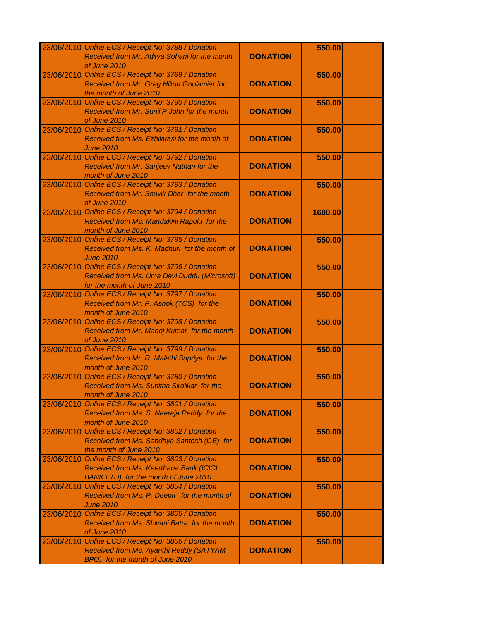|            | 23/06/2010 Online ECS / Receipt No: 3788 / Donation |                 | 550.00  |  |
|------------|-----------------------------------------------------|-----------------|---------|--|
|            | Received from Mr. Aditya Sohani for the month       | <b>DONATION</b> |         |  |
|            | of June 2010                                        |                 |         |  |
| 23/06/2010 | Online ECS / Receipt No: 3789 / Donation            |                 | 550.00  |  |
|            | Received from Mr. Greg Hilton Goolamier for         | <b>DONATION</b> |         |  |
|            | the month of June 2010                              |                 |         |  |
| 23/06/2010 | Online ECS / Receipt No: 3790 / Donation            |                 | 550.00  |  |
|            | Received from Mr. Sunil P John for the month        | <b>DONATION</b> |         |  |
|            | of June 2010                                        |                 |         |  |
|            | 23/06/2010 Online ECS / Receipt No: 3791 / Donation |                 | 550.00  |  |
|            | Received from Ms. Ezhilarasi for the month of       | <b>DONATION</b> |         |  |
|            |                                                     |                 |         |  |
|            | <b>June 2010</b>                                    |                 |         |  |
|            | 23/06/2010 Online ECS / Receipt No: 3792 / Donation |                 | 550.00  |  |
|            | Received from Mr. Sanjeev Nathan for the            | <b>DONATION</b> |         |  |
|            | month of June 2010                                  |                 |         |  |
|            | 23/06/2010 Online ECS / Receipt No: 3793 / Donation |                 | 550.00  |  |
|            | Received from Mr. Souvik Dhar for the month         | <b>DONATION</b> |         |  |
|            | of June 2010                                        |                 |         |  |
|            | 23/06/2010 Online ECS / Receipt No: 3794 / Donation |                 | 1600.00 |  |
|            | Received from Ms. Mandakini Rapolu for the          | <b>DONATION</b> |         |  |
|            | month of June 2010                                  |                 |         |  |
| 23/06/2010 | Online ECS / Receipt No: 3795 / Donation            |                 | 550.00  |  |
|            | Received from Ms. K. Madhuri for the month of       | <b>DONATION</b> |         |  |
|            | <b>June 2010</b>                                    |                 |         |  |
| 23/06/2010 | Online ECS / Receipt No: 3796 / Donation            |                 | 550.00  |  |
|            | Received from Ms. Uma Devi Duddu (Microsoft)        | <b>DONATION</b> |         |  |
|            | for the month of June 2010                          |                 |         |  |
| 23/06/2010 | Online ECS / Receipt No: 3797 / Donation            |                 | 550.00  |  |
|            | Received from Mr. P. Ashok (TCS) for the            | <b>DONATION</b> |         |  |
|            | month of June 2010                                  |                 |         |  |
| 23/06/2010 | Online ECS / Receipt No: 3798 / Donation            |                 | 550.00  |  |
|            |                                                     | <b>DONATION</b> |         |  |
|            | Received from Mr. Manoj Kumar for the month         |                 |         |  |
|            | of June 2010                                        |                 |         |  |
| 23/06/2010 | Online ECS / Receipt No: 3799 / Donation            |                 | 550.00  |  |
|            | Received from Mr. R. Malathi Supriya for the        | <b>DONATION</b> |         |  |
|            | month of June 2010                                  |                 |         |  |
| 23/06/2010 | Online ECS / Receipt No: 3780 / Donation            |                 | 550.00  |  |
|            | Received from Ms. Sunitha Sirolikar for the         | <b>DONATION</b> |         |  |
|            | month of June 2010                                  |                 |         |  |
| 23/06/2010 | Online ECS / Receipt No: 3801 / Donation            |                 | 550.00  |  |
|            | Received from Ms. S. Neeraja Reddy for the          | <b>DONATION</b> |         |  |
|            | month of June 2010                                  |                 |         |  |
| 23/06/2010 | Online ECS / Receipt No: 3802 / Donation            |                 | 550.00  |  |
|            | Received from Ms. Sandhya Santosh (GE) for          | <b>DONATION</b> |         |  |
|            | the month of June 2010                              |                 |         |  |
| 23/06/2010 | Online ECS / Receipt No: 3803 / Donation            |                 | 550.00  |  |
|            | Received from Ms. Keerthana Bank (ICICI             | <b>DONATION</b> |         |  |
|            | <b>BANK LTD)</b> for the month of June 2010         |                 |         |  |
| 23/06/2010 | Online ECS / Receipt No: 3804 / Donation            |                 | 550.00  |  |
|            | Received from Ms. P. Deepti for the month of        | <b>DONATION</b> |         |  |
|            | <b>June 2010</b>                                    |                 |         |  |
| 23/06/2010 | Online ECS / Receipt No: 3805 / Donation            |                 | 550.00  |  |
|            | Received from Ms. Shivani Batra for the month       | <b>DONATION</b> |         |  |
|            |                                                     |                 |         |  |
|            | of June 2010                                        |                 |         |  |
| 23/06/2010 | Online ECS / Receipt No: 3806 / Donation            |                 | 550.00  |  |
|            | Received from Ms. Ayanthi Reddy (SATYAM             | <b>DONATION</b> |         |  |
|            | BPO) for the month of June 2010                     |                 |         |  |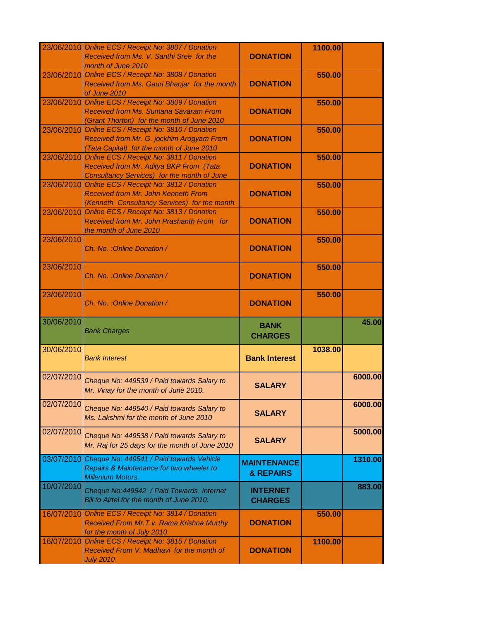|            | 23/06/2010 Online ECS / Receipt No: 3807 / Donation |                      | 1100.00 |         |
|------------|-----------------------------------------------------|----------------------|---------|---------|
|            | Received from Ms. V. Santhi Sree for the            | <b>DONATION</b>      |         |         |
|            | month of June 2010                                  |                      |         |         |
|            | 23/06/2010 Online ECS / Receipt No: 3808 / Donation |                      | 550.00  |         |
|            | Received from Ms. Gauri Bhanjar for the month       | <b>DONATION</b>      |         |         |
|            | of June 2010                                        |                      |         |         |
|            | 23/06/2010 Online ECS / Receipt No: 3809 / Donation |                      | 550.00  |         |
|            | Received from Ms. Sumana Savaram From               | <b>DONATION</b>      |         |         |
|            | (Grant Thorton) for the month of June 2010          |                      |         |         |
|            | 23/06/2010 Online ECS / Receipt No: 3810 / Donation |                      | 550.00  |         |
|            | Received from Mr. G. jockhim Arogyam From           | <b>DONATION</b>      |         |         |
|            | (Tata Capital) for the month of June 2010           |                      |         |         |
|            | 23/06/2010 Online ECS / Receipt No: 3811 / Donation |                      | 550.00  |         |
|            | Received from Mr. Aditya BKP From (Tata             | <b>DONATION</b>      |         |         |
|            | Consultancy Services) for the month of June         |                      |         |         |
|            | 23/06/2010 Online ECS / Receipt No: 3812 / Donation |                      | 550.00  |         |
|            | <b>Received from Mr. John Kenneth From</b>          | <b>DONATION</b>      |         |         |
|            | (Kenneth Consultancy Services) for the month        |                      |         |         |
|            | 23/06/2010 Online ECS / Receipt No: 3813 / Donation |                      | 550.00  |         |
|            | Received from Mr. John Prashanth From for           | <b>DONATION</b>      |         |         |
|            | the month of June 2010                              |                      |         |         |
| 23/06/2010 |                                                     |                      | 550.00  |         |
|            | Ch. No.: Online Donation /                          | <b>DONATION</b>      |         |         |
|            |                                                     |                      |         |         |
| 23/06/2010 |                                                     |                      | 550.00  |         |
|            | Ch. No.: Online Donation /                          | <b>DONATION</b>      |         |         |
|            |                                                     |                      |         |         |
| 23/06/2010 |                                                     |                      | 550.00  |         |
|            | Ch. No.: Online Donation /                          | <b>DONATION</b>      |         |         |
|            |                                                     |                      |         |         |
| 30/06/2010 |                                                     | <b>BANK</b>          |         | 45.00   |
|            | <b>Bank Charges</b>                                 | <b>CHARGES</b>       |         |         |
|            |                                                     |                      |         |         |
| 30/06/2010 | <b>Bank Interest</b>                                | <b>Bank Interest</b> | 1038.00 |         |
|            |                                                     |                      |         |         |
| 02/07/2010 |                                                     |                      |         | 6000.00 |
|            | Cheque No: 449539 / Paid towards Salary to          | <b>SALARY</b>        |         |         |
|            | Mr. Vinay for the month of June 2010.               |                      |         |         |
| 02/07/2010 |                                                     |                      |         |         |
|            | Cheque No: 449540 / Paid towards Salary to          | <b>SALARY</b>        |         | 6000.00 |
|            | Ms. Lakshmi for the month of June 2010              |                      |         |         |
|            |                                                     |                      |         |         |
| 02/07/2010 | Cheque No: 449538 / Paid towards Salary to          | <b>SALARY</b>        |         | 5000.00 |
|            | Mr. Raj for 25 days for the month of June 2010      |                      |         |         |
| 03/07/2010 | Cheque No: 449541 / Paid towards Vehicle            |                      |         | 1310.00 |
|            | Repairs & Maintenance for two wheeler to            | <b>MAINTENANCE</b>   |         |         |
|            | <b>Millenium Motors.</b>                            | & REPAIRS            |         |         |
| 10/07/2010 |                                                     |                      |         | 883.00  |
|            | Cheque No:449542 / Paid Towards Internet            | <b>INTERNET</b>      |         |         |
|            | Bill to Airtel for the month of June 2010.          | <b>CHARGES</b>       |         |         |
|            | 16/07/2010 Online ECS / Receipt No: 3814 / Donation |                      | 550.00  |         |
|            | Received From Mr. T. v. Rama Krishna Murthy         | <b>DONATION</b>      |         |         |
|            | for the month of July 2010                          |                      |         |         |
|            | 16/07/2010 Online ECS / Receipt No: 3815 / Donation |                      | 1100.00 |         |
|            | Received From V. Madhavi for the month of           | <b>DONATION</b>      |         |         |
|            | <b>July 2010</b>                                    |                      |         |         |
|            |                                                     |                      |         |         |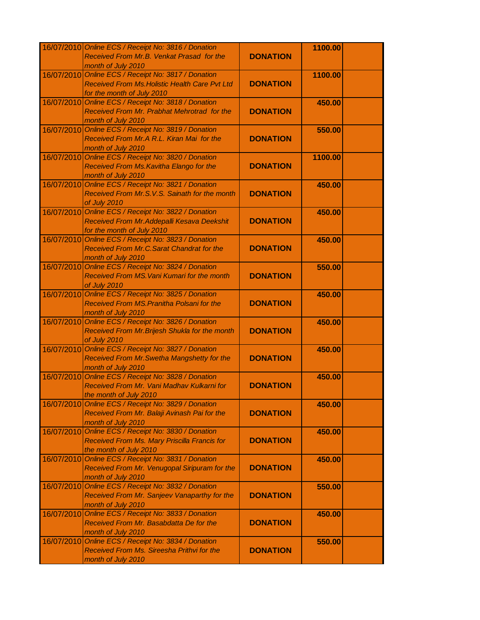|            | 16/07/2010 Online ECS / Receipt No: 3816 / Donation                       |                 | 1100.00 |  |
|------------|---------------------------------------------------------------------------|-----------------|---------|--|
|            | Received From Mr.B. Venkat Prasad for the                                 | <b>DONATION</b> |         |  |
|            | month of July 2010                                                        |                 |         |  |
| 16/07/2010 | Online ECS / Receipt No: 3817 / Donation                                  |                 | 1100.00 |  |
|            | Received From Ms. Holistic Health Care Pvt Ltd                            | <b>DONATION</b> |         |  |
|            | for the month of July 2010                                                |                 |         |  |
| 16/07/2010 | Online ECS / Receipt No: 3818 / Donation                                  |                 | 450.00  |  |
|            | Received From Mr. Prabhat Mehrotrad for the                               | <b>DONATION</b> |         |  |
|            | month of July 2010                                                        |                 |         |  |
|            | 16/07/2010 Online ECS / Receipt No: 3819 / Donation                       |                 |         |  |
|            |                                                                           |                 | 550.00  |  |
|            | Received From Mr.A R.L. Kiran Mai for the                                 | <b>DONATION</b> |         |  |
|            | month of July 2010                                                        |                 |         |  |
|            | 16/07/2010 Online ECS / Receipt No: 3820 / Donation                       |                 | 1100.00 |  |
|            | Received From Ms. Kavitha Elango for the                                  | <b>DONATION</b> |         |  |
|            | month of July 2010                                                        |                 |         |  |
|            | 16/07/2010 Online ECS / Receipt No: 3821 / Donation                       |                 | 450.00  |  |
|            | Received From Mr.S.V.S. Sainath for the month                             | <b>DONATION</b> |         |  |
|            | of July 2010                                                              |                 |         |  |
|            | 16/07/2010 Online ECS / Receipt No: 3822 / Donation                       |                 | 450.00  |  |
|            | Received From Mr. Addepalli Kesava Deekshit                               | <b>DONATION</b> |         |  |
|            | for the month of July 2010                                                |                 |         |  |
|            | 16/07/2010 Online ECS / Receipt No: 3823 / Donation                       |                 | 450.00  |  |
|            | Received From Mr.C. Sarat Chandrat for the                                | <b>DONATION</b> |         |  |
|            | month of July 2010                                                        |                 |         |  |
|            | 16/07/2010 Online ECS / Receipt No: 3824 / Donation                       |                 | 550.00  |  |
|            | Received From MS. Vani Kumari for the month                               | <b>DONATION</b> |         |  |
|            | of July 2010                                                              |                 |         |  |
|            | 16/07/2010 Online ECS / Receipt No: 3825 / Donation                       |                 | 450.00  |  |
|            | Received From MS. Pranitha Polsani for the                                | <b>DONATION</b> |         |  |
|            |                                                                           |                 |         |  |
|            | month of July 2010<br>16/07/2010 Online ECS / Receipt No: 3826 / Donation |                 |         |  |
|            |                                                                           |                 | 450.00  |  |
|            | Received From Mr. Brijesh Shukla for the month                            | <b>DONATION</b> |         |  |
|            | of July 2010                                                              |                 |         |  |
|            | 16/07/2010 Online ECS / Receipt No: 3827 / Donation                       |                 | 450.00  |  |
|            | Received From Mr. Swetha Mangshetty for the                               | <b>DONATION</b> |         |  |
|            | month of July 2010                                                        |                 |         |  |
|            | 16/07/2010 Online ECS / Receipt No: 3828 / Donation                       |                 | 450.00  |  |
|            | Received From Mr. Vani Madhav Kulkarni for                                | <b>DONATION</b> |         |  |
|            | the month of July 2010                                                    |                 |         |  |
| 16/07/2010 | Online ECS / Receipt No: 3829 / Donation                                  |                 | 450.00  |  |
|            | Received From Mr. Balaji Avinash Pai for the                              | <b>DONATION</b> |         |  |
|            | month of July 2010                                                        |                 |         |  |
| 16/07/2010 | Online ECS / Receipt No: 3830 / Donation                                  |                 | 450.00  |  |
|            | Received From Ms. Mary Priscilla Francis for                              | <b>DONATION</b> |         |  |
|            | the month of July 2010                                                    |                 |         |  |
| 16/07/2010 | Online ECS / Receipt No: 3831 / Donation                                  |                 | 450.00  |  |
|            | Received From Mr. Venugopal Siripuram for the                             | <b>DONATION</b> |         |  |
|            | month of July 2010                                                        |                 |         |  |
|            | 16/07/2010 Online ECS / Receipt No: 3832 / Donation                       |                 | 550.00  |  |
|            | Received From Mr. Sanjeev Vanaparthy for the                              | <b>DONATION</b> |         |  |
|            |                                                                           |                 |         |  |
|            | month of July 2010                                                        |                 |         |  |
| 16/07/2010 | Online ECS / Receipt No: 3833 / Donation                                  |                 | 450.00  |  |
|            | Received From Mr. Basabdatta De for the                                   | <b>DONATION</b> |         |  |
|            | month of July 2010                                                        |                 |         |  |
| 16/07/2010 | Online ECS / Receipt No: 3834 / Donation                                  |                 | 550.00  |  |
|            | Received From Ms. Sireesha Prithvi for the                                | <b>DONATION</b> |         |  |
|            | month of July 2010                                                        |                 |         |  |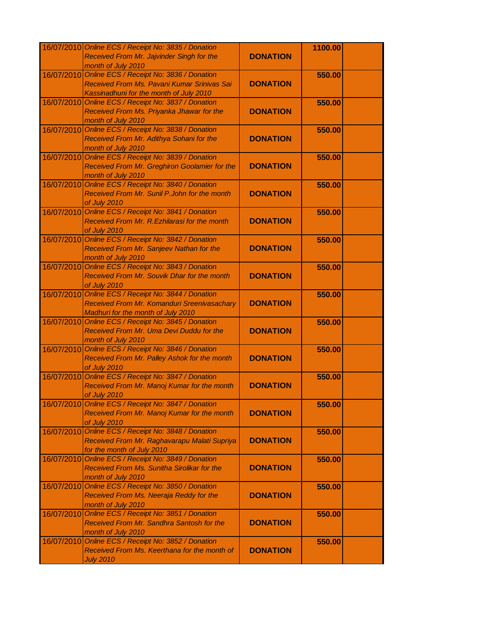|            | 16/07/2010 Online ECS / Receipt No: 3835 / Donation                       |                 | 1100.00 |  |
|------------|---------------------------------------------------------------------------|-----------------|---------|--|
|            | Received From Mr. Jajvinder Singh for the                                 | <b>DONATION</b> |         |  |
|            | month of July 2010                                                        |                 |         |  |
| 16/07/2010 | Online ECS / Receipt No: 3836 / Donation                                  |                 | 550.00  |  |
|            | Received From Ms. Pavani Kumar Srinivas Sai                               | <b>DONATION</b> |         |  |
|            | Kassinadhuni for the month of July 2010                                   |                 |         |  |
|            | 16/07/2010 Online ECS / Receipt No: 3837 / Donation                       |                 | 550.00  |  |
|            | Received From Ms. Priyanka Jhawar for the                                 | <b>DONATION</b> |         |  |
|            | month of July 2010                                                        |                 |         |  |
|            | 16/07/2010 Online ECS / Receipt No: 3838 / Donation                       |                 | 550.00  |  |
|            | Received From Mr. Adithya Sohani for the                                  | <b>DONATION</b> |         |  |
|            | month of July 2010                                                        |                 |         |  |
|            | 16/07/2010 Online ECS / Receipt No: 3839 / Donation                       |                 | 550.00  |  |
|            | Received From Mr. Greghiron Goolamier for the                             | <b>DONATION</b> |         |  |
|            |                                                                           |                 |         |  |
|            | month of July 2010<br>16/07/2010 Online ECS / Receipt No: 3840 / Donation |                 |         |  |
|            |                                                                           |                 | 550.00  |  |
|            | Received From Mr. Sunil P.John for the month                              | <b>DONATION</b> |         |  |
|            | of July 2010                                                              |                 |         |  |
|            | 16/07/2010 Online ECS / Receipt No: 3841 / Donation                       |                 | 550.00  |  |
|            | Received From Mr. R. Ezhilarasi for the month                             | <b>DONATION</b> |         |  |
|            | of July 2010                                                              |                 |         |  |
| 16/07/2010 | Online ECS / Receipt No: 3842 / Donation                                  |                 | 550.00  |  |
|            | Received From Mr. Sanjeev Nathan for the                                  | <b>DONATION</b> |         |  |
|            | month of July 2010                                                        |                 |         |  |
| 16/07/2010 | Online ECS / Receipt No: 3843 / Donation                                  |                 | 550.00  |  |
|            | Received From Mr. Souvik Dhar for the month                               | <b>DONATION</b> |         |  |
|            | of July 2010                                                              |                 |         |  |
|            | 16/07/2010 Online ECS / Receipt No: 3844 / Donation                       |                 | 550.00  |  |
|            | Received From Mr. Komanduri Sreenivasachary                               | <b>DONATION</b> |         |  |
|            | Madhuri for the month of July 2010                                        |                 |         |  |
|            | 16/07/2010 Online ECS / Receipt No: 3845 / Donation                       |                 | 550.00  |  |
|            | Received From Mr. Uma Devi Duddu for the                                  | <b>DONATION</b> |         |  |
|            | month of July 2010                                                        |                 |         |  |
| 16/07/2010 | Online ECS / Receipt No: 3846 / Donation                                  |                 | 550.00  |  |
|            | Received From Mr. Palley Ashok for the month                              | <b>DONATION</b> |         |  |
|            | of July 2010                                                              |                 |         |  |
| 16/07/2010 | Online ECS / Receipt No: 3847 / Donation                                  |                 | 550.00  |  |
|            | Received From Mr. Manoj Kumar for the month                               | <b>DONATION</b> |         |  |
|            | of July 2010                                                              |                 |         |  |
| 16/07/2010 | Online ECS / Receipt No: 3847 / Donation                                  |                 | 550.00  |  |
|            | Received From Mr. Manoj Kumar for the month                               | <b>DONATION</b> |         |  |
|            | of July 2010                                                              |                 |         |  |
| 16/07/2010 | Online ECS / Receipt No: 3848 / Donation                                  |                 | 550.00  |  |
|            | Received From Mr. Raghavarapu Malati Supriya                              | <b>DONATION</b> |         |  |
|            | for the month of July 2010                                                |                 |         |  |
| 16/07/2010 | Online ECS / Receipt No: 3849 / Donation                                  |                 | 550.00  |  |
|            | Received From Ms. Sunitha Sirolikar for the                               | <b>DONATION</b> |         |  |
|            | month of July 2010                                                        |                 |         |  |
|            | 16/07/2010 Online ECS / Receipt No: 3850 / Donation                       |                 | 550.00  |  |
|            | Received From Ms. Neeraja Reddy for the                                   | <b>DONATION</b> |         |  |
|            | month of July 2010                                                        |                 |         |  |
| 16/07/2010 | Online ECS / Receipt No: 3851 / Donation                                  |                 | 550.00  |  |
|            | Received From Mr. Sandhra Santosh for the                                 | <b>DONATION</b> |         |  |
|            | month of July 2010                                                        |                 |         |  |
| 16/07/2010 | Online ECS / Receipt No: 3852 / Donation                                  |                 | 550.00  |  |
|            | Received From Ms. Keerthana for the month of                              | <b>DONATION</b> |         |  |
|            | <b>July 2010</b>                                                          |                 |         |  |
|            |                                                                           |                 |         |  |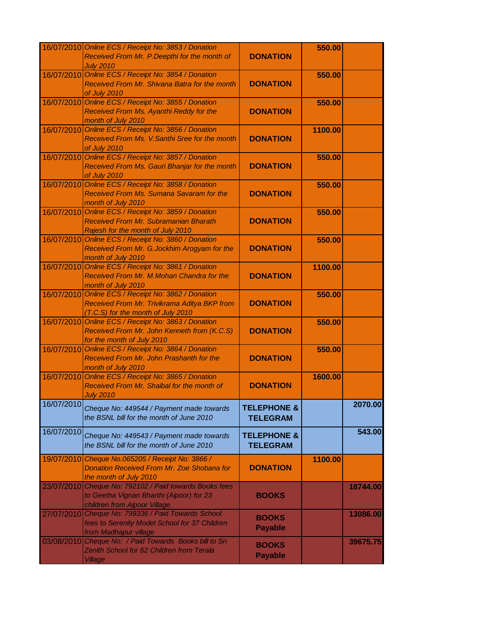|            | 16/07/2010 Online ECS / Receipt No: 3853 / Donation<br>Received From Mr. P. Deepthi for the month of                                      | <b>DONATION</b>                           | 550.00  |          |
|------------|-------------------------------------------------------------------------------------------------------------------------------------------|-------------------------------------------|---------|----------|
| 16/07/2010 | <b>July 2010</b><br>Online ECS / Receipt No: 3854 / Donation<br>Received From Mr. Shivana Batra for the month<br>of July 2010             | <b>DONATION</b>                           | 550.00  |          |
| 16/07/2010 | Online ECS / Receipt No: 3855 / Donation<br>Received From Ms. Ayanthi Reddy for the<br>month of July 2010                                 | <b>DONATION</b>                           | 550.00  |          |
|            | 16/07/2010 Online ECS / Receipt No: 3856 / Donation<br>Received From Ms. V. Santhi Sree for the month<br>of July 2010                     | <b>DONATION</b>                           | 1100.00 |          |
|            | 16/07/2010 Online ECS / Receipt No: 3857 / Donation<br>Received From Ms. Gauri Bhanjar for the month<br>of July 2010                      | <b>DONATION</b>                           | 550.00  |          |
|            | 16/07/2010 Online ECS / Receipt No: 3858 / Donation<br>Received From Ms. Sumana Savaram for the<br>month of July 2010                     | <b>DONATION</b>                           | 550.00  |          |
|            | 16/07/2010 Online ECS / Receipt No: 3859 / Donation<br>Received From Mr. Subramanian Bharath<br>Rajesh for the month of July 2010         | <b>DONATION</b>                           | 550.00  |          |
|            | 16/07/2010 Online ECS / Receipt No: 3860 / Donation<br>Received From Mr. G.Jockhim Arogyam for the<br>month of July 2010                  | <b>DONATION</b>                           | 550.00  |          |
|            | 16/07/2010 Online ECS / Receipt No: 3861 / Donation<br>Received From Mr. M.Mohan Chandra for the<br>month of July 2010                    | <b>DONATION</b>                           | 1100.00 |          |
|            | 16/07/2010 Online ECS / Receipt No: 3862 / Donation<br>Received From Mr. Trivikrama Aditya BKP from<br>(T.C.S) for the month of July 2010 | <b>DONATION</b>                           | 550.00  |          |
|            | 16/07/2010 Online ECS / Receipt No: 3863 / Donation<br>Received From Mr. John Kenneth from (K.C.S)<br>for the month of July 2010          | <b>DONATION</b>                           | 550.00  |          |
|            | 16/07/2010 Online ECS / Receipt No: 3864 / Donation<br>Received From Mr. John Prashanth for the<br>month of July 2010                     | <b>DONATION</b>                           | 550.00  |          |
|            | 16/07/2010 Online ECS / Receipt No: 3865 / Donation<br>Received From Mr. Shaibal for the month of<br><b>July 2010</b>                     | <b>DONATION</b>                           | 1600.00 |          |
| 16/07/2010 | Cheque No: 449544 / Payment made towards<br>the BSNL bill for the month of June 2010                                                      | <b>TELEPHONE &amp;</b><br><b>TELEGRAM</b> |         | 2070.00  |
| 16/07/2010 | Cheque No: 449543 / Payment made towards<br>the BSNL bill for the month of June 2010                                                      | <b>TELEPHONE &amp;</b><br><b>TELEGRAM</b> |         | 543.00   |
| 19/07/2010 | Cheque No.065205 / Receipt No: 3866 /<br>Donation Received From Mr. Zoe Shobana for<br>the month of July 2010                             | <b>DONATION</b>                           | 1100.00 |          |
|            | 23/07/2010 Cheque No: 792102 / Paid towards Books fees<br>to Geetha Vignan Bharthi (Aipoor) for 23<br>children from Aipoor Village.       | <b>BOOKS</b>                              |         | 18744.00 |
| 27/07/2010 | Cheque No: 799336 / Paid Towards School<br>fees to Serenity Model School for 37 Children<br>from Madhapur village                         | <b>BOOKS</b><br><b>Payable</b>            |         | 13086.00 |
|            | 03/08/2010 Cheque No: / Paid Towards Books bill to Sri<br>Zenith School for 62 Children from Terala<br><b>Village</b>                     | <b>BOOKS</b><br><b>Payable</b>            |         | 39675.75 |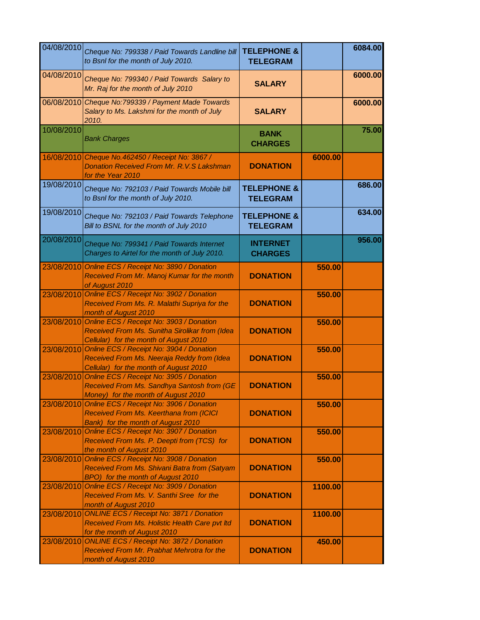| 04/08/2010 | Cheque No: 799338 / Paid Towards Landline bill<br>to Bsnl for the month of July 2010.                                                           | <b>TELEPHONE &amp;</b><br><b>TELEGRAM</b> |         | 6084.00 |
|------------|-------------------------------------------------------------------------------------------------------------------------------------------------|-------------------------------------------|---------|---------|
| 04/08/2010 | Cheque No: 799340 / Paid Towards Salary to<br>Mr. Raj for the month of July 2010                                                                | <b>SALARY</b>                             |         | 6000.00 |
| 06/08/2010 | Cheque No:799339 / Payment Made Towards<br>Salary to Ms. Lakshmi for the month of July<br>2010.                                                 | <b>SALARY</b>                             |         | 6000.00 |
| 10/08/2010 | <b>Bank Charges</b>                                                                                                                             | <b>BANK</b><br><b>CHARGES</b>             |         | 75.00   |
|            | 16/08/2010 Cheque No. 462450 / Receipt No: 3867 /<br>Donation Received From Mr. R.V.S Lakshman<br>for the Year 2010                             | <b>DONATION</b>                           | 6000.00 |         |
| 19/08/2010 | Cheque No: 792103 / Paid Towards Mobile bill<br>to Bsnl for the month of July 2010.                                                             | <b>TELEPHONE &amp;</b><br><b>TELEGRAM</b> |         | 686.00  |
| 19/08/2010 | Cheque No: 792103 / Paid Towards Telephone<br>Bill to BSNL for the month of July 2010                                                           | <b>TELEPHONE &amp;</b><br><b>TELEGRAM</b> |         | 634.00  |
| 20/08/2010 | Cheque No: 799341 / Paid Towards Internet<br>Charges to Airtel for the month of July 2010.                                                      | <b>INTERNET</b><br><b>CHARGES</b>         |         | 956.00  |
| 23/08/2010 | Online ECS / Receipt No: 3890 / Donation<br>Received From Mr. Manoj Kumar for the month<br>of August 2010                                       | <b>DONATION</b>                           | 550.00  |         |
| 23/08/2010 | Online ECS / Receipt No: 3902 / Donation<br>Received From Ms. R. Malathi Supriya for the<br>month of August 2010                                | <b>DONATION</b>                           | 550.00  |         |
|            | 23/08/2010 Online ECS / Receipt No: 3903 / Donation<br>Received From Ms. Sunitha Sirolikar from (Idea<br>Cellular) for the month of August 2010 | <b>DONATION</b>                           | 550.00  |         |
| 23/08/2010 | Online ECS / Receipt No: 3904 / Donation<br>Received From Ms. Neeraja Reddy from (Idea<br>Cellular) for the month of August 2010                | <b>DONATION</b>                           | 550.00  |         |
| 23/08/2010 | Online ECS / Receipt No: 3905 / Donation<br>Received From Ms. Sandhya Santosh from (GE<br>Money) for the month of August 2010                   | <b>DONATION</b>                           | 550.00  |         |
|            | 23/08/2010 Online ECS / Receipt No: 3906 / Donation<br>Received From Ms. Keerthana from (ICICI<br>Bank) for the month of August 2010            | <b>DONATION</b>                           | 550.00  |         |
| 23/08/2010 | Online ECS / Receipt No: 3907 / Donation<br>Received From Ms. P. Deepti from (TCS) for<br>the month of August 2010                              | <b>DONATION</b>                           | 550.00  |         |
| 23/08/2010 | Online ECS / Receipt No: 3908 / Donation<br>Received From Ms. Shivani Batra from (Satyam<br>BPO) for the month of August 2010                   | <b>DONATION</b>                           | 550.00  |         |
|            | 23/08/2010 Online ECS / Receipt No: 3909 / Donation<br>Received From Ms. V. Santhi Sree for the<br>month of August 2010                         | <b>DONATION</b>                           | 1100.00 |         |
| 23/08/2010 | <b>ONLINE ECS / Receipt No: 3871 / Donation</b><br>Received From Ms. Holistic Health Care pvt Itd<br>for the month of August 2010               | <b>DONATION</b>                           | 1100.00 |         |
| 23/08/2010 | <b>ONLINE ECS / Receipt No: 3872 / Donation</b><br>Received From Mr. Prabhat Mehrotra for the<br>month of August 2010                           | <b>DONATION</b>                           | 450.00  |         |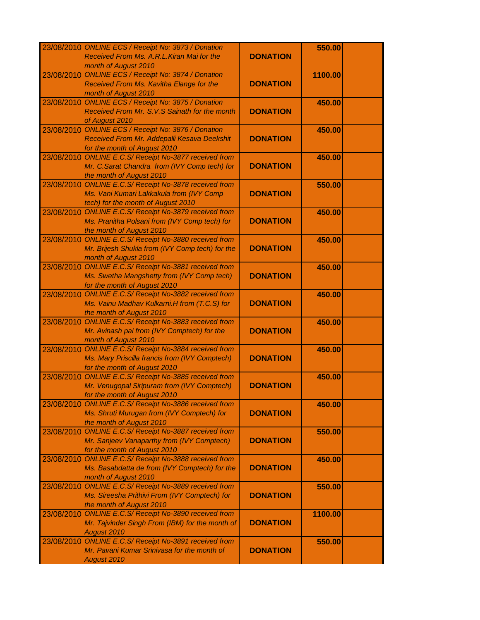|            | 23/08/2010 ONLINE ECS / Receipt No: 3873 / Donation    |                 | 550.00  |  |
|------------|--------------------------------------------------------|-----------------|---------|--|
|            | Received From Ms. A.R.L. Kiran Mai for the             | <b>DONATION</b> |         |  |
|            | month of August 2010                                   |                 |         |  |
| 23/08/2010 | <b>ONLINE ECS / Receipt No: 3874 / Donation</b>        |                 |         |  |
|            |                                                        |                 | 1100.00 |  |
|            | Received From Ms. Kavitha Elange for the               | <b>DONATION</b> |         |  |
|            | month of August 2010                                   |                 |         |  |
| 23/08/2010 | <b>ONLINE ECS / Receipt No: 3875 / Donation</b>        |                 | 450.00  |  |
|            | Received From Mr. S.V.S Sainath for the month          | <b>DONATION</b> |         |  |
|            | of August 2010                                         |                 |         |  |
|            | 23/08/2010 ONLINE ECS / Receipt No: 3876 / Donation    |                 | 450.00  |  |
|            | Received From Mr. Addepalli Kesava Deekshit            | <b>DONATION</b> |         |  |
|            | for the month of August 2010                           |                 |         |  |
|            | 23/08/2010 ONLINE E.C.S/ Receipt No-3877 received from |                 | 450.00  |  |
|            | Mr. C.Sarat Chandra from (IVY Comp tech) for           | <b>DONATION</b> |         |  |
|            | the month of August 2010                               |                 |         |  |
|            | 23/08/2010 ONLINE E.C.S/ Receipt No-3878 received from |                 | 550.00  |  |
|            |                                                        |                 |         |  |
|            | Ms. Vani Kumari Lakkakula from (IVY Comp               | <b>DONATION</b> |         |  |
|            | tech) for the month of August 2010                     |                 |         |  |
|            | 23/08/2010 ONLINE E.C.S/ Receipt No-3879 received from |                 | 450.00  |  |
|            | Ms. Pranitha Polsani from (IVY Comp tech) for          | <b>DONATION</b> |         |  |
|            | the month of August 2010                               |                 |         |  |
| 23/08/2010 | <b>ONLINE E.C.S/ Receipt No-3880 received from</b>     |                 | 450.00  |  |
|            | Mr. Brijesh Shukla from (IVY Comp tech) for the        | <b>DONATION</b> |         |  |
|            | month of August 2010                                   |                 |         |  |
| 23/08/2010 | <b>ONLINE E.C.S/ Receipt No-3881 received from</b>     |                 | 450.00  |  |
|            | Ms. Swetha Mangshetty from (IVY Comp tech)             | <b>DONATION</b> |         |  |
|            | for the month of August 2010                           |                 |         |  |
| 23/08/2010 | <b>ONLINE E.C.S/ Receipt No-3882 received from</b>     |                 | 450.00  |  |
|            |                                                        |                 |         |  |
|            | Ms. Vainu Madhav Kulkarni.H from (T.C.S) for           | <b>DONATION</b> |         |  |
|            | the month of August 2010                               |                 |         |  |
|            | 23/08/2010 ONLINE E.C.S/ Receipt No-3883 received from |                 | 450.00  |  |
|            | Mr. Avinash pai from (IVY Comptech) for the            | <b>DONATION</b> |         |  |
|            | month of August 2010                                   |                 |         |  |
|            | 23/08/2010 ONLINE E.C.S/ Receipt No-3884 received from |                 | 450.00  |  |
|            | Ms. Mary Priscilla francis from (IVY Comptech)         | <b>DONATION</b> |         |  |
|            | for the month of August 2010                           |                 |         |  |
| 23/08/2010 | <b>ONLINE E.C.S/ Receipt No-3885 received from</b>     |                 | 450.00  |  |
|            | Mr. Venugopal Siripuram from (IVY Comptech)            | <b>DONATION</b> |         |  |
|            | for the month of August 2010                           |                 |         |  |
| 23/08/2010 | <b>ONLINE E.C.S/ Receipt No-3886 received from</b>     |                 | 450.00  |  |
|            | Ms. Shruti Murugan from (IVY Comptech) for             | <b>DONATION</b> |         |  |
|            | the month of August 2010                               |                 |         |  |
|            | <b>ONLINE E.C.S/ Receipt No-3887 received from</b>     |                 |         |  |
| 23/08/2010 |                                                        |                 | 550.00  |  |
|            | Mr. Sanjeev Vanaparthy from (IVY Comptech)             | <b>DONATION</b> |         |  |
|            | for the month of August 2010                           |                 |         |  |
| 23/08/2010 | <b>ONLINE E.C.S/ Receipt No-3888 received from</b>     |                 | 450.00  |  |
|            | Ms. Basabdatta de from (IVY Comptech) for the          | <b>DONATION</b> |         |  |
|            | month of August 2010                                   |                 |         |  |
|            | 23/08/2010 ONLINE E.C.S/ Receipt No-3889 received from |                 | 550.00  |  |
|            | Ms. Sireesha Prithivi From (IVY Comptech) for          | <b>DONATION</b> |         |  |
|            | the month of August 2010                               |                 |         |  |
| 23/08/2010 | <b>ONLINE E.C.S/ Receipt No-3890 received from</b>     |                 | 1100.00 |  |
|            | Mr. Tajvinder Singh From (IBM) for the month of        | <b>DONATION</b> |         |  |
|            | August 2010                                            |                 |         |  |
| 23/08/2010 | <b>ONLINE E.C.S/ Receipt No-3891 received from</b>     |                 | 550.00  |  |
|            | Mr. Pavani Kumar Srinivasa for the month of            | <b>DONATION</b> |         |  |
|            |                                                        |                 |         |  |
|            | August 2010                                            |                 |         |  |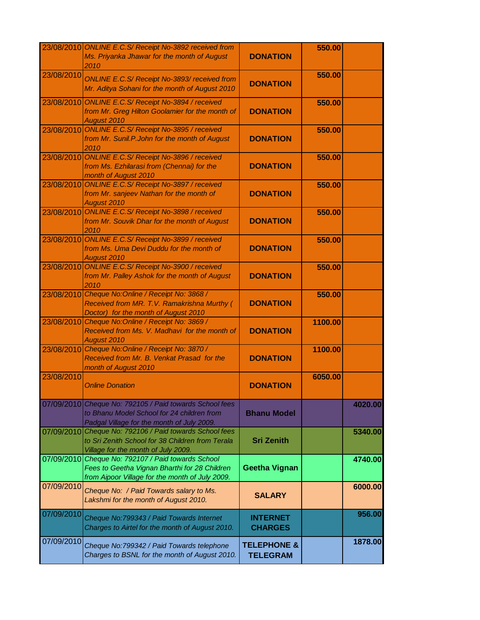|            | 23/08/2010 ONLINE E.C.S/ Receipt No-3892 received from<br>Ms. Priyanka Jhawar for the month of August<br>2010                                          | <b>DONATION</b>                           | 550.00  |         |
|------------|--------------------------------------------------------------------------------------------------------------------------------------------------------|-------------------------------------------|---------|---------|
| 23/08/2010 | ONLINE E.C.S/ Receipt No-3893/ received from<br>Mr. Aditya Sohani for the month of August 2010                                                         | <b>DONATION</b>                           | 550.00  |         |
|            | 23/08/2010 ONLINE E.C.S/ Receipt No-3894 / received<br>from Mr. Greg Hilton Goolamier for the month of<br>August 2010                                  | <b>DONATION</b>                           | 550.00  |         |
|            | 23/08/2010 ONLINE E.C.S/ Receipt No-3895 / received<br>from Mr. Sunil.P.John for the month of August<br>2010                                           | <b>DONATION</b>                           | 550.00  |         |
|            | 23/08/2010 ONLINE E.C.S/ Receipt No-3896 / received<br>from Ms. Ezhilarasi from (Chennai) for the<br>month of August 2010                              | <b>DONATION</b>                           | 550.00  |         |
|            | 23/08/2010 ONLINE E.C.S/ Receipt No-3897 / received<br>from Mr. sanjeev Nathan for the month of<br>August 2010                                         | <b>DONATION</b>                           | 550.00  |         |
|            | 23/08/2010 ONLINE E.C.S/ Receipt No-3898 / received<br>from Mr. Souvik Dhar for the month of August<br>2010                                            | <b>DONATION</b>                           | 550.00  |         |
|            | 23/08/2010 ONLINE E.C.S/ Receipt No-3899 / received<br>from Ms. Uma Devi Duddu for the month of<br>August 2010                                         | <b>DONATION</b>                           | 550.00  |         |
|            | 23/08/2010 ONLINE E.C.S/ Receipt No-3900 / received<br>from Mr. Palley Ashok for the month of August<br>2010                                           | <b>DONATION</b>                           | 550.00  |         |
|            | 23/08/2010 Cheque No: Online / Receipt No: 3868 /<br>Received from MR. T.V. Ramakrishna Murthy (<br>Doctor) for the month of August 2010               | <b>DONATION</b>                           | 550.00  |         |
|            | 23/08/2010 Cheque No: Online / Receipt No: 3869 /<br>Received from Ms. V. Madhavi for the month of<br>August 2010                                      | <b>DONATION</b>                           | 1100.00 |         |
|            | 23/08/2010 Cheque No: Online / Receipt No: 3870 /<br>Received from Mr. B. Venkat Prasad for the<br>month of August 2010                                | <b>DONATION</b>                           | 1100.00 |         |
| 23/08/2010 | <b>Online Donation</b>                                                                                                                                 | <b>DONATION</b>                           | 6050.00 |         |
|            | 07/09/2010 Cheque No: 792105 / Paid towards School fees<br>to Bhanu Model School for 24 children from<br>Padgal Village for the month of July 2009.    | <b>Bhanu Model</b>                        |         | 4020.00 |
|            | 07/09/2010 Cheque No: 792106 / Paid towards School fees<br>to Sri Zenith School for 38 Children from Terala<br>Village for the month of July 2009.     | <b>Sri Zenith</b>                         |         | 5340.00 |
|            | 07/09/2010 Cheque No: 792107 / Paid towards School<br>Fees to Geetha Vignan Bharthi for 28 Children<br>from Aipoor Village for the month of July 2009. | <b>Geetha Vignan</b>                      |         | 4740.00 |
| 07/09/2010 | Cheque No: / Paid Towards salary to Ms.<br>Lakshmi for the month of August 2010.                                                                       | <b>SALARY</b>                             |         | 6000.00 |
| 07/09/2010 | Cheque No: 799343 / Paid Towards Internet<br>Charges to Airtel for the month of August 2010.                                                           | <b>INTERNET</b><br><b>CHARGES</b>         |         | 956.00  |
| 07/09/2010 | Cheque No:799342 / Paid Towards telephone<br>Charges to BSNL for the month of August 2010.                                                             | <b>TELEPHONE &amp;</b><br><b>TELEGRAM</b> |         | 1878.00 |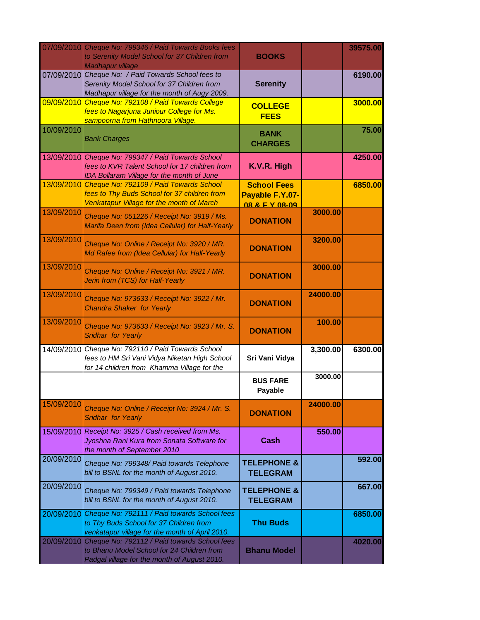|            | 07/09/2010 Cheque No: 799346 / Paid Towards Books fees<br>to Serenity Model School for 37 Children from<br>Madhapur village                           | <b>BOOKS</b>                                            |          | 39575.00 |
|------------|-------------------------------------------------------------------------------------------------------------------------------------------------------|---------------------------------------------------------|----------|----------|
|            | 07/09/2010 Cheque No: / Paid Towards School fees to<br>Serenity Model School for 37 Children from<br>Madhapur village for the month of Augy 2009.     | <b>Serenity</b>                                         |          | 6190.00  |
|            | 09/09/2010 Cheque No: 792108 / Paid Towards College<br>fees to Nagarjuna Juniour College for Ms.<br>sampoorna from Hathnoora Village.                 | <b>COLLEGE</b><br><b>FEES</b>                           |          | 3000.00  |
| 10/09/2010 | <b>Bank Charges</b>                                                                                                                                   | <b>BANK</b><br><b>CHARGES</b>                           |          | 75.00    |
|            | 13/09/2010 Cheque No: 799347 / Paid Towards School<br>fees to KVR Talent School for 17 children from<br>IDA Bollaram Village for the month of June    | K.V.R. High                                             |          | 4250.00  |
|            | 13/09/2010 Cheque No: 792109 / Paid Towards School<br>fees to Thy Buds School for 37 children from<br>Venkatapur Village for the month of March       | <b>School Fees</b><br>Payable F.Y.07-<br>08 & F Y 08-09 |          | 6850.00  |
| 13/09/2010 | Cheque No: 051226 / Receipt No: 3919 / Ms.<br>Marifa Deen from (Idea Cellular) for Half-Yearly                                                        | <b>DONATION</b>                                         | 3000.00  |          |
| 13/09/2010 | Cheque No: Online / Receipt No: 3920 / MR.<br>Md Rafee from (Idea Cellular) for Half-Yearly                                                           | <b>DONATION</b>                                         | 3200.00  |          |
| 13/09/2010 | Cheque No: Online / Receipt No: 3921 / MR.<br>Jerin from (TCS) for Half-Yearly                                                                        | <b>DONATION</b>                                         | 3000.00  |          |
| 13/09/2010 | Cheque No: 973633 / Receipt No: 3922 / Mr.<br><b>Chandra Shaker for Yearly</b>                                                                        | <b>DONATION</b>                                         | 24000.00 |          |
| 13/09/2010 | Cheque No: 973633 / Receipt No: 3923 / Mr. S.<br>Sridhar for Yearly                                                                                   | <b>DONATION</b>                                         | 100.00   |          |
|            | 14/09/2010 Cheque No: 792110 / Paid Towards School<br>fees to HM Sri Vani Vidya Niketan High School<br>for 14 children from Khamma Village for the    | Sri Vani Vidya                                          | 3,300.00 | 6300.00  |
|            |                                                                                                                                                       | <b>BUS FARE</b><br>Payable                              | 3000.00  |          |
| 15/09/2010 | Cheque No: Online / Receipt No: 3924 / Mr. S.<br><b>Sridhar for Yearly</b>                                                                            | <b>DONATION</b>                                         | 24000.00 |          |
|            | 15/09/2010 Receipt No: 3925 / Cash received from Ms.<br>Jyoshna Rani Kura from Sonata Software for<br>the month of September 2010                     | Cash                                                    | 550.00   |          |
| 20/09/2010 | Cheque No: 799348/ Paid towards Telephone<br>bill to BSNL for the month of August 2010.                                                               | <b>TELEPHONE &amp;</b><br><b>TELEGRAM</b>               |          | 592.00   |
| 20/09/2010 | Cheque No: 799349 / Paid towards Telephone<br>bill to BSNL for the month of August 2010.                                                              | <b>TELEPHONE &amp;</b><br><b>TELEGRAM</b>               |          | 667.00   |
|            | 20/09/2010 Cheque No: 792111 / Paid towards School fees<br>to Thy Buds School for 37 Children from<br>venkatapur village for the month of April 2010. | <b>Thu Buds</b>                                         |          | 6850.00  |
| 20/09/2010 | Cheque No: 792112 / Paid towards School fees<br>to Bhanu Model School for 24 Children from<br>Padgal village for the month of August 2010.            | <b>Bhanu Model</b>                                      |          | 4020.00  |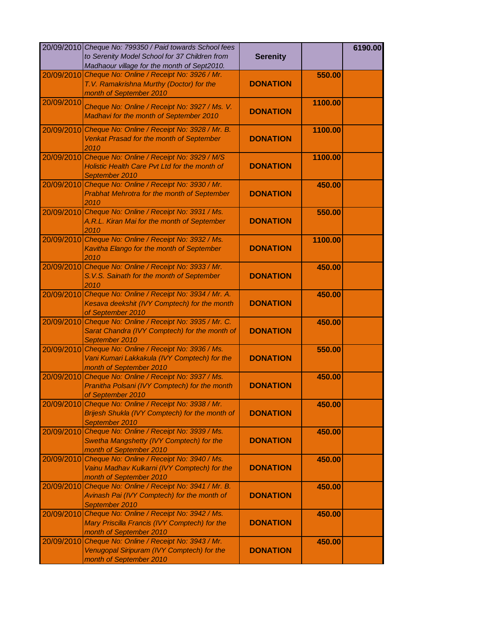|            | 20/09/2010 Cheque No: 799350 / Paid towards School fees<br>to Serenity Model School for 37 Children from<br>Madhaour village for the month of Sept2010. | <b>Serenity</b> |         | 6190.00 |
|------------|---------------------------------------------------------------------------------------------------------------------------------------------------------|-----------------|---------|---------|
| 20/09/2010 | Cheque No: Online / Receipt No: 3926 / Mr.                                                                                                              |                 | 550.00  |         |
|            | T.V. Ramakrishna Murthy (Doctor) for the<br>month of September 2010                                                                                     | <b>DONATION</b> |         |         |
| 20/09/2010 | Cheque No: Online / Receipt No: 3927 / Ms. V.<br>Madhavi for the month of September 2010                                                                | <b>DONATION</b> | 1100.00 |         |
| 20/09/2010 | Cheque No: Online / Receipt No: 3928 / Mr. B.<br>Venkat Prasad for the month of September<br>2010                                                       | <b>DONATION</b> | 1100.00 |         |
|            | 20/09/2010 Cheque No: Online / Receipt No: 3929 / M/S<br>Holistic Health Care Pvt Ltd for the month of<br>September 2010                                | <b>DONATION</b> | 1100.00 |         |
|            | 20/09/2010 Cheque No: Online / Receipt No: 3930 / Mr.<br>Prabhat Mehrotra for the month of September<br>2010                                            | <b>DONATION</b> | 450.00  |         |
|            | 20/09/2010 Cheque No: Online / Receipt No: 3931 / Ms.<br>A.R.L. Kiran Mai for the month of September<br>2010                                            | <b>DONATION</b> | 550.00  |         |
|            | 20/09/2010 Cheque No: Online / Receipt No: 3932 / Ms.<br>Kavitha Elango for the month of September<br>2010                                              | <b>DONATION</b> | 1100.00 |         |
| 20/09/2010 | Cheque No: Online / Receipt No: 3933 / Mr.<br>S.V.S. Sainath for the month of September<br>2010                                                         | <b>DONATION</b> | 450.00  |         |
| 20/09/2010 | Cheque No: Online / Receipt No: 3934 / Mr. A.<br>Kesava deekshit (IVY Comptech) for the month<br>of September 2010                                      | <b>DONATION</b> | 450.00  |         |
| 20/09/2010 | Cheque No: Online / Receipt No: 3935 / Mr. C.<br>Sarat Chandra (IVY Comptech) for the month of<br>September 2010                                        | <b>DONATION</b> | 450.00  |         |
| 20/09/2010 | Cheque No: Online / Receipt No: 3936 / Ms.<br>Vani Kumari Lakkakula (IVY Comptech) for the<br>month of September 2010                                   | <b>DONATION</b> | 550.00  |         |
| 20/09/2010 | Cheque No: Online / Receipt No: 3937 / Ms.<br>Pranitha Polsani (IVY Comptech) for the month<br>of September 2010                                        | <b>DONATION</b> | 450.00  |         |
| 20/09/2010 | Cheque No: Online / Receipt No: 3938 / Mr.<br>Brijesh Shukla (IVY Comptech) for the month of<br>September 2010                                          | <b>DONATION</b> | 450.00  |         |
| 20/09/2010 | Cheque No: Online / Receipt No: 3939 / Ms.<br>Swetha Mangshetty (IVY Comptech) for the<br>month of September 2010                                       | <b>DONATION</b> | 450.00  |         |
| 20/09/2010 | Cheque No: Online / Receipt No: 3940 / Ms.<br>Vainu Madhav Kulkarni (IVY Comptech) for the<br>month of September 2010                                   | <b>DONATION</b> | 450.00  |         |
| 20/09/2010 | Cheque No: Online / Receipt No: 3941 / Mr. B.<br>Avinash Pai (IVY Comptech) for the month of<br>September 2010                                          | <b>DONATION</b> | 450.00  |         |
| 20/09/2010 | Cheque No: Online / Receipt No: 3942 / Ms.<br>Mary Priscilla Francis (IVY Comptech) for the<br>month of September 2010                                  | <b>DONATION</b> | 450.00  |         |
| 20/09/2010 | Cheque No: Online / Receipt No: 3943 / Mr.<br>Venugopal Siripuram (IVY Comptech) for the<br>month of September 2010                                     | <b>DONATION</b> | 450.00  |         |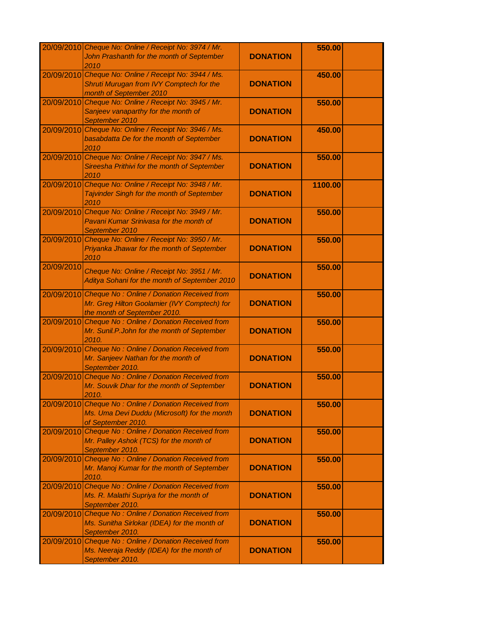|            | 20/09/2010 Cheque No: Online / Receipt No: 3974 / Mr.<br>John Prashanth for the month of September<br>2010                            | <b>DONATION</b> | 550.00  |  |
|------------|---------------------------------------------------------------------------------------------------------------------------------------|-----------------|---------|--|
|            | 20/09/2010 Cheque No: Online / Receipt No: 3944 / Ms.<br>Shruti Murugan from IVY Comptech for the<br>month of September 2010          | <b>DONATION</b> | 450.00  |  |
|            | 20/09/2010 Cheque No: Online / Receipt No: 3945 / Mr.<br>Sanjeev vanaparthy for the month of<br>September 2010                        | <b>DONATION</b> | 550.00  |  |
|            | 20/09/2010 Cheque No: Online / Receipt No: 3946 / Ms.<br>basabdatta De for the month of September<br>2010                             | <b>DONATION</b> | 450.00  |  |
|            | 20/09/2010 Cheque No: Online / Receipt No: 3947 / Ms.<br>Sireesha Prithivi for the month of September<br>2010                         | <b>DONATION</b> | 550.00  |  |
|            | 20/09/2010 Cheque No: Online / Receipt No: 3948 / Mr.<br>Tajvinder Singh for the month of September<br>2010                           | <b>DONATION</b> | 1100.00 |  |
|            | 20/09/2010 Cheque No: Online / Receipt No: 3949 / Mr.<br>Pavani Kumar Srinivasa for the month of<br>September 2010                    | <b>DONATION</b> | 550.00  |  |
|            | 20/09/2010 Cheque No: Online / Receipt No: 3950 / Mr.<br>Priyanka Jhawar for the month of September<br>2010                           | <b>DONATION</b> | 550.00  |  |
| 20/09/2010 | Cheque No: Online / Receipt No: 3951 / Mr.<br>Aditya Sohani for the month of September 2010                                           | <b>DONATION</b> | 550.00  |  |
|            | 20/09/2010 Cheque No: Online / Donation Received from<br>Mr. Greg Hilton Goolamier (IVY Comptech) for<br>the month of September 2010. | <b>DONATION</b> | 550.00  |  |
|            | 20/09/2010 Cheque No: Online / Donation Received from<br>Mr. Sunil.P.John for the month of September<br>2010.                         | <b>DONATION</b> | 550.00  |  |
|            | 20/09/2010 Cheque No: Online / Donation Received from<br>Mr. Sanjeev Nathan for the month of<br>September 2010.                       | <b>DONATION</b> | 550.00  |  |
|            | 20/09/2010 Cheque No: Online / Donation Received from<br>Mr. Souvik Dhar for the month of September<br>2010.                          | <b>DONATION</b> | 550.00  |  |
|            | 20/09/2010 Cheque No: Online / Donation Received from<br>Ms. Uma Devi Duddu (Microsoft) for the month<br>of September 2010.           | <b>DONATION</b> | 550.00  |  |
| 20/09/2010 | Cheque No: Online / Donation Received from<br>Mr. Palley Ashok (TCS) for the month of<br>September 2010.                              | <b>DONATION</b> | 550.00  |  |
| 20/09/2010 | Cheque No: Online / Donation Received from<br>Mr. Manoj Kumar for the month of September<br>2010.                                     | <b>DONATION</b> | 550.00  |  |
|            | 20/09/2010 Cheque No: Online / Donation Received from<br>Ms. R. Malathi Supriya for the month of<br>September 2010.                   | <b>DONATION</b> | 550.00  |  |
|            | 20/09/2010 Cheque No: Online / Donation Received from<br>Ms. Sunitha Sirlokar (IDEA) for the month of<br>September 2010.              | <b>DONATION</b> | 550.00  |  |
|            | 20/09/2010 Cheque No: Online / Donation Received from<br>Ms. Neeraja Reddy (IDEA) for the month of<br>September 2010.                 | <b>DONATION</b> | 550.00  |  |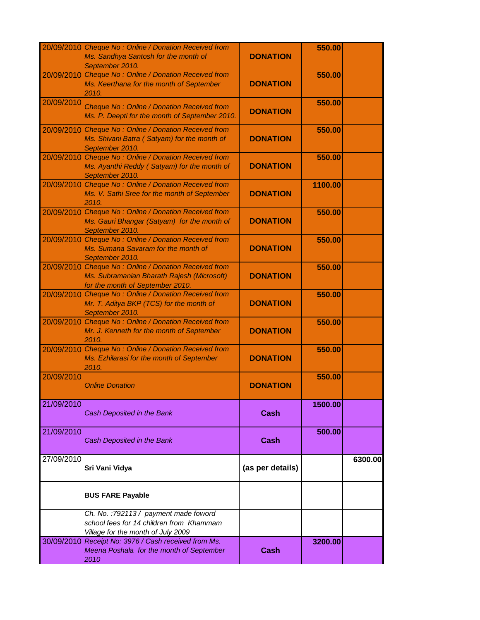|            | 20/09/2010 Cheque No: Online / Donation Received from<br>Ms. Sandhya Santosh for the month of<br>September 2010.             | <b>DONATION</b>  | 550.00  |         |
|------------|------------------------------------------------------------------------------------------------------------------------------|------------------|---------|---------|
| 20/09/2010 | Cheque No: Online / Donation Received from<br>Ms. Keerthana for the month of September<br>2010.                              | <b>DONATION</b>  | 550.00  |         |
| 20/09/2010 | Cheque No: Online / Donation Received from<br>Ms. P. Deepti for the month of September 2010.                                 | <b>DONATION</b>  | 550.00  |         |
|            | 20/09/2010 Cheque No: Online / Donation Received from<br>Ms. Shivani Batra (Satyam) for the month of<br>September 2010.      | <b>DONATION</b>  | 550.00  |         |
|            | 20/09/2010 Cheque No: Online / Donation Received from<br>Ms. Ayanthi Reddy (Satyam) for the month of<br>September 2010.      | <b>DONATION</b>  | 550.00  |         |
|            | 20/09/2010 Cheque No: Online / Donation Received from<br>Ms. V. Sathi Sree for the month of September<br>2010.               | <b>DONATION</b>  | 1100.00 |         |
|            | 20/09/2010 Cheque No: Online / Donation Received from<br>Ms. Gauri Bhangar (Satyam) for the month of<br>September 2010.      | <b>DONATION</b>  | 550.00  |         |
|            | 20/09/2010 Cheque No: Online / Donation Received from<br>Ms. Sumana Savaram for the month of<br>September 2010.              | <b>DONATION</b>  | 550.00  |         |
| 20/09/2010 | Cheque No: Online / Donation Received from<br>Ms. Subramanian Bharath Rajesh (Microsoft)<br>for the month of September 2010. | <b>DONATION</b>  | 550.00  |         |
| 20/09/2010 | Cheque No: Online / Donation Received from<br>Mr. T. Aditya BKP (TCS) for the month of<br>September 2010.                    | <b>DONATION</b>  | 550.00  |         |
|            | 20/09/2010 Cheque No: Online / Donation Received from<br>Mr. J. Kenneth for the month of September<br>2010.                  | <b>DONATION</b>  | 550.00  |         |
|            | 20/09/2010 Cheque No: Online / Donation Received from<br>Ms. Ezhilarasi for the month of September<br>2010.                  | <b>DONATION</b>  | 550.00  |         |
| 20/09/2010 | <b>Online Donation</b>                                                                                                       | <b>DONATION</b>  | 550.00  |         |
| 21/09/2010 | Cash Deposited in the Bank                                                                                                   | <b>Cash</b>      | 1500.00 |         |
| 21/09/2010 | Cash Deposited in the Bank                                                                                                   | Cash             | 500.00  |         |
| 27/09/2010 | Sri Vani Vidya                                                                                                               | (as per details) |         | 6300.00 |
|            | <b>BUS FARE Payable</b>                                                                                                      |                  |         |         |
|            | Ch. No.: 792113 / payment made foword<br>school fees for 14 children from Khammam<br>Village for the month of July 2009      |                  |         |         |
|            | 30/09/2010 Receipt No: 3976 / Cash received from Ms.<br>Meena Poshala for the month of September<br>2010                     | <b>Cash</b>      | 3200.00 |         |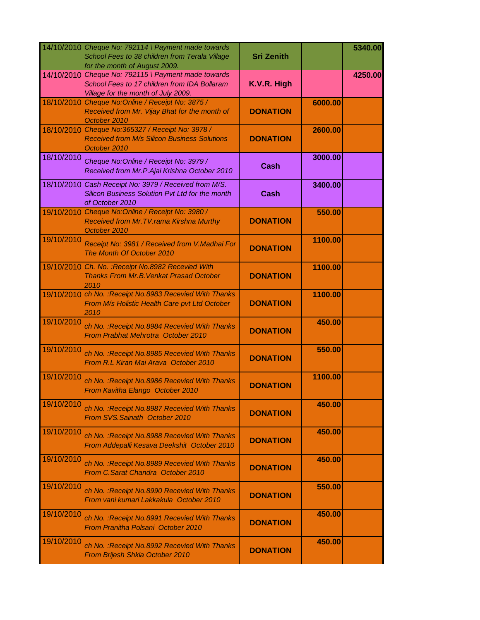|            | 14/10/2010 Cheque No: 792114 \ Payment made towards<br>School Fees to 38 children from Terala Village<br>for the month of August 2009.     | <b>Sri Zenith</b> |         | 5340.00 |
|------------|--------------------------------------------------------------------------------------------------------------------------------------------|-------------------|---------|---------|
|            | 14/10/2010 Cheque No: 792115 \ Payment made towards<br>School Fees to 17 children from IDA Bollaram<br>Village for the month of July 2009. | K.V.R. High       |         | 4250.00 |
| 18/10/2010 | Cheque No: Online / Receipt No: 3875 /<br>Received from Mr. Vijay Bhat for the month of<br>October 2010                                    | <b>DONATION</b>   | 6000.00 |         |
| 18/10/2010 | Cheque No:365327 / Receipt No: 3978 /<br><b>Received from M/s Silicon Business Solutions</b><br>October 2010                               | <b>DONATION</b>   | 2600.00 |         |
| 18/10/2010 | Cheque No: Online / Receipt No: 3979 /<br>Received from Mr.P.Ajai Krishna October 2010                                                     | Cash              | 3000.00 |         |
|            | 18/10/2010 Cash Receipt No: 3979 / Received from M/S.<br>Silicon Business Solution Pvt Ltd for the month<br>of October 2010                | <b>Cash</b>       | 3400.00 |         |
|            | 19/10/2010 Cheque No: Online / Receipt No: 3980 /<br>Received from Mr. TV. rama Kirshna Murthy<br>October 2010                             | <b>DONATION</b>   | 550.00  |         |
| 19/10/2010 | Receipt No: 3981 / Received from V. Madhai For<br>The Month Of October 2010                                                                | <b>DONATION</b>   | 1100.00 |         |
| 19/10/2010 | Ch. No. : Receipt No.8982 Recevied With<br><b>Thanks From Mr.B. Venkat Prasad October</b><br>2010                                          | <b>DONATION</b>   | 1100.00 |         |
|            | 19/10/2010 ch No. : Receipt No.8983 Recevied With Thanks<br>From M/s Holistic Health Care pvt Ltd October<br>2010                          | <b>DONATION</b>   | 1100.00 |         |
| 19/10/2010 | ch No. : Receipt No.8984 Recevied With Thanks<br>From Prabhat Mehrotra October 2010                                                        | <b>DONATION</b>   | 450.00  |         |
| 19/10/2010 | ch No. : Receipt No.8985 Recevied With Thanks<br>From R.L Kiran Mai Arava October 2010                                                     | <b>DONATION</b>   | 550.00  |         |
| 19/10/2010 | ch No. : Receipt No.8986 Recevied With Thanks<br>From Kavitha Elango October 2010                                                          | <b>DONATION</b>   | 1100.00 |         |
| 19/10/2010 | ch No. : Receipt No.8987 Recevied With Thanks<br>From SVS.Sainath October 2010                                                             | <b>DONATION</b>   | 450.00  |         |
| 19/10/2010 | ch No. : Receipt No.8988 Recevied With Thanks<br>From Addepalli Kesava Deekshit October 2010                                               | <b>DONATION</b>   | 450.00  |         |
| 19/10/2010 | ch No. : Receipt No.8989 Recevied With Thanks<br>From C.Sarat Chandra October 2010                                                         | <b>DONATION</b>   | 450.00  |         |
| 19/10/2010 | ch No. : Receipt No.8990 Recevied With Thanks<br>From vani kumari Lakkakula October 2010                                                   | <b>DONATION</b>   | 550.00  |         |
| 19/10/2010 | ch No. : Receipt No.8991 Recevied With Thanks<br>From Pranitha Polsani October 2010                                                        | <b>DONATION</b>   | 450.00  |         |
| 19/10/2010 | ch No. : Receipt No.8992 Recevied With Thanks<br>From Brijesh Shkla October 2010                                                           | <b>DONATION</b>   | 450.00  |         |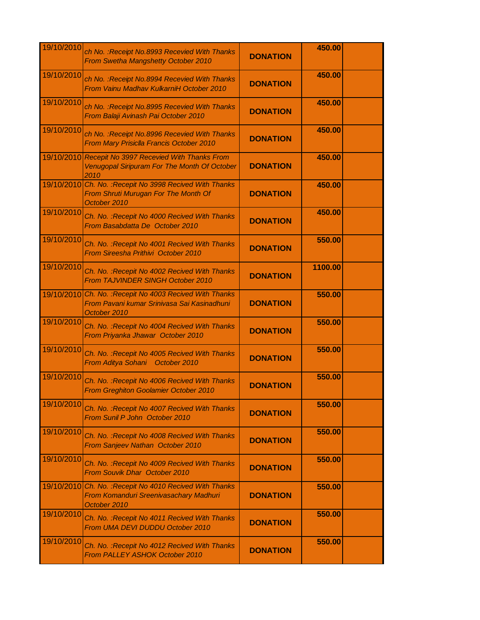| 19/10/2010 | ch No. : Receipt No.8993 Recevied With Thanks<br>From Swetha Mangshetty October 2010                                | <b>DONATION</b> | 450.00  |  |
|------------|---------------------------------------------------------------------------------------------------------------------|-----------------|---------|--|
| 19/10/2010 | ch No. : Receipt No.8994 Recevied With Thanks<br>From Vainu Madhav KulkarniH October 2010                           | <b>DONATION</b> | 450.00  |  |
| 19/10/2010 | ch No. : Receipt No.8995 Recevied With Thanks<br>From Balaji Avinash Pai October 2010                               | <b>DONATION</b> | 450.00  |  |
| 19/10/2010 | ch No. : Receipt No.8996 Recevied With Thanks<br>From Mary Prisiclla Francis October 2010                           | <b>DONATION</b> | 450.00  |  |
|            | 19/10/2010 Recepit No 3997 Recevied With Thanks From<br><b>Venugopal Siripuram For The Month Of October</b><br>2010 | <b>DONATION</b> | 450.00  |  |
|            | 19/10/2010 Ch. No. : Recepit No 3998 Recived With Thanks<br>From Shruti Murugan For The Month Of<br>October 2010    | <b>DONATION</b> | 450.00  |  |
| 19/10/2010 | Ch. No. : Recepit No 4000 Recived With Thanks<br>From Basabdatta De October 2010                                    | <b>DONATION</b> | 450.00  |  |
| 19/10/2010 | Ch. No. : Recepit No 4001 Recived With Thanks<br>From Sireesha Prithivi October 2010                                | <b>DONATION</b> | 550.00  |  |
| 19/10/2010 | Ch. No. : Recepit No 4002 Recived With Thanks<br>From TAJVINDER SINGH October 2010                                  | <b>DONATION</b> | 1100.00 |  |
| 19/10/2010 | Ch. No. : Recepit No 4003 Recived With Thanks<br>From Pavani kumar Srinivasa Sai Kasinadhuni<br>October 2010        | <b>DONATION</b> | 550.00  |  |
| 19/10/2010 | Ch. No. : Recepit No 4004 Recived With Thanks<br>From Priyanka Jhawar October 2010                                  | <b>DONATION</b> | 550.00  |  |
| 19/10/2010 | Ch. No. : Recepit No 4005 Recived With Thanks<br>From Aditya Sohani October 2010                                    | <b>DONATION</b> | 550.00  |  |
| 19/10/2010 | Ch. No. : Recepit No 4006 Recived With Thanks<br><b>From Greghiton Goolamier October 2010</b>                       | <b>DONATION</b> | 550.00  |  |
| 19/10/2010 | Ch. No. : Recepit No 4007 Recived With Thanks<br>From Sunil P John October 2010                                     | <b>DONATION</b> | 550.00  |  |
| 19/10/2010 | Ch. No. : Recepit No 4008 Recived With Thanks<br>From Sanjeev Nathan October 2010                                   | <b>DONATION</b> | 550.00  |  |
| 19/10/2010 | Ch. No. : Recepit No 4009 Recived With Thanks<br>From Souvik Dhar October 2010                                      | <b>DONATION</b> | 550.00  |  |
|            | 19/10/2010 Ch. No. : Recepit No 4010 Recived With Thanks<br>From Komanduri Sreenivasachary Madhuri<br>October 2010  | <b>DONATION</b> | 550.00  |  |
| 19/10/2010 | Ch. No. : Recepit No 4011 Recived With Thanks<br>From UMA DEVI DUDDU October 2010                                   | <b>DONATION</b> | 550.00  |  |
| 19/10/2010 | Ch. No. : Recepit No 4012 Recived With Thanks<br>From PALLEY ASHOK October 2010                                     | <b>DONATION</b> | 550.00  |  |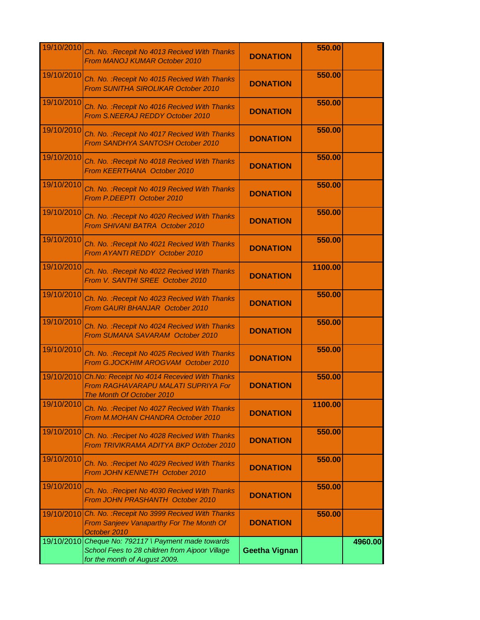| 19/10/2010 | Ch. No. : Recepit No 4013 Recived With Thanks<br><b>From MANOJ KUMAR October 2010</b>                                       | <b>DONATION</b>      | 550.00  |         |
|------------|-----------------------------------------------------------------------------------------------------------------------------|----------------------|---------|---------|
| 19/10/2010 | Ch. No. : Recepit No 4015 Recived With Thanks<br><b>From SUNITHA SIROLIKAR October 2010</b>                                 | <b>DONATION</b>      | 550.00  |         |
| 19/10/2010 | Ch. No. : Recepit No 4016 Recived With Thanks<br>From S.NEERAJ REDDY October 2010                                           | <b>DONATION</b>      | 550.00  |         |
| 19/10/2010 | Ch. No. : Recepit No 4017 Recived With Thanks<br>From SANDHYA SANTOSH October 2010                                          | <b>DONATION</b>      | 550.00  |         |
| 19/10/2010 | Ch. No. : Recepit No 4018 Recived With Thanks<br>From KEERTHANA October 2010                                                | <b>DONATION</b>      | 550.00  |         |
| 19/10/2010 | Ch. No. : Recepit No 4019 Recived With Thanks<br>From P.DEEPTI October 2010                                                 | <b>DONATION</b>      | 550.00  |         |
| 19/10/2010 | Ch. No. : Recepit No 4020 Recived With Thanks<br><b>From SHIVANI BATRA October 2010</b>                                     | <b>DONATION</b>      | 550.00  |         |
| 19/10/2010 | Ch. No. : Recepit No 4021 Recived With Thanks<br>From AYANTI REDDY October 2010                                             | <b>DONATION</b>      | 550.00  |         |
| 19/10/2010 | Ch. No. : Recepit No 4022 Recived With Thanks<br>From V. SANTHI SREE October 2010                                           | <b>DONATION</b>      | 1100.00 |         |
| 19/10/2010 | Ch. No. : Recepit No 4023 Recived With Thanks<br>From GAURI BHANJAR October 2010                                            | <b>DONATION</b>      | 550.00  |         |
| 19/10/2010 | Ch. No. : Recepit No 4024 Recived With Thanks<br>From SUMANA SAVARAM October 2010                                           | <b>DONATION</b>      | 550.00  |         |
| 19/10/2010 | Ch. No. : Recepit No 4025 Recived With Thanks<br>From G.JOCKHIM AROGVAM October 2010                                        | <b>DONATION</b>      | 550.00  |         |
|            | 19/10/2010 Ch.No: Receipt No 4014 Recevied With Thanks<br>From RAGHAVARAPU MALATI SUPRIYA For<br>The Month Of October 2010  | <b>DONATION</b>      | 550.00  |         |
| 19/10/2010 | Ch. No. : Recipet No 4027 Recived With Thanks<br>From M.MOHAN CHANDRA October 2010                                          | <b>DONATION</b>      | 1100.00 |         |
| 19/10/2010 | Ch. No. : Recipet No 4028 Recived With Thanks<br>From TRIVIKRAMA ADITYA BKP October 2010                                    | <b>DONATION</b>      | 550.00  |         |
| 19/10/2010 | Ch. No. : Recipet No 4029 Recived With Thanks<br>From JOHN KENNETH October 2010                                             | <b>DONATION</b>      | 550.00  |         |
| 19/10/2010 | Ch. No. : Recipet No 4030 Recived With Thanks<br>From JOHN PRASHANTH October 2010                                           | <b>DONATION</b>      | 550.00  |         |
| 19/10/2010 | Ch. No. : Recepit No 3999 Recived With Thanks<br>From Sanjeev Vanaparthy For The Month Of<br>October 2010                   | <b>DONATION</b>      | 550.00  |         |
| 19/10/2010 | Cheque No: 792117 \ Payment made towards<br>School Fees to 28 children from Aipoor Village<br>for the month of August 2009. | <b>Geetha Vignan</b> |         | 4960.00 |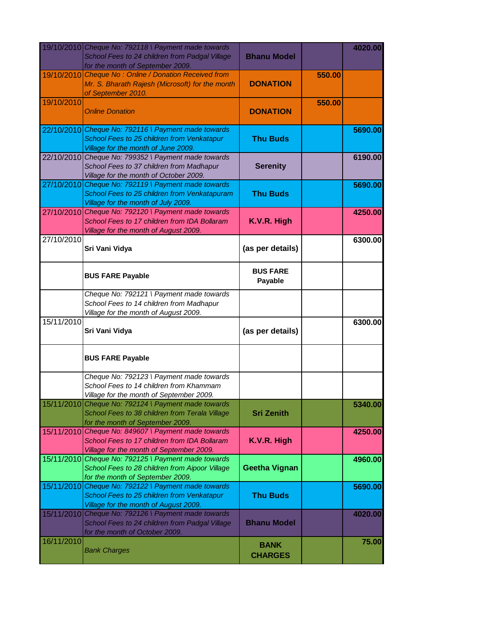|            | 19/10/2010 Cheque No: 792118 \ Payment made towards<br>School Fees to 24 children from Padgal Village<br>for the month of September 2009.       | <b>Bhanu Model</b>            |        | 4020.00 |
|------------|-------------------------------------------------------------------------------------------------------------------------------------------------|-------------------------------|--------|---------|
|            | 19/10/2010 Cheque No: Online / Donation Received from<br>Mr. S. Bharath Rajesh (Microsoft) for the month<br>of September 2010.                  | <b>DONATION</b>               | 550.00 |         |
| 19/10/2010 | <b>Online Donation</b>                                                                                                                          | <b>DONATION</b>               | 550.00 |         |
|            | 22/10/2010 Cheque No: 792116 \ Payment made towards<br>School Fees to 25 children from Venkatapur<br>Village for the month of June 2009.        | <b>Thu Buds</b>               |        | 5690.00 |
|            | 22/10/2010 Cheque No: 799352 \ Payment made towards<br>School Fees to 37 children from Madhapur<br>Village for the month of October 2009.       | <b>Serenity</b>               |        | 6190.00 |
|            | 27/10/2010 Cheque No: 792119 \ Payment made towards<br>School Fees to 25 children from Venkatapuram<br>Village for the month of July 2009.      | <b>Thu Buds</b>               |        | 5690.00 |
|            | 27/10/2010 Cheque No: 792120 \ Payment made towards<br>School Fees to 17 children from IDA Bollaram<br>Village for the month of August 2009.    | K.V.R. High                   |        | 4250.00 |
| 27/10/2010 | Sri Vani Vidya                                                                                                                                  | (as per details)              |        | 6300.00 |
|            | <b>BUS FARE Payable</b>                                                                                                                         | <b>BUS FARE</b><br>Payable    |        |         |
|            | Cheque No: 792121 \ Payment made towards<br>School Fees to 14 children from Madhapur<br>Village for the month of August 2009.                   |                               |        |         |
| 15/11/2010 | Sri Vani Vidya                                                                                                                                  | (as per details)              |        | 6300.00 |
|            | <b>BUS FARE Payable</b>                                                                                                                         |                               |        |         |
|            | Cheque No: 792123 \ Payment made towards<br>School Fees to 14 children from Khammam<br>Village for the month of September 2009.                 |                               |        |         |
| 15/11/2010 | Cheque No: 792124 \ Payment made towards<br>School Fees to 38 children from Terala Village<br>for the month of September 2009.                  | <b>Sri Zenith</b>             |        | 5340.00 |
|            | 15/11/2010 Cheque No: 849607 \ Payment made towards<br>School Fees to 17 children from IDA Bollaram<br>Village for the month of September 2009. | K.V.R. High                   |        | 4250.00 |
|            | 15/11/2010 Cheque No: 792125 \ Payment made towards<br>School Fees to 28 children from Aipoor Village<br>for the month of September 2009.       | <b>Geetha Vignan</b>          |        | 4960.00 |
|            | 15/11/2010 Cheque No: 792122 \ Payment made towards<br>School Fees to 25 children from Venkatapur<br>Village for the month of August 2009.      | <b>Thu Buds</b>               |        | 5690.00 |
|            | 15/11/2010 Cheque No: 792126 \ Payment made towards<br>School Fees to 24 children from Padgal Village<br>for the month of October 2009.         | <b>Bhanu Model</b>            |        | 4020.00 |
| 16/11/2010 | <b>Bank Charges</b>                                                                                                                             | <b>BANK</b><br><b>CHARGES</b> |        | 75.00   |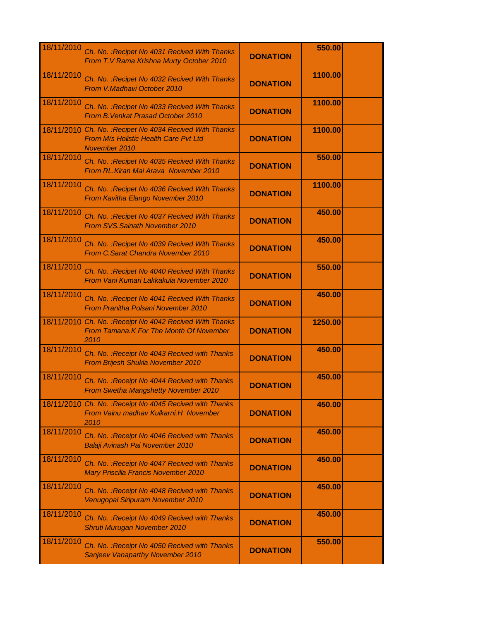| 18/11/2010 | Ch. No. : Recipet No 4031 Recived With Thanks<br>From T.V Rama Krishna Murty October 2010                          | <b>DONATION</b> | 550.00  |  |
|------------|--------------------------------------------------------------------------------------------------------------------|-----------------|---------|--|
| 18/11/2010 | Ch. No. : Recipet No 4032 Recived With Thanks<br>From V.Madhavi October 2010                                       | <b>DONATION</b> | 1100.00 |  |
| 18/11/2010 | Ch. No. : Recipet No 4033 Recived With Thanks<br>From B. Venkat Prasad October 2010                                | <b>DONATION</b> | 1100.00 |  |
|            | 18/11/2010 Ch. No. : Recipet No 4034 Recived With Thanks<br>From M/s Holistic Health Care Pvt Ltd<br>November 2010 | <b>DONATION</b> | 1100.00 |  |
| 18/11/2010 | Ch. No. : Recipet No 4035 Recived With Thanks<br>From RL. Kiran Mai Arava November 2010                            | <b>DONATION</b> | 550.00  |  |
| 18/11/2010 | Ch. No. : Recipet No 4036 Recived With Thanks<br>From Kavitha Elango November 2010                                 | <b>DONATION</b> | 1100.00 |  |
| 18/11/2010 | Ch. No. : Recipet No 4037 Recived With Thanks<br>From SVS. Sainath November 2010                                   | <b>DONATION</b> | 450.00  |  |
| 18/11/2010 | Ch. No. : Recipet No 4039 Recived With Thanks<br>From C.Sarat Chandra November 2010                                | <b>DONATION</b> | 450.00  |  |
| 18/11/2010 | Ch. No. : Recipet No 4040 Recived With Thanks<br>From Vani Kumari Lakkakula November 2010                          | <b>DONATION</b> | 550.00  |  |
| 18/11/2010 | Ch. No. : Recipet No 4041 Recived With Thanks<br>From Pranitha Polsani November 2010                               | <b>DONATION</b> | 450.00  |  |
|            | 18/11/2010 Ch. No. : Receipt No 4042 Recived With Thanks<br><b>From Tamana.K For The Month Of November</b><br>2010 | <b>DONATION</b> | 1250.00 |  |
| 18/11/2010 | Ch. No.: Receipt No 4043 Recived with Thanks<br>From Brijesh Shukla November 2010                                  | <b>DONATION</b> | 450.00  |  |
| 18/11/2010 | Ch. No. : Receipt No 4044 Recived with Thanks<br>From Swetha Mangshetty November 2010                              | <b>DONATION</b> | 450.00  |  |
|            | 18/11/2010 Ch. No. : Receipt No 4045 Recived with Thanks<br>From Vainu madhav Kulkarni.H November<br>2010          | <b>DONATION</b> | 450.00  |  |
| 18/11/2010 | Ch. No.: Receipt No 4046 Recived with Thanks<br>Balaji Avinash Pai November 2010                                   | <b>DONATION</b> | 450.00  |  |
| 18/11/2010 | Ch. No. : Receipt No 4047 Recived with Thanks<br>Mary Priscilla Francis November 2010                              | <b>DONATION</b> | 450.00  |  |
| 18/11/2010 | Ch. No. : Receipt No 4048 Recived with Thanks<br>Venugopal Siripuram November 2010                                 | <b>DONATION</b> | 450.00  |  |
| 18/11/2010 | Ch. No.: Receipt No 4049 Recived with Thanks<br>Shruti Murugan November 2010                                       | <b>DONATION</b> | 450.00  |  |
| 18/11/2010 | Ch. No.: Receipt No 4050 Recived with Thanks<br>Sanjeev Vanaparthy November 2010                                   | <b>DONATION</b> | 550.00  |  |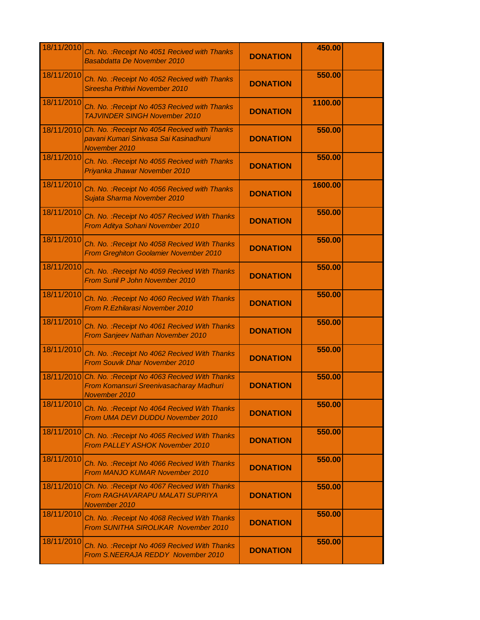| 18/11/2010 | Ch. No.: Receipt No 4051 Recived with Thanks<br>Basabdatta De November 2010                                          | <b>DONATION</b> | 450.00  |  |
|------------|----------------------------------------------------------------------------------------------------------------------|-----------------|---------|--|
| 18/11/2010 | Ch. No.: Receipt No 4052 Recived with Thanks<br>Sireesha Prithivi November 2010                                      | <b>DONATION</b> | 550.00  |  |
| 18/11/2010 | Ch. No. : Receipt No 4053 Recived with Thanks<br><b>TAJVINDER SINGH November 2010</b>                                | <b>DONATION</b> | 1100.00 |  |
|            | 18/11/2010 Ch. No. : Receipt No 4054 Recived with Thanks<br>pavani Kumari Sinivasa Sai Kasinadhuni<br>November 2010  | <b>DONATION</b> | 550.00  |  |
| 18/11/2010 | Ch. No.: Receipt No 4055 Recived with Thanks<br>Priyanka Jhawar November 2010                                        | <b>DONATION</b> | 550.00  |  |
| 18/11/2010 | Ch. No.: Receipt No 4056 Recived with Thanks<br>Sujata Sharma November 2010                                          | <b>DONATION</b> | 1600.00 |  |
| 18/11/2010 | Ch. No.: Receipt No 4057 Recived With Thanks<br>From Aditya Sohani November 2010                                     | <b>DONATION</b> | 550.00  |  |
| 18/11/2010 | Ch. No. : Receipt No 4058 Recived With Thanks<br>From Greghiton Goolamier November 2010                              | <b>DONATION</b> | 550.00  |  |
| 18/11/2010 | Ch. No. : Receipt No 4059 Recived With Thanks<br>From Sunil P John November 2010                                     | <b>DONATION</b> | 550.00  |  |
| 18/11/2010 | Ch. No. : Receipt No 4060 Recived With Thanks<br>From R. Ezhilarasi November 2010                                    | <b>DONATION</b> | 550.00  |  |
| 18/11/2010 | Ch. No. : Receipt No 4061 Recived With Thanks<br>From Sanjeev Nathan November 2010                                   | <b>DONATION</b> | 550.00  |  |
| 18/11/2010 | Ch. No. : Receipt No 4062 Recived With Thanks<br><b>From Souvik Dhar November 2010</b>                               | <b>DONATION</b> | 550.00  |  |
|            | 18/11/2010 Ch. No. : Receipt No 4063 Recived With Thanks<br>From Komansuri Sreenivasacharay Madhuri<br>November 2010 | <b>DONATION</b> | 550.00  |  |
| 18/11/2010 | Ch. No. : Receipt No 4064 Recived With Thanks<br>From UMA DEVI DUDDU November 2010                                   | <b>DONATION</b> | 550.00  |  |
| 18/11/2010 | Ch. No.: Receipt No 4065 Recived With Thanks<br>From PALLEY ASHOK November 2010                                      | <b>DONATION</b> | 550.00  |  |
| 18/11/2010 | Ch. No. : Receipt No 4066 Recived With Thanks<br>From MANJO KUMAR November 2010                                      | <b>DONATION</b> | 550.00  |  |
| 18/11/2010 | Ch. No.: Receipt No 4067 Recived With Thanks<br><b>From RAGHAVARAPU MALATI SUPRIYA</b><br>November 2010              | <b>DONATION</b> | 550.00  |  |
| 18/11/2010 | Ch. No. : Receipt No 4068 Recived With Thanks<br>From SUNITHA SIROLIKAR November 2010                                | <b>DONATION</b> | 550.00  |  |
| 18/11/2010 | Ch. No. : Receipt No 4069 Recived With Thanks<br>From S.NEERAJA REDDY November 2010                                  | <b>DONATION</b> | 550.00  |  |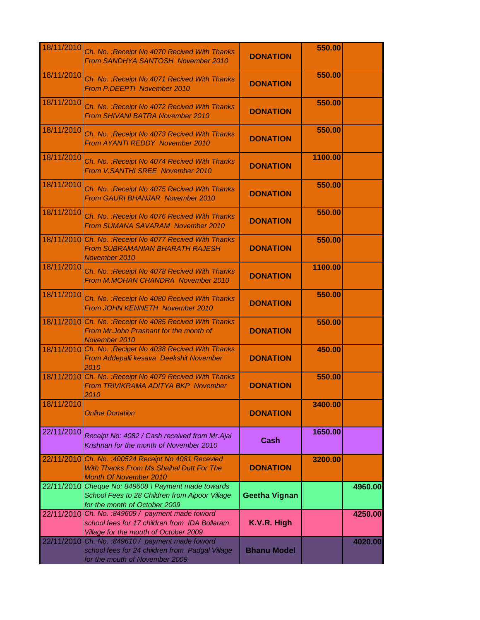| 18/11/2010 | Ch. No. : Receipt No 4070 Recived With Thanks<br><b>From SANDHYA SANTOSH November 2010</b>                                                  | <b>DONATION</b>      | 550.00  |         |
|------------|---------------------------------------------------------------------------------------------------------------------------------------------|----------------------|---------|---------|
| 18/11/2010 | Ch. No. : Receipt No 4071 Recived With Thanks<br>From P.DEEPTI November 2010                                                                | <b>DONATION</b>      | 550.00  |         |
| 18/11/2010 | Ch. No. : Receipt No 4072 Recived With Thanks<br><b>From SHIVANI BATRA November 2010</b>                                                    | <b>DONATION</b>      | 550.00  |         |
| 18/11/2010 | Ch. No. : Receipt No 4073 Recived With Thanks<br>From AYANTI REDDY November 2010                                                            | <b>DONATION</b>      | 550.00  |         |
| 18/11/2010 | Ch. No.: Receipt No 4074 Recived With Thanks<br>From V.SANTHI SREE November 2010                                                            | <b>DONATION</b>      | 1100.00 |         |
| 18/11/2010 | Ch. No.: Receipt No 4075 Recived With Thanks<br>From GAURI BHANJAR November 2010                                                            | <b>DONATION</b>      | 550.00  |         |
| 18/11/2010 | Ch. No.: Receipt No 4076 Recived With Thanks<br>From SUMANA SAVARAM November 2010                                                           | <b>DONATION</b>      | 550.00  |         |
|            | 18/11/2010 Ch. No. : Receipt No 4077 Recived With Thanks<br><b>From SUBRAMANIAN BHARATH RAJESH</b><br>November 2010                         | <b>DONATION</b>      | 550.00  |         |
| 18/11/2010 | Ch. No. : Receipt No 4078 Recived With Thanks<br>From M.MOHAN CHANDRA November 2010                                                         | <b>DONATION</b>      | 1100.00 |         |
| 18/11/2010 | Ch. No. : Receipt No 4080 Recived With Thanks<br>From JOHN KENNETH November 2010                                                            | <b>DONATION</b>      | 550.00  |         |
|            | 18/11/2010 Ch. No. : Receipt No 4085 Recived With Thanks<br>From Mr.John Prashant for the month of<br>November 2010                         | <b>DONATION</b>      | 550.00  |         |
|            | 18/11/2010 Ch. No. : Recipet No 4038 Recived With Thanks<br>From Addepalli kesava Deekshit November<br>2010                                 | <b>DONATION</b>      | 450.00  |         |
|            | 18/11/2010 Ch. No. : Receipt No 4079 Recived With Thanks<br>From TRIVIKRAMA ADITYA BKP November<br>2010                                     | <b>DONATION</b>      | 550.00  |         |
| 18/11/2010 | <b>Online Donation</b>                                                                                                                      | <b>DONATION</b>      | 3400.00 |         |
| 22/11/2010 | Receipt No: 4082 / Cash received from Mr.Ajai<br>Krishnan for the month of November 2010                                                    | <b>Cash</b>          | 1650.00 |         |
| 22/11/2010 | Ch. No. : 400524 Receipt No 4081 Recevied<br>With Thanks From Ms. Shaihal Dutt For The<br><b>Month Of November 2010</b>                     | <b>DONATION</b>      | 3200.00 |         |
|            | 22/11/2010 Cheque No: 849608 \ Payment made towards<br>School Fees to 28 Children from Aipoor Village<br>for the month of October 2009      | <b>Geetha Vignan</b> |         | 4960.00 |
|            | 22/11/2010 Ch. No. : 849609 / payment made foword<br>school fees for 17 children from IDA Bollaram<br>Village for the mouth of October 2009 | K.V.R. High          |         | 4250.00 |
|            | 22/11/2010 Ch. No. : 849610 / payment made foword<br>school fees for 24 children from Padgal Village<br>for the mouth of November 2009      | <b>Bhanu Model</b>   |         | 4020.00 |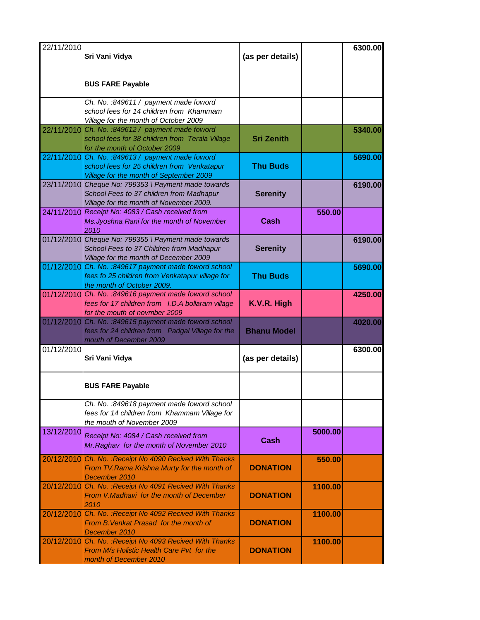| 22/11/2010 | Sri Vani Vidya                                                                                                                              | (as per details)   |         | 6300.00 |
|------------|---------------------------------------------------------------------------------------------------------------------------------------------|--------------------|---------|---------|
|            | <b>BUS FARE Payable</b>                                                                                                                     |                    |         |         |
|            | Ch. No.: 849611 / payment made foword<br>school fees for 14 children from Khammam<br>Village for the month of October 2009                  |                    |         |         |
|            | 22/11/2010 Ch. No. :849612 / payment made foword<br>school fees for 38 children from Terala Village<br>for the month of October 2009        | <b>Sri Zenith</b>  |         | 5340.00 |
|            | 22/11/2010 Ch. No. : 849613 / payment made foword<br>school fees for 25 children from Venkatapur<br>Village for the month of September 2009 | <b>Thu Buds</b>    |         | 5690.00 |
|            | 23/11/2010 Cheque No: 799353 \ Payment made towards<br>School Fees to 37 children from Madhapur<br>Village for the month of November 2009.  | <b>Serenity</b>    |         | 6190.00 |
|            | 24/11/2010 Receipt No: 4083 / Cash received from<br>Ms. Jyoshna Rani for the month of November<br>2010                                      | Cash               | 550.00  |         |
|            | 01/12/2010 Cheque No: 799355 \ Payment made towards<br>School Fees to 37 Children from Madhapur<br>Village for the month of December 2009   | <b>Serenity</b>    |         | 6190.00 |
|            | $01/12/2010$ Ch. No. :849617 payment made foword school<br>fees fo 25 children from Venkatapur village for<br>the month of October 2009.    | <b>Thu Buds</b>    |         | 5690.00 |
|            | 01/12/2010 Ch. No. : 849616 payment made foword school<br>fees for 17 children from I.D.A bollaram village<br>for the mouth of novmber 2009 | K.V.R. High        |         | 4250.00 |
|            | $01/12/2010$ Ch. No. :849615 payment made foword school<br>fees for 24 children from Padgal Village for the<br>mouth of December 2009       | <b>Bhanu Model</b> |         | 4020.00 |
| 01/12/2010 | Sri Vani Vidya                                                                                                                              | (as per details)   |         | 6300.00 |
|            | <b>BUS FARE Payable</b>                                                                                                                     |                    |         |         |
|            | Ch. No.: 849618 payment made foword school<br>fees for 14 children from Khammam Village for<br>the mouth of November 2009                   |                    |         |         |
| 13/12/2010 | Receipt No: 4084 / Cash received from<br>Mr. Raghav for the month of November 2010                                                          | Cash               | 5000.00 |         |
| 20/12/2010 | Ch. No.: Receipt No 4090 Recived With Thanks<br>From TV. Rama Krishna Murty for the month of<br>December 2010                               | <b>DONATION</b>    | 550.00  |         |
|            | 20/12/2010 Ch. No. : Receipt No 4091 Recived With Thanks<br>From V.Madhavi for the month of December<br>2010                                | <b>DONATION</b>    | 1100.00 |         |
|            | 20/12/2010 Ch. No. : Receipt No 4092 Recived With Thanks<br>From B. Venkat Prasad for the month of<br>December 2010                         | <b>DONATION</b>    | 1100.00 |         |
|            | 20/12/2010 Ch. No. : Receipt No 4093 Recived With Thanks<br>From M/s Holistic Health Care Pvt for the<br>month of December 2010             | <b>DONATION</b>    | 1100.00 |         |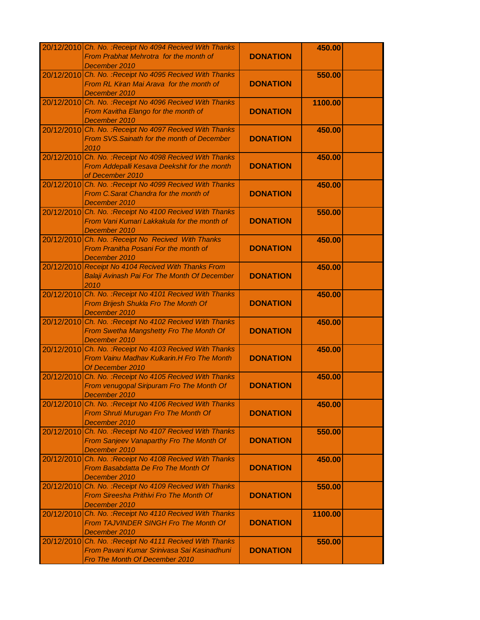|            | 20/12/2010 Ch. No. : Receipt No 4094 Recived With Thanks<br>From Prabhat Mehrotra for the month of<br>December 2010                       | <b>DONATION</b> | 450.00  |  |
|------------|-------------------------------------------------------------------------------------------------------------------------------------------|-----------------|---------|--|
|            | 20/12/2010 Ch. No. : Receipt No 4095 Recived With Thanks<br>From RL Kiran Mai Arava for the month of<br>December 2010                     | <b>DONATION</b> | 550.00  |  |
|            | 20/12/2010 Ch. No. : Receipt No 4096 Recived With Thanks<br>From Kavitha Elango for the month of<br>December 2010                         | <b>DONATION</b> | 1100.00 |  |
|            | 20/12/2010 Ch. No. : Receipt No 4097 Recived With Thanks<br>From SVS. Sainath for the month of December<br>2010                           | <b>DONATION</b> | 450.00  |  |
|            | 20/12/2010 Ch. No. : Receipt No 4098 Recived With Thanks<br>From Addepalli Kesava Deekshit for the month<br>of December 2010              | <b>DONATION</b> | 450.00  |  |
|            | 20/12/2010 Ch. No. : Receipt No 4099 Recived With Thanks<br>From C.Sarat Chandra for the month of<br>December 2010                        | <b>DONATION</b> | 450.00  |  |
|            | 20/12/2010 Ch. No. : Receipt No 4100 Recived With Thanks<br>From Vani Kumari Lakkakula for the month of<br>December 2010                  | <b>DONATION</b> | 550.00  |  |
|            | 20/12/2010 Ch. No. : Receipt No Recived With Thanks<br>From Pranitha Posani For the month of<br>December 2010                             | <b>DONATION</b> | 450.00  |  |
|            | 20/12/2010 Receipt No 4104 Recived With Thanks From<br>Balaji Avinash Pai For The Month Of December<br>2010                               | <b>DONATION</b> | 450.00  |  |
|            | 20/12/2010 Ch. No. : Receipt No 4101 Recived With Thanks<br>From Brijesh Shukla Fro The Month Of<br>December 2010                         | <b>DONATION</b> | 450.00  |  |
|            | 20/12/2010 Ch. No. : Receipt No 4102 Recived With Thanks<br>From Swetha Mangshetty Fro The Month Of<br>December 2010                      | <b>DONATION</b> | 450.00  |  |
|            | 20/12/2010 Ch. No. : Receipt No 4103 Recived With Thanks<br>From Vainu Madhav Kulkarin.H Fro The Month<br>Of December 2010                | <b>DONATION</b> | 450.00  |  |
| 20/12/2010 | Ch. No. : Receipt No 4105 Recived With Thanks<br>From venugopal Siripuram Fro The Month Of<br>December 2010                               | <b>DONATION</b> | 450.00  |  |
|            | 20/12/2010 Ch. No. : Receipt No 4106 Recived With Thanks<br>From Shruti Murugan Fro The Month Of<br>December 2010                         | <b>DONATION</b> | 450.00  |  |
| 20/12/2010 | Ch. No. : Receipt No 4107 Recived With Thanks<br>From Sanjeev Vanaparthy Fro The Month Of<br>December 2010                                | <b>DONATION</b> | 550.00  |  |
| 20/12/2010 | Ch. No. : Receipt No 4108 Recived With Thanks<br>From Basabdatta De Fro The Month Of<br>December 2010                                     | <b>DONATION</b> | 450.00  |  |
|            | 20/12/2010 Ch. No. : Receipt No 4109 Recived With Thanks<br>From Sireesha Prithivi Fro The Month Of<br>December 2010                      | <b>DONATION</b> | 550.00  |  |
| 20/12/2010 | Ch. No. : Receipt No 4110 Recived With Thanks<br>From TAJVINDER SINGH Fro The Month Of<br>December 2010                                   | <b>DONATION</b> | 1100.00 |  |
|            | 20/12/2010 Ch. No. : Receipt No 4111 Recived With Thanks<br>From Pavani Kumar Srinivasa Sai Kasinadhuni<br>Fro The Month Of December 2010 | <b>DONATION</b> | 550.00  |  |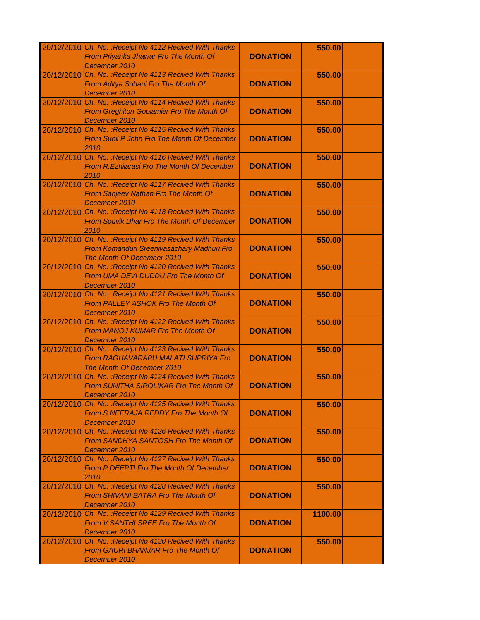|            | 20/12/2010 Ch. No. : Receipt No 4112 Recived With Thanks<br>From Priyanka Jhawar Fro The Month Of<br>December 2010                   | <b>DONATION</b> | 550.00  |  |
|------------|--------------------------------------------------------------------------------------------------------------------------------------|-----------------|---------|--|
|            | 20/12/2010 Ch. No. : Receipt No 4113 Recived With Thanks<br>From Aditya Sohani Fro The Month Of<br>December 2010                     | <b>DONATION</b> | 550.00  |  |
|            | 20/12/2010 Ch. No. : Receipt No 4114 Recived With Thanks<br>From Greghiton Goolamier Fro The Month Of<br>December 2010               | <b>DONATION</b> | 550.00  |  |
|            | 20/12/2010 Ch. No. : Receipt No 4115 Recived With Thanks<br>From Sunil P John Fro The Month Of December<br>2010                      | <b>DONATION</b> | 550.00  |  |
|            | 20/12/2010 Ch. No. : Receipt No 4116 Recived With Thanks<br>From R. Ezhilarasi Fro The Month Of December<br>2010                     | <b>DONATION</b> | 550.00  |  |
|            | 20/12/2010 Ch. No. : Receipt No 4117 Recived With Thanks<br>From Sanjeev Nathan Fro The Month Of<br>December 2010                    | <b>DONATION</b> | 550.00  |  |
|            | 20/12/2010 Ch. No. : Receipt No 4118 Recived With Thanks<br><b>From Souvik Dhar Fro The Month Of December</b><br>2010                | <b>DONATION</b> | 550.00  |  |
|            | 20/12/2010 Ch. No. : Receipt No 4119 Recived With Thanks<br>From Komanduri Sreenivasachary Madhuri Fro<br>The Month Of December 2010 | <b>DONATION</b> | 550.00  |  |
| 20/12/2010 | Ch. No. : Receipt No 4120 Recived With Thanks<br>From UMA DEVI DUDDU Fro The Month Of<br>December 2010                               | <b>DONATION</b> | 550.00  |  |
|            | 20/12/2010 Ch. No. : Receipt No 4121 Recived With Thanks<br><b>From PALLEY ASHOK Fro The Month Of</b><br>December 2010               | <b>DONATION</b> | 550.00  |  |
|            | 20/12/2010 Ch. No. : Receipt No 4122 Recived With Thanks<br>From MANOJ KUMAR Fro The Month Of<br>December 2010                       | <b>DONATION</b> | 550.00  |  |
| 20/12/2010 | Ch. No. : Receipt No 4123 Recived With Thanks<br><b>From RAGHAVARAPU MALATI SUPRIYA Fro</b><br>The Month Of December 2010            | <b>DONATION</b> | 550.00  |  |
| 20/12/2010 | Ch. No. : Receipt No 4124 Recived With Thanks<br>From SUNITHA SIROLIKAR Fro The Month Of<br>December 2010                            | <b>DONATION</b> | 550.00  |  |
|            | 20/12/2010 Ch. No. : Receipt No 4125 Recived With Thanks<br>From S.NEERAJA REDDY Fro The Month Of<br>December 2010                   | <b>DONATION</b> | 550.00  |  |
| 20/12/2010 | Ch. No. : Receipt No 4126 Recived With Thanks<br>From SANDHYA SANTOSH Fro The Month Of<br>December 2010                              | <b>DONATION</b> | 550.00  |  |
|            | 20/12/2010 Ch. No. : Receipt No 4127 Recived With Thanks<br><b>From P.DEEPTI Fro The Month Of December</b><br>2010                   | <b>DONATION</b> | 550.00  |  |
|            | 20/12/2010 Ch. No. : Receipt No 4128 Recived With Thanks<br><b>From SHIVANI BATRA Fro The Month Of</b><br>December 2010              | <b>DONATION</b> | 550.00  |  |
|            | 20/12/2010 Ch. No. : Receipt No 4129 Recived With Thanks<br>From V.SANTHI SREE Fro The Month Of<br>December 2010                     | <b>DONATION</b> | 1100.00 |  |
|            | 20/12/2010 Ch. No. : Receipt No 4130 Recived With Thanks<br>From GAURI BHANJAR Fro The Month Of<br>December 2010                     | <b>DONATION</b> | 550.00  |  |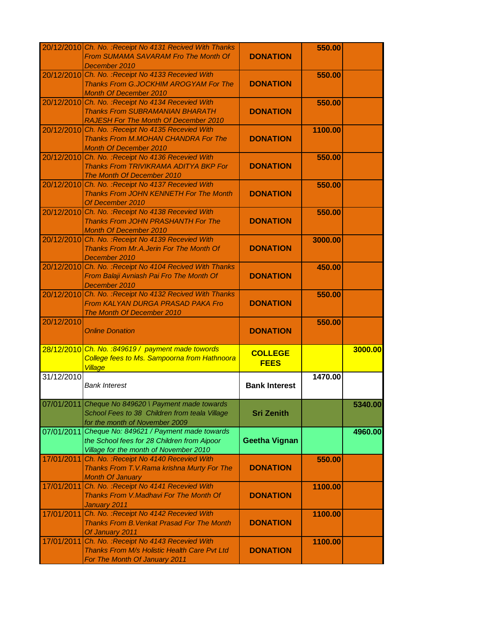|            | 20/12/2010 Ch. No. : Receipt No 4131 Recived With Thanks<br>From SUMAMA SAVARAM Fro The Month Of<br>December 2010                            | <b>DONATION</b>               | 550.00  |         |
|------------|----------------------------------------------------------------------------------------------------------------------------------------------|-------------------------------|---------|---------|
|            | 20/12/2010 Ch. No. : Receipt No 4133 Recevied With<br>Thanks From G.JOCKHIM AROGYAM For The<br><b>Month Of December 2010</b>                 | <b>DONATION</b>               | 550.00  |         |
|            | 20/12/2010 Ch. No. : Receipt No 4134 Recevied With<br><b>Thanks From SUBRAMANIAN BHARATH</b><br><b>RAJESH For The Month Of December 2010</b> | <b>DONATION</b>               | 550.00  |         |
|            | 20/12/2010 Ch. No. : Receipt No 4135 Recevied With<br>Thanks From M.MOHAN CHANDRA For The<br><b>Month Of December 2010</b>                   | <b>DONATION</b>               | 1100.00 |         |
|            | 20/12/2010 Ch. No. : Receipt No 4136 Recevied With<br>Thanks From TRIVIKRAMA ADITYA BKP For<br>The Month Of December 2010                    | <b>DONATION</b>               | 550.00  |         |
|            | 20/12/2010 Ch. No. : Receipt No 4137 Recevied With<br>Thanks From JOHN KENNETH For The Month<br>Of December 2010                             | <b>DONATION</b>               | 550.00  |         |
|            | 20/12/2010 Ch. No. : Receipt No 4138 Recevied With<br><b>Thanks From JOHN PRASHANTH For The</b><br><b>Month Of December 2010</b>             | <b>DONATION</b>               | 550.00  |         |
|            | 20/12/2010 Ch. No. : Receipt No 4139 Recevied With<br>Thanks From Mr.A.Jerin For The Month Of<br>December 2010                               | <b>DONATION</b>               | 3000.00 |         |
|            | 20/12/2010 Ch. No. : Receipt No 4104 Recived With Thanks<br>From Balaji Avniash Pai Fro The Month Of<br>December 2010                        | <b>DONATION</b>               | 450.00  |         |
|            | 20/12/2010 Ch. No. : Receipt No 4132 Recived With Thanks<br>From KALYAN DURGA PRASAD PAKA Fro<br>The Month Of December 2010                  | <b>DONATION</b>               | 550.00  |         |
| 20/12/2010 | <b>Online Donation</b>                                                                                                                       | <b>DONATION</b>               | 550.00  |         |
|            | 28/12/2010 Ch. No. : 849619 / payment made towords<br>College fees to Ms. Sampoorna from Hathnoora<br>Village                                | <b>COLLEGE</b><br><b>FEES</b> |         | 3000.00 |
| 31/12/2010 | <b>Bank Interest</b>                                                                                                                         | <b>Bank Interest</b>          | 1470.00 |         |
| 07/01/2011 | Cheque No 849620 \ Payment made towards<br>School Fees to 38 Children from teala Village<br>for the month of November 2009                   | <b>Sri Zenith</b>             |         | 5340.00 |
|            | 07/01/2011 Cheque No: 849621 / Payment made towards<br>the School fees for 28 Children from Aipoor<br>Village for the month of November 2010 | <b>Geetha Vignan</b>          |         | 4960.00 |
| 17/01/2011 | Ch. No. : Receipt No 4140 Recevied With<br>Thanks From T.V.Rama krishna Murty For The<br><b>Month Of January</b>                             | <b>DONATION</b>               | 550.00  |         |
| 17/01/2011 | Ch. No. : Receipt No 4141 Recevied With<br>Thanks From V.Madhavi For The Month Of<br>January 2011                                            | <b>DONATION</b>               | 1100.00 |         |
| 17/01/2011 | Ch. No. : Receipt No 4142 Recevied With<br><b>Thanks From B. Venkat Prasad For The Month</b><br>Of January 2011                              | <b>DONATION</b>               | 1100.00 |         |
| 17/01/2011 | Ch. No. : Receipt No 4143 Recevied With<br>Thanks From M/s Holistic Health Care Pvt Ltd<br>For The Month Of January 2011                     | <b>DONATION</b>               | 1100.00 |         |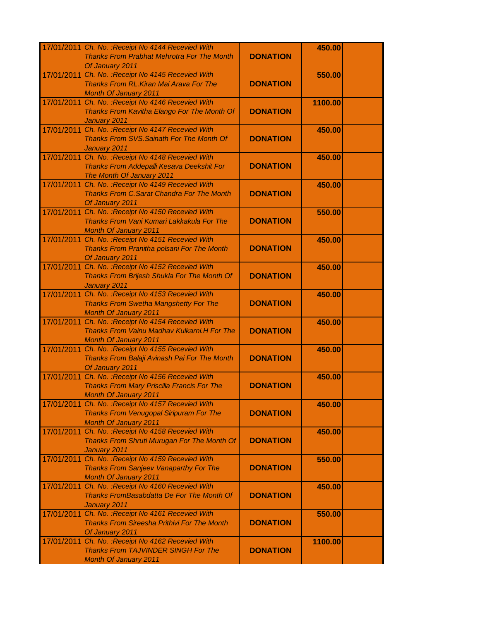|            | 17/01/2011 Ch. No. : Receipt No 4144 Recevied With                                     |                 | 450.00  |  |
|------------|----------------------------------------------------------------------------------------|-----------------|---------|--|
|            | <b>Thanks From Prabhat Mehrotra For The Month</b><br>Of January 2011                   | <b>DONATION</b> |         |  |
| 17/01/2011 | Ch. No. : Receipt No 4145 Recevied With                                                |                 | 550.00  |  |
|            | Thanks From RL. Kiran Mai Arava For The                                                | <b>DONATION</b> |         |  |
| 17/01/2011 | <b>Month Of January 2011</b><br>Ch. No. : Receipt No 4146 Recevied With                |                 | 1100.00 |  |
|            | Thanks From Kavitha Elango For The Month Of                                            | <b>DONATION</b> |         |  |
|            | January 2011                                                                           |                 |         |  |
| 17/01/2011 | Ch. No. : Receipt No 4147 Recevied With                                                |                 | 450.00  |  |
|            | Thanks From SVS. Sainath For The Month Of                                              | <b>DONATION</b> |         |  |
|            | January 2011                                                                           |                 |         |  |
| 17/01/2011 | Ch. No. : Receipt No 4148 Recevied With                                                |                 | 450.00  |  |
|            | Thanks From Addepalli Kesava Deekshit For<br>The Month Of January 2011                 | <b>DONATION</b> |         |  |
| 17/01/2011 | Ch. No. : Receipt No 4149 Recevied With                                                |                 | 450.00  |  |
|            | <b>Thanks From C. Sarat Chandra For The Month</b>                                      | <b>DONATION</b> |         |  |
|            | Of January 2011                                                                        |                 |         |  |
| 17/01/2011 | Ch. No.: Receipt No 4150 Recevied With                                                 |                 | 550.00  |  |
|            | <b>Thanks From Vani Kumari Lakkakula For The</b>                                       | <b>DONATION</b> |         |  |
| 17/01/2011 | <b>Month Of January 2011</b><br>Ch. No.: Receipt No 4151 Recevied With                 |                 |         |  |
|            | Thanks From Pranitha polsani For The Month                                             | <b>DONATION</b> | 450.00  |  |
|            | Of January 2011                                                                        |                 |         |  |
| 17/01/2011 | Ch. No. : Receipt No 4152 Recevied With                                                |                 | 450.00  |  |
|            | Thanks From Brijesh Shukla For The Month Of                                            | <b>DONATION</b> |         |  |
|            | January 2011                                                                           |                 |         |  |
| 17/01/2011 | Ch. No. : Receipt No 4153 Recevied With                                                |                 | 450.00  |  |
|            | <b>Thanks From Swetha Mangshetty For The</b><br><b>Month Of January 2011</b>           | <b>DONATION</b> |         |  |
| 17/01/2011 | Ch. No. : Receipt No 4154 Recevied With                                                |                 | 450.00  |  |
|            | <b>Thanks From Vainu Madhav Kulkarni.H For The</b>                                     | <b>DONATION</b> |         |  |
|            | <b>Month Of January 2011</b>                                                           |                 |         |  |
| 17/01/2011 | Ch. No. : Receipt No 4155 Recevied With                                                |                 | 450.00  |  |
|            | Thanks From Balaji Avinash Pai For The Month                                           | <b>DONATION</b> |         |  |
| 17/01/2011 | Of January 2011<br>Ch. No. : Receipt No 4156 Recevied With                             |                 | 450.00  |  |
|            | <b>Thanks From Mary Priscilla Francis For The</b>                                      | <b>DONATION</b> |         |  |
|            | <b>Month Of January 2011</b>                                                           |                 |         |  |
| 17/01/2011 | Ch. No. : Receipt No 4157 Recevied With                                                |                 | 450.00  |  |
|            | <b>Thanks From Venugopal Siripuram For The</b>                                         | <b>DONATION</b> |         |  |
| 17/01/2011 | <b>Month Of January 2011</b>                                                           |                 |         |  |
|            | Ch. No. : Receipt No 4158 Recevied With<br>Thanks From Shruti Murugan For The Month Of | <b>DONATION</b> | 450.00  |  |
|            | January 2011                                                                           |                 |         |  |
| 17/01/2011 | Ch. No. : Receipt No 4159 Recevied With                                                |                 | 550.00  |  |
|            | <b>Thanks From Sanjeev Vanaparthy For The</b>                                          | <b>DONATION</b> |         |  |
|            | <b>Month Of January 2011</b>                                                           |                 |         |  |
| 17/01/2011 | Ch. No. : Receipt No 4160 Recevied With                                                |                 | 450.00  |  |
|            | Thanks FromBasabdatta De For The Month Of<br>January 2011                              | <b>DONATION</b> |         |  |
| 17/01/2011 | Ch. No. : Receipt No 4161 Recevied With                                                |                 | 550.00  |  |
|            | <b>Thanks From Sireesha Prithivi For The Month</b>                                     | <b>DONATION</b> |         |  |
|            | Of January 2011                                                                        |                 |         |  |
| 17/01/2011 | Ch. No. : Receipt No 4162 Recevied With                                                |                 | 1100.00 |  |
|            | <b>Thanks From TAJVINDER SINGH For The</b>                                             | <b>DONATION</b> |         |  |
|            | <b>Month Of January 2011</b>                                                           |                 |         |  |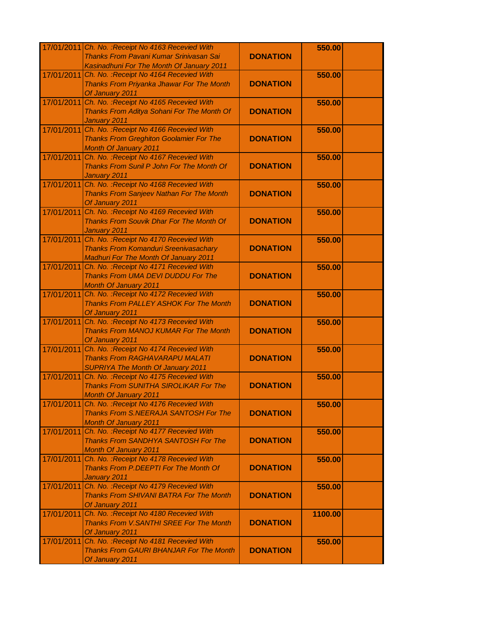|            | 17/01/2011 Ch. No. : Receipt No 4163 Recevied With                               |                 | 550.00  |  |
|------------|----------------------------------------------------------------------------------|-----------------|---------|--|
|            | Thanks From Pavani Kumar Srinivasan Sai                                          | <b>DONATION</b> |         |  |
|            | Kasinadhuni For The Month Of January 2011                                        |                 |         |  |
| 17/01/2011 | Ch. No. : Receipt No 4164 Recevied With                                          |                 | 550.00  |  |
|            | Thanks From Priyanka Jhawar For The Month                                        | <b>DONATION</b> |         |  |
|            | Of January 2011                                                                  |                 |         |  |
| 17/01/2011 | Ch. No. : Receipt No 4165 Recevied With                                          | <b>DONATION</b> | 550.00  |  |
|            | Thanks From Aditya Sohani For The Month Of<br>January 2011                       |                 |         |  |
| 17/01/2011 | Ch. No. : Receipt No 4166 Recevied With                                          |                 | 550.00  |  |
|            | <b>Thanks From Greghiton Goolamier For The</b>                                   | <b>DONATION</b> |         |  |
|            | <b>Month Of January 2011</b>                                                     |                 |         |  |
| 17/01/2011 | Ch. No. : Receipt No 4167 Recevied With                                          |                 | 550.00  |  |
|            | Thanks From Sunil P John For The Month Of                                        | <b>DONATION</b> |         |  |
|            | January 2011                                                                     |                 |         |  |
| 17/01/2011 | Ch. No. : Receipt No 4168 Recevied With                                          |                 | 550.00  |  |
|            | <b>Thanks From Sanjeev Nathan For The Month</b>                                  | <b>DONATION</b> |         |  |
|            | Of January 2011                                                                  |                 |         |  |
| 17/01/2011 | Ch. No. : Receipt No 4169 Recevied With                                          |                 | 550.00  |  |
|            | <b>Thanks From Souvik Dhar For The Month Of</b>                                  | <b>DONATION</b> |         |  |
|            | January 2011                                                                     |                 |         |  |
| 17/01/2011 | Ch. No. : Receipt No 4170 Recevied With                                          |                 | 550.00  |  |
|            | <b>Thanks From Komanduri Sreenivasachary</b>                                     | <b>DONATION</b> |         |  |
|            | <b>Madhuri For The Month Of January 2011</b>                                     |                 |         |  |
| 17/01/2011 | Ch. No. : Receipt No 4171 Recevied With                                          |                 | 550.00  |  |
|            | <b>Thanks From UMA DEVI DUDDU For The</b>                                        | <b>DONATION</b> |         |  |
|            | <b>Month Of January 2011</b>                                                     |                 |         |  |
| 17/01/2011 | Ch. No. : Receipt No 4172 Recevied With                                          |                 | 550.00  |  |
|            | <b>Thanks From PALLEY ASHOK For The Month</b><br>Of January 2011                 | <b>DONATION</b> |         |  |
| 17/01/2011 | Ch. No. : Receipt No 4173 Recevied With                                          |                 | 550.00  |  |
|            | Thanks From MANOJ KUMAR For The Month                                            | <b>DONATION</b> |         |  |
|            | Of January 2011                                                                  |                 |         |  |
| 17/01/2011 | Ch. No. : Receipt No 4174 Recevied With                                          |                 | 550.00  |  |
|            | <b>Thanks From RAGHAVARAPU MALATI</b>                                            | <b>DONATION</b> |         |  |
|            | <b>SUPRIYA The Month Of January 2011</b>                                         |                 |         |  |
| 17/01/2011 | Ch. No. : Receipt No 4175 Recevied With                                          |                 | 550.00  |  |
|            | <b>Thanks From SUNITHA SIROLIKAR For The</b>                                     | <b>DONATION</b> |         |  |
|            | <b>Month Of January 2011</b>                                                     |                 |         |  |
| 17/01/2011 | Ch. No. : Receipt No 4176 Recevied With                                          |                 | 550.00  |  |
|            | Thanks From S.NEERAJA SANTOSH For The                                            | <b>DONATION</b> |         |  |
|            | <b>Month Of January 2011</b>                                                     |                 |         |  |
| 17/01/2011 | Ch. No. : Receipt No 4177 Recevied With                                          |                 | 550.00  |  |
|            | <b>Thanks From SANDHYA SANTOSH For The</b>                                       | <b>DONATION</b> |         |  |
|            | <b>Month Of January 2011</b>                                                     |                 |         |  |
| 17/01/2011 | Ch. No. : Receipt No 4178 Recevied With<br>Thanks From P.DEEPTI For The Month Of | <b>DONATION</b> | 550.00  |  |
|            | January 2011                                                                     |                 |         |  |
| 17/01/2011 | Ch. No. : Receipt No 4179 Recevied With                                          |                 | 550.00  |  |
|            | <b>Thanks From SHIVANI BATRA For The Month</b>                                   | <b>DONATION</b> |         |  |
|            | Of January 2011                                                                  |                 |         |  |
| 17/01/2011 | Ch. No. : Receipt No 4180 Recevied With                                          |                 | 1100.00 |  |
|            | Thanks From V.SANTHI SREE For The Month                                          | <b>DONATION</b> |         |  |
|            | Of January 2011                                                                  |                 |         |  |
| 17/01/2011 | Ch. No. : Receipt No 4181 Recevied With                                          |                 | 550.00  |  |
|            | <b>Thanks From GAURI BHANJAR For The Month</b>                                   | <b>DONATION</b> |         |  |
|            | Of January 2011                                                                  |                 |         |  |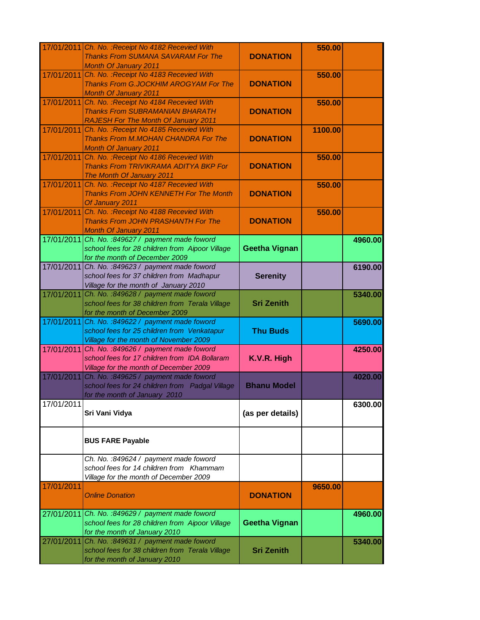|            | 17/01/2011 Ch. No. : Receipt No 4182 Recevied With<br><b>Thanks From SUMANA SAVARAM For The</b>                                                  | <b>DONATION</b>      | 550.00  |         |
|------------|--------------------------------------------------------------------------------------------------------------------------------------------------|----------------------|---------|---------|
| 17/01/2011 | <b>Month Of January 2011</b><br>Ch. No. : Receipt No 4183 Recevied With<br>Thanks From G.JOCKHIM AROGYAM For The<br><b>Month Of January 2011</b> | <b>DONATION</b>      | 550.00  |         |
| 17/01/2011 | Ch. No. : Receipt No 4184 Recevied With<br><b>Thanks From SUBRAMANIAN BHARATH</b><br><b>RAJESH For The Month Of January 2011</b>                 | <b>DONATION</b>      | 550.00  |         |
| 17/01/2011 | Ch. No.: Receipt No 4185 Recevied With<br>Thanks From M.MOHAN CHANDRA For The<br><b>Month Of January 2011</b>                                    | <b>DONATION</b>      | 1100.00 |         |
| 17/01/2011 | Ch. No. : Receipt No 4186 Recevied With<br>Thanks From TRIVIKRAMA ADITYA BKP For<br>The Month Of January 2011                                    | <b>DONATION</b>      | 550.00  |         |
| 17/01/2011 | Ch. No. : Receipt No 4187 Recevied With<br><b>Thanks From JOHN KENNETH For The Month</b><br>Of January 2011                                      | <b>DONATION</b>      | 550.00  |         |
| 17/01/2011 | Ch. No. : Receipt No 4188 Recevied With<br><b>Thanks From JOHN PRASHANTH For The</b><br><b>Month Of January 2011</b>                             | <b>DONATION</b>      | 550.00  |         |
| 17/01/2011 | Ch. No. : 849627 / payment made foword<br>school fees for 28 children from Aipoor Village<br>for the month of December 2009                      | <b>Geetha Vignan</b> |         | 4960.00 |
|            | 17/01/2011 Ch. No. :849623 / payment made foword<br>school fees for 37 children from Madhapur<br>Village for the month of January 2010           | <b>Serenity</b>      |         | 6190.00 |
| 17/01/2011 | Ch. No. : 849628 / payment made foword<br>school fees for 38 children from Terala Village<br>for the month of December 2009                      | <b>Sri Zenith</b>    |         | 5340.00 |
| 17/01/2011 | Ch. No. : 849622 / payment made foword<br>school fees for 25 children from Venkatapur<br>Village for the month of November 2009                  | <b>Thu Buds</b>      |         | 5690.00 |
| 17/01/2011 | Ch. No. :849626 / payment made foword<br>school fees for 17 children from IDA Bollaram<br>Village for the month of December 2009                 | K.V.R. High          |         | 4250.00 |
| 17/01/2011 | Ch. No. : 849625 / payment made foword<br>school fees for 24 children from Padgal Village<br>for the month of January 2010                       | <b>Bhanu Model</b>   |         | 4020.00 |
| 17/01/2011 | Sri Vani Vidya                                                                                                                                   | (as per details)     |         | 6300.00 |
|            | <b>BUS FARE Payable</b>                                                                                                                          |                      |         |         |
|            | Ch. No. :849624 / payment made foword<br>school fees for 14 children from Khammam<br>Village for the month of December 2009                      |                      |         |         |
| 17/01/2011 | <b>Online Donation</b>                                                                                                                           | <b>DONATION</b>      | 9650.00 |         |
| 27/01/2011 | Ch. No. : 849629 / payment made foword<br>school fees for 28 children from Aipoor Village<br>for the month of January 2010                       | <b>Geetha Vignan</b> |         | 4960.00 |
| 27/01/2011 | Ch. No. : 849631 / payment made foword<br>school fees for 38 children from Terala Village<br>for the month of January 2010                       | <b>Sri Zenith</b>    |         | 5340.00 |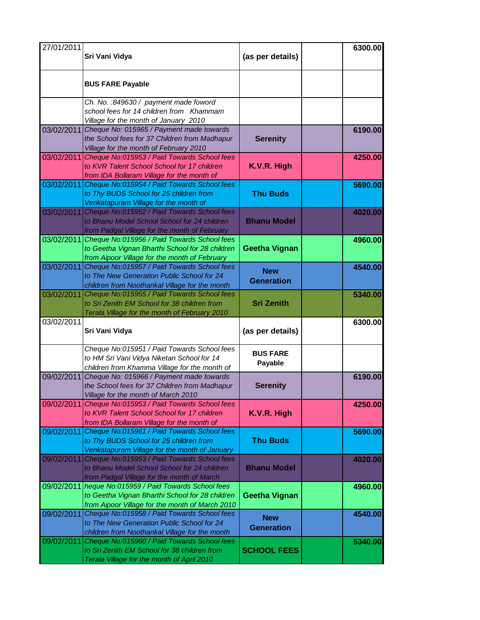| 27/01/2011 | Sri Vani Vidya                                                                                                                                              | (as per details)                | 6300.00 |
|------------|-------------------------------------------------------------------------------------------------------------------------------------------------------------|---------------------------------|---------|
|            | <b>BUS FARE Payable</b>                                                                                                                                     |                                 |         |
|            | Ch. No. : 849630 / payment made foword<br>school fees for 14 children from Khammam<br>Village for the month of January 2010                                 |                                 |         |
|            | 03/02/2011 Cheque No: 015965 / Payment made towards<br>the School fees for 37 Children from Madhapur<br>Village for the month of February 2010              | <b>Serenity</b>                 | 6190.00 |
| 03/02/2011 | Cheque No:015953 / Paid Towards School fees<br>to KVR Talent School School for 17 children<br>from IDA Bollaram Village for the month of                    | K.V.R. High                     | 4250.00 |
| 03/02/2011 | Cheque No:015954 / Paid Towards School fees<br>to Thy BUDS School for 25 children from<br>Venkatapuram Village for the month of                             | <b>Thu Buds</b>                 | 5690.00 |
| 03/02/2011 | Cheque No:015952 / Paid Towards School fees<br>to Bhanu Model School School for 24 children<br>from Padgal Village for the month of February                | <b>Bhanu Model</b>              | 4020.00 |
| 03/02/2011 | Cheque No:015956 / Paid Towards School fees<br>to Geetha Vignan Bharthi School for 28 children<br>from Aipoor Village for the month of February             | <b>Geetha Vignan</b>            | 4960.00 |
| 03/02/2011 | Cheque No:015957 / Paid Towards School fees<br>to The New Generation Public School for 24<br>children from Noothankal Village for the month                 | <b>New</b><br><b>Generation</b> | 4540.00 |
| 03/02/2011 | Cheque No:015955 / Paid Towards School fees<br>to Sri Zenith EM School for 38 children from<br>Terala Village for the month of February 2010                | <b>Sri Zenith</b>               | 5340.00 |
| 03/02/2011 | Sri Vani Vidya                                                                                                                                              | (as per details)                | 6300.00 |
|            | Cheque No:015951 / Paid Towards School fees<br>to HM Sri Vani Vidya Niketan School for 14<br>children from Khamma Village for the month of                  | <b>BUS FARE</b><br>Payable      |         |
| 09/02/2011 | Cheque No: 015966 / Payment made towards<br>the School fees for 37 Children from Madhapur<br>Village for the month of March 2010                            | <b>Serenity</b>                 | 6190.00 |
| 09/02/2011 | Cheque No:015953 / Paid Towards School fees<br>to KVR Talent School School for 17 children<br>from IDA Bollaram Village for the month of                    | K.V.R. High                     | 4250.00 |
| 09/02/2011 | Cheque No:015961 / Paid Towards School fees<br>to Thy BUDS School for 25 children from<br>Venkatapuram Village for the month of January                     | <b>Thu Buds</b>                 | 5690.00 |
| 09/02/2011 | Cheque No:015953 / Paid Towards School fees<br>to Bhanu Model School School for 24 children<br>from Padgal Village for the month of March                   | <b>Bhanu Model</b>              | 4020.00 |
|            | 09/02/2011 heque No:015959 / Paid Towards School fees<br>to Geetha Vignan Bharthi School for 28 children<br>from Aipoor Village for the month of March 2010 | <b>Geetha Vignan</b>            | 4960.00 |
| 09/02/2011 | Cheque No:015958 / Paid Towards School fees<br>to The New Generation Public School for 24<br>children from Noothankal Village for the month                 | <b>New</b><br><b>Generation</b> | 4540.00 |
| 09/02/2011 | Cheque No:015960 / Paid Towards School fees<br>to Sri Zenith EM School for 38 children from                                                                 | <b>SCHOOL FEES</b>              | 5340.00 |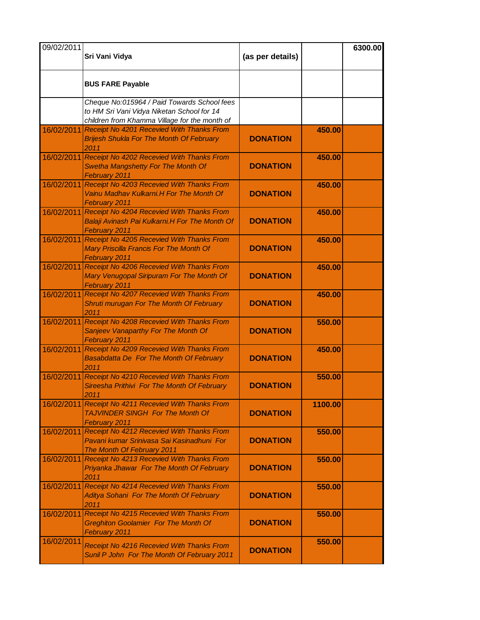| 09/02/2011 | Sri Vani Vidya                                                                                                                             | (as per details) |         | 6300.00 |
|------------|--------------------------------------------------------------------------------------------------------------------------------------------|------------------|---------|---------|
|            | <b>BUS FARE Payable</b>                                                                                                                    |                  |         |         |
|            | Cheque No:015964 / Paid Towards School fees<br>to HM Sri Vani Vidya Niketan School for 14<br>children from Khamma Village for the month of |                  |         |         |
|            | 16/02/2011 Receipt No 4201 Recevied With Thanks From<br><b>Brijesh Shukla For The Month Of February</b><br>2011                            | <b>DONATION</b>  | 450.00  |         |
|            | 16/02/2011 Receipt No 4202 Recevied With Thanks From<br>Swetha Mangshetty For The Month Of<br>February 2011                                | <b>DONATION</b>  | 450.00  |         |
| 16/02/2011 | Receipt No 4203 Recevied With Thanks From<br>Vainu Madhav Kulkarni.H For The Month Of<br>February 2011                                     | <b>DONATION</b>  | 450.00  |         |
|            | 16/02/2011 Receipt No 4204 Recevied With Thanks From<br>Balaji Avinash Pai Kulkarni.H For The Month Of<br>February 2011                    | <b>DONATION</b>  | 450.00  |         |
| 16/02/2011 | Receipt No 4205 Recevied With Thanks From<br>Mary Priscilla Francis For The Month Of<br>February 2011                                      | <b>DONATION</b>  | 450.00  |         |
| 16/02/2011 | Receipt No 4206 Recevied With Thanks From<br>Mary Venugopal Siripuram For The Month Of<br>February 2011                                    | <b>DONATION</b>  | 450.00  |         |
| 16/02/2011 | Receipt No 4207 Recevied With Thanks From<br>Shruti murugan For The Month Of February<br>2011                                              | <b>DONATION</b>  | 450.00  |         |
|            | 16/02/2011 Receipt No 4208 Recevied With Thanks From<br>Sanjeev Vanaparthy For The Month Of<br>February 2011                               | <b>DONATION</b>  | 550.00  |         |
| 16/02/2011 | Receipt No 4209 Recevied With Thanks From<br>Basabdatta De For The Month Of February<br>2011                                               | <b>DONATION</b>  | 450.00  |         |
| 16/02/2011 | Receipt No 4210 Recevied With Thanks From<br>Sireesha Prithivi For The Month Of February<br>2011                                           | <b>DONATION</b>  | 550.00  |         |
| 16/02/2011 | Receipt No 4211 Recevied With Thanks From<br><b>TAJVINDER SINGH For The Month Of</b><br>February 2011                                      | <b>DONATION</b>  | 1100.00 |         |
| 16/02/2011 | Receipt No 4212 Recevied With Thanks From<br>Pavani kumar Sriniyasa Sai Kasinadhuni For<br>The Month Of February 2011                      | <b>DONATION</b>  | 550.00  |         |
| 16/02/2011 | Receipt No 4213 Recevied With Thanks From<br>Priyanka Jhawar For The Month Of February<br>2011                                             | <b>DONATION</b>  | 550.00  |         |
|            | 16/02/2011 Receipt No 4214 Recevied With Thanks From<br>Aditya Sohani For The Month Of February<br>2011                                    | <b>DONATION</b>  | 550.00  |         |
| 16/02/2011 | Receipt No 4215 Recevied With Thanks From<br><b>Greghiton Goolamier For The Month Of</b><br>February 2011                                  | <b>DONATION</b>  | 550.00  |         |
| 16/02/2011 | Receipt No 4216 Recevied With Thanks From<br>Sunil P John For The Month Of February 2011                                                   | <b>DONATION</b>  | 550.00  |         |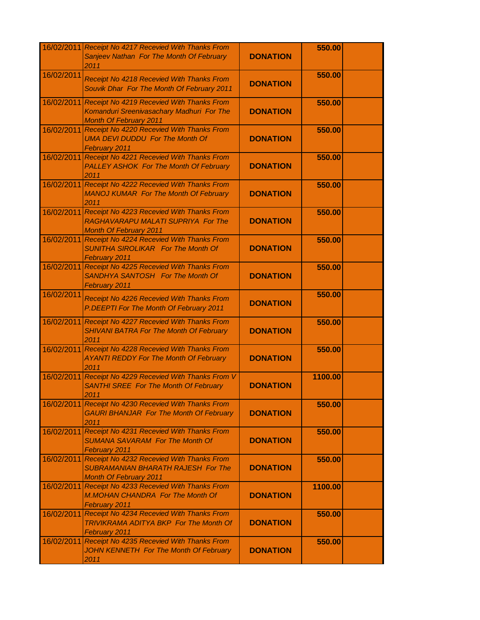|            | 16/02/2011 Receipt No 4217 Recevied With Thanks From<br>Sanjeev Nathan For The Month Of February<br>2011                    | <b>DONATION</b> | 550.00  |  |
|------------|-----------------------------------------------------------------------------------------------------------------------------|-----------------|---------|--|
| 16/02/2011 | Receipt No 4218 Recevied With Thanks From<br>Souvik Dhar For The Month Of February 2011                                     | <b>DONATION</b> | 550.00  |  |
| 16/02/2011 | Receipt No 4219 Recevied With Thanks From<br>Komanduri Sreenivasachary Madhuri For The<br><b>Month Of February 2011</b>     | <b>DONATION</b> | 550.00  |  |
|            | 16/02/2011 Receipt No 4220 Recevied With Thanks From<br><b>UMA DEVI DUDDU For The Month Of</b><br>February 2011             | <b>DONATION</b> | 550.00  |  |
|            | 16/02/2011 Receipt No 4221 Recevied With Thanks From<br><b>PALLEY ASHOK For The Month Of February</b><br>2011               | <b>DONATION</b> | 550.00  |  |
|            | 16/02/2011 Receipt No 4222 Recevied With Thanks From<br><b>MANOJ KUMAR For The Month Of February</b><br>2011                | <b>DONATION</b> | 550.00  |  |
|            | 16/02/2011 Receipt No 4223 Recevied With Thanks From<br>RAGHAVARAPU MALATI SUPRIYA For The<br><b>Month Of February 2011</b> | <b>DONATION</b> | 550.00  |  |
|            | 16/02/2011 Receipt No 4224 Recevied With Thanks From<br><b>SUNITHA SIROLIKAR For The Month Of</b><br>February 2011          | <b>DONATION</b> | 550.00  |  |
| 16/02/2011 | Receipt No 4225 Recevied With Thanks From<br><b>SANDHYA SANTOSH For The Month Of</b><br>February 2011                       | <b>DONATION</b> | 550.00  |  |
| 16/02/2011 | Receipt No 4226 Recevied With Thanks From<br>P.DEEPTI For The Month Of February 2011                                        | <b>DONATION</b> | 550.00  |  |
|            | 16/02/2011 Receipt No 4227 Recevied With Thanks From<br><b>SHIVANI BATRA For The Month Of February</b><br>2011              | <b>DONATION</b> | 550.00  |  |
|            | 16/02/2011 Receipt No 4228 Recevied With Thanks From<br><b>AYANTI REDDY For The Month Of February</b><br>2011               | <b>DONATION</b> | 550.00  |  |
|            | 16/02/2011 Receipt No 4229 Recevied With Thanks From V<br><b>SANTHI SREE For The Month Of February</b><br>2011              | <b>DONATION</b> | 1100.00 |  |
| 16/02/2011 | Receipt No 4230 Recevied With Thanks From<br><b>GAURI BHANJAR For The Month Of February</b><br>2011                         | <b>DONATION</b> | 550.00  |  |
| 16/02/2011 | Receipt No 4231 Recevied With Thanks From<br><b>SUMANA SAVARAM For The Month Of</b><br>February 2011                        | <b>DONATION</b> | 550.00  |  |
| 16/02/2011 | Receipt No 4232 Recevied With Thanks From<br><b>SUBRAMANIAN BHARATH RAJESH For The</b><br><b>Month Of February 2011</b>     | <b>DONATION</b> | 550.00  |  |
| 16/02/2011 | Receipt No 4233 Recevied With Thanks From<br>M.MOHAN CHANDRA For The Month Of<br>February 2011                              | <b>DONATION</b> | 1100.00 |  |
|            | 16/02/2011 Receipt No 4234 Recevied With Thanks From<br>TRIVIKRAMA ADITYA BKP For The Month Of<br>February 2011             | <b>DONATION</b> | 550.00  |  |
| 16/02/2011 | Receipt No 4235 Recevied With Thanks From<br>JOHN KENNETH For The Month Of February<br>2011                                 | <b>DONATION</b> | 550.00  |  |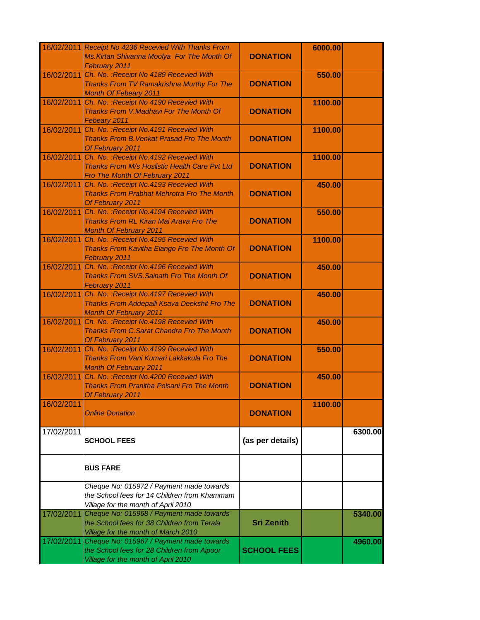|            | 16/02/2011 Receipt No 4236 Recevied With Thanks From<br>Ms. Kirtan Shivanna Moolya For The Month Of                             | <b>DONATION</b>    | 6000.00 |         |
|------------|---------------------------------------------------------------------------------------------------------------------------------|--------------------|---------|---------|
| 16/02/2011 | February 2011<br>Ch. No.: Receipt No 4189 Recevied With                                                                         |                    | 550.00  |         |
|            | Thanks From TV Ramakrishna Murthy For The<br><b>Month Of Febeary 2011</b>                                                       | <b>DONATION</b>    |         |         |
| 16/02/2011 | Ch. No. : Receipt No 4190 Recevied With<br>Thanks From V.Madhavi For The Month Of                                               | <b>DONATION</b>    | 1100.00 |         |
| 16/02/2011 | Febeary 2011<br>Ch. No. : Receipt No. 4191 Recevied With<br>Thanks From B. Venkat Prasad Fro The Month                          | <b>DONATION</b>    | 1100.00 |         |
|            | Of February 2011                                                                                                                |                    |         |         |
| 16/02/2011 | Ch. No. : Receipt No.4192 Recevied With<br>Thanks From M/s Hoslistic Health Care Pvt Ltd<br>Fro The Month Of February 2011      | <b>DONATION</b>    | 1100.00 |         |
| 16/02/2011 | Ch. No.: Receipt No.4193 Recevied With<br><b>Thanks From Prabhat Mehrotra Fro The Month</b><br>Of February 2011                 | <b>DONATION</b>    | 450.00  |         |
| 16/02/2011 | Ch. No. : Receipt No. 4194 Recevied With<br><b>Thanks From RL Kiran Mai Arava Fro The</b><br><b>Month Of February 2011</b>      | <b>DONATION</b>    | 550.00  |         |
| 16/02/2011 | Ch. No. : Receipt No. 4195 Recevied With<br>Thanks From Kavitha Elango Fro The Month Of<br>February 2011                        | <b>DONATION</b>    | 1100.00 |         |
| 16/02/2011 | Ch. No. : Receipt No. 4196 Recevied With<br><b>Thanks From SVS. Sainath Fro The Month Of</b><br>February 2011                   | <b>DONATION</b>    | 450.00  |         |
| 16/02/2011 | Ch. No. : Receipt No.4197 Recevied With<br>Thanks From Addepalli Ksava Deekshit Fro The<br><b>Month Of February 2011</b>        | <b>DONATION</b>    | 450.00  |         |
| 16/02/2011 | Ch. No. : Receipt No.4198 Recevied With<br><b>Thanks From C.Sarat Chandra Fro The Month</b><br>Of February 2011                 | <b>DONATION</b>    | 450.00  |         |
| 16/02/2011 | Ch. No. : Receipt No. 4199 Recevied With<br>Thanks From Vani Kumari Lakkakula Fro The<br><b>Month Of February 2011</b>          | <b>DONATION</b>    | 550.00  |         |
| 16/02/2011 | Ch. No. : Receipt No. 4200 Recevied With<br><b>Thanks From Pranitha Polsani Fro The Month</b><br>Of February 2011               | <b>DONATION</b>    | 450.00  |         |
| 16/02/2011 | <b>Online Donation</b>                                                                                                          | <b>DONATION</b>    | 1100.00 |         |
| 17/02/2011 | <b>SCHOOL FEES</b>                                                                                                              | (as per details)   |         | 6300.00 |
|            | <b>BUS FARE</b>                                                                                                                 |                    |         |         |
|            | Cheque No: 015972 / Payment made towards<br>the School fees for 14 Children from Khammam<br>Village for the month of April 2010 |                    |         |         |
| 17/02/2011 | Cheque No: 015968 / Payment made towards<br>the School fees for 38 Children from Terala<br>Village for the month of March 2010  | <b>Sri Zenith</b>  |         | 5340.00 |
| 17/02/2011 | Cheque No: 015967 / Payment made towards<br>the School fees for 28 Children from Aipoor<br>Village for the month of April 2010  | <b>SCHOOL FEES</b> |         | 4960.00 |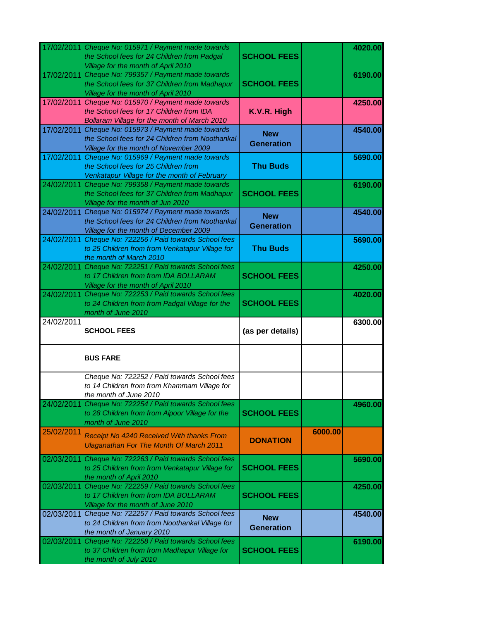| 17/02/2011 | Cheque No: 015971 / Payment made towards<br>the School fees for 24 Children from Padgal<br>Village for the month of April 2010                                               | <b>SCHOOL FEES</b>              |         | 4020.00 |
|------------|------------------------------------------------------------------------------------------------------------------------------------------------------------------------------|---------------------------------|---------|---------|
|            | 17/02/2011 Cheque No: 799357 / Payment made towards<br>the School fees for 37 Children from Madhapur<br>Village for the month of April 2010                                  | <b>SCHOOL FEES</b>              |         | 6190.00 |
| 17/02/2011 | Cheque No: 015970 / Payment made towards<br>the School fees for 17 Children from IDA<br>Bollaram Village for the month of March 2010                                         | K.V.R. High                     |         | 4250.00 |
| 17/02/2011 | Cheque No: 015973 / Payment made towards<br>the School fees for 24 Children from Noothankal<br>Village for the month of November 2009                                        | <b>New</b><br><b>Generation</b> |         | 4540.00 |
| 17/02/2011 | Cheque No: 015969 / Payment made towards<br>the School fees for 25 Children from<br>Venkatapur Village for the month of February                                             | <b>Thu Buds</b>                 |         | 5690.00 |
|            | 24/02/2011 Cheque No: 799358 / Payment made towards<br>the School fees for 37 Children from Madhapur<br>Village for the month of Jun 2010                                    | <b>SCHOOL FEES</b>              |         | 6190.00 |
| 24/02/2011 | Cheque No: 015974 / Payment made towards<br>the School fees for 24 Children from Noothankal<br>Village for the month of December 2009                                        | <b>New</b><br><b>Generation</b> |         | 4540.00 |
| 24/02/2011 | Cheque No: 722256 / Paid towards School fees<br>to 25 Children from from Venkatapur Village for<br>the month of March 2010                                                   | <b>Thu Buds</b>                 |         | 5690.00 |
|            | 24/02/2011 Cheque No: 722251 / Paid towards School fees<br>to 17 Children from from IDA BOLLARAM<br>Village for the month of April 2010                                      | <b>SCHOOL FEES</b>              |         | 4250.00 |
| 24/02/2011 | Cheque No: 722253 / Paid towards School fees<br>to 24 Children from from Padgal Village for the                                                                              | <b>SCHOOL FEES</b>              |         | 4020.00 |
|            |                                                                                                                                                                              |                                 |         |         |
| 24/02/2011 | month of June 2010<br><b>SCHOOL FEES</b>                                                                                                                                     | (as per details)                |         | 6300.00 |
|            | <b>BUS FARE</b>                                                                                                                                                              |                                 |         |         |
|            | Cheque No: 722252 / Paid towards School fees<br>to 14 Children from from Khammam Village for                                                                                 |                                 |         |         |
| 24/02/2011 | the month of June 2010<br>Cheque No: 722254 / Paid towards School fees<br>to 28 Children from from Aipoor Village for the                                                    | <b>SCHOOL FEES</b>              |         | 4960.00 |
| 25/02/2011 | month of June 2010<br>Receipt No 4240 Received With thanks From<br><b>Ulaganathan For The Month Of March 2011</b>                                                            | <b>DONATION</b>                 | 6000.00 |         |
| 02/03/2011 | Cheque No: 722263 / Paid towards School fees<br>to 25 Children from from Venkatapur Village for                                                                              | <b>SCHOOL FEES</b>              |         | 5690.00 |
| 02/03/2011 | the month of April 2010<br>Cheque No: 722259 / Paid towards School fees<br>to 17 Children from from IDA BOLLARAM<br>Village for the month of June 2010                       | <b>SCHOOL FEES</b>              |         | 4250.00 |
| 02/03/2011 | Cheque No: 722257 / Paid towards School fees<br>to 24 Children from from Noothankal Village for<br>the month of January 2010<br>Cheque No: 722258 / Paid towards School fees | <b>New</b><br><b>Generation</b> |         | 4540.00 |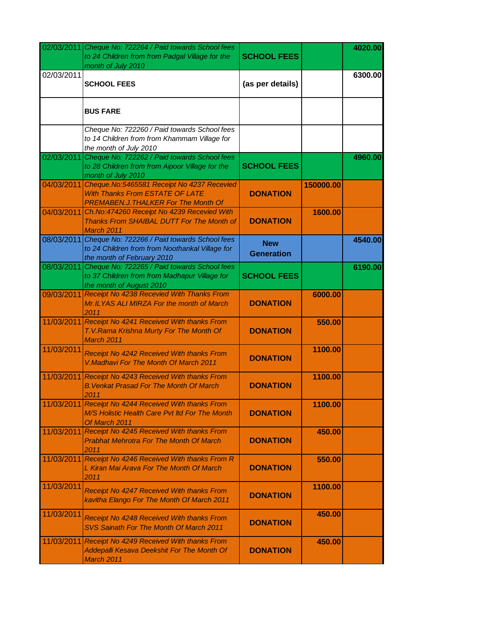| 02/03/2011 | Cheque No: 722264 / Paid towards School fees<br>to 24 Children from from Padgal Village for the<br>month of July 2010                | <b>SCHOOL FEES</b>              |           | 4020.00 |
|------------|--------------------------------------------------------------------------------------------------------------------------------------|---------------------------------|-----------|---------|
| 02/03/2011 | <b>SCHOOL FEES</b>                                                                                                                   | (as per details)                |           | 6300.00 |
|            | <b>BUS FARE</b>                                                                                                                      |                                 |           |         |
|            | Cheque No: 722260 / Paid towards School fees<br>to 14 Children from from Khammam Village for<br>the month of July 2010               |                                 |           |         |
|            | 02/03/2011 Cheque No: 722262 / Paid towards School fees<br>to 28 Children from from Aipoor Village for the<br>month of July 2010     | <b>SCHOOL FEES</b>              |           | 4960.00 |
|            | 04/03/2011 Cheque.No:5465581 Receipt No 4237 Recevied<br>With Thanks From ESTATE OF LATE<br>PREMABEN.J. THALKER For The Month Of     | <b>DONATION</b>                 | 150000.00 |         |
| 04/03/2011 | Ch.No:474260 Receipt No 4239 Recevied With<br>Thanks From SHAIBAL DUTT For The Month of<br>March 2011                                | <b>DONATION</b>                 | 1600.00   |         |
| 08/03/2011 | Cheque No: 722266 / Paid towards School fees<br>to 24 Children from from Noothankal Village for<br>the month of February 2010        | <b>New</b><br><b>Generation</b> |           | 4540.00 |
|            | 08/03/2011 Cheque No: 722265 / Paid towards School fees<br>to 37 Children from from Madhapur Village for<br>the month of August 2010 | <b>SCHOOL FEES</b>              |           | 6190.00 |
| 09/03/2011 | Receipt No 4238 Recevied With Thanks From<br>Mr.ILYAS ALI MIRZA For the month of March<br>2011                                       | <b>DONATION</b>                 | 6000.00   |         |
|            | 11/03/2011 Receipt No 4241 Received With thanks From<br>T.V.Rama Krishna Murty For The Month Of<br>March 2011                        | <b>DONATION</b>                 | 550.00    |         |
| 11/03/2011 | Receipt No 4242 Received With thanks From<br>V.Madhavi For The Month Of March 2011                                                   | <b>DONATION</b>                 | 1100.00   |         |
| 11/03/2011 | Receipt No 4243 Received With thanks From<br><b>B. Venkat Prasad For The Month Of March</b><br>2011                                  | <b>DONATION</b>                 | 1100.00   |         |
| 11/03/2011 | Receipt No 4244 Received With thanks From<br>M/S Holistic Health Care Pyt Itd For The Month<br>Of March 2011                         | <b>DONATION</b>                 | 1100.00   |         |
| 11/03/2011 | Receipt No 4245 Received With thanks From<br><b>Prabhat Mehrotra For The Month Of March</b><br>2011                                  | <b>DONATION</b>                 | 450.00    |         |
| 11/03/2011 | Receipt No 4246 Received With thanks From R<br>L Kiran Mai Arava For The Month Of March<br>2011                                      | <b>DONATION</b>                 | 550.00    |         |
| 11/03/2011 | Receipt No 4247 Received With thanks From<br>kavitha Elango For The Month Of March 2011                                              | <b>DONATION</b>                 | 1100.00   |         |
| 11/03/2011 | Receipt No 4248 Received With thanks From<br><b>SVS Sainath For The Month Of March 2011</b>                                          | <b>DONATION</b>                 | 450.00    |         |
| 11/03/2011 | Receipt No 4249 Received With thanks From<br>Addepalli Kesava Deekshit For The Month Of<br>March 2011                                | <b>DONATION</b>                 | 450.00    |         |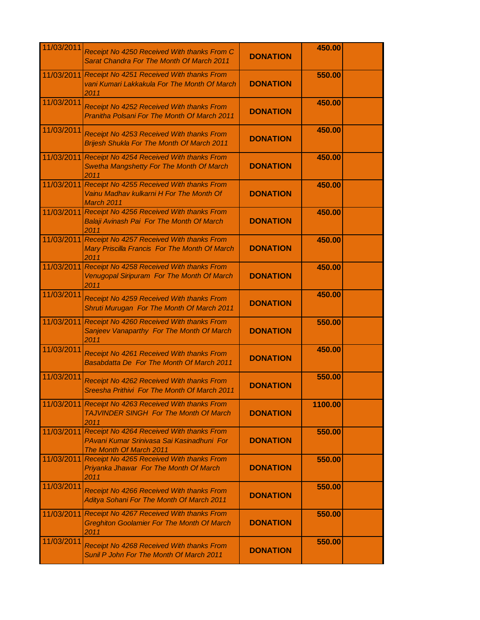| 11/03/2011 | Receipt No 4250 Received With thanks From C<br>Sarat Chandra For The Month Of March 2011                           | <b>DONATION</b> | 450.00  |  |
|------------|--------------------------------------------------------------------------------------------------------------------|-----------------|---------|--|
| 11/03/2011 | Receipt No 4251 Received With thanks From<br>vani Kumari Lakkakula For The Month Of March<br>2011                  | <b>DONATION</b> | 550.00  |  |
| 11/03/2011 | Receipt No 4252 Received With thanks From<br><b>Pranitha Polsani For The Month Of March 2011</b>                   | <b>DONATION</b> | 450.00  |  |
| 11/03/2011 | Receipt No 4253 Received With thanks From<br><b>Brijesh Shukla For The Month Of March 2011</b>                     | <b>DONATION</b> | 450.00  |  |
|            | 11/03/2011 Receipt No 4254 Received With thanks From<br>Swetha Mangshetty For The Month Of March<br>2011           | <b>DONATION</b> | 450.00  |  |
| 11/03/2011 | Receipt No 4255 Received With thanks From<br>Vainu Madhav kulkarni H For The Month Of<br><b>March 2011</b>         | <b>DONATION</b> | 450.00  |  |
| 11/03/2011 | Receipt No 4256 Received With thanks From<br>Balaji Avinash Pai For The Month Of March<br>2011                     | <b>DONATION</b> | 450.00  |  |
| 11/03/2011 | Receipt No 4257 Received With thanks From<br>Mary Priscilla Francis For The Month Of March<br>2011                 | <b>DONATION</b> | 450.00  |  |
| 11/03/2011 | Receipt No 4258 Received With thanks From<br>Venugopal Siripuram For The Month Of March<br>2011                    | <b>DONATION</b> | 450.00  |  |
| 11/03/2011 | Receipt No 4259 Received With thanks From<br>Shruti Murugan For The Month Of March 2011                            | <b>DONATION</b> | 450.00  |  |
| 11/03/2011 | Receipt No 4260 Received With thanks From<br>Sanjeev Vanaparthy For The Month Of March<br>2011                     | <b>DONATION</b> | 550.00  |  |
| 11/03/2011 | Receipt No 4261 Received With thanks From<br>Basabdatta De For The Month Of March 2011                             | <b>DONATION</b> | 450.00  |  |
| 11/03/2011 | Receipt No 4262 Received With thanks From<br>Sreesha Prithivi For The Month Of March 2011                          | <b>DONATION</b> | 550.00  |  |
| 11/03/2011 | Receipt No 4263 Received With thanks From<br><b>TAJVINDER SINGH For The Month Of March</b><br>2011                 | <b>DONATION</b> | 1100.00 |  |
| 11/03/2011 | Receipt No 4264 Received With thanks From<br>PAvani Kumar Sriniyasa Sai Kasinadhuni For<br>The Month Of March 2011 | <b>DONATION</b> | 550.00  |  |
| 11/03/2011 | Receipt No 4265 Received With thanks From<br>Priyanka Jhawar For The Month Of March<br>2011                        | <b>DONATION</b> | 550.00  |  |
| 11/03/2011 | Receipt No 4266 Received With thanks From<br>Aditya Sohani For The Month Of March 2011                             | <b>DONATION</b> | 550.00  |  |
| 11/03/2011 | Receipt No 4267 Received With thanks From<br><b>Greghiton Goolamier For The Month Of March</b><br>2011             | <b>DONATION</b> | 550.00  |  |
| 11/03/2011 | Receipt No 4268 Received With thanks From<br>Sunil P John For The Month Of March 2011                              | <b>DONATION</b> | 550.00  |  |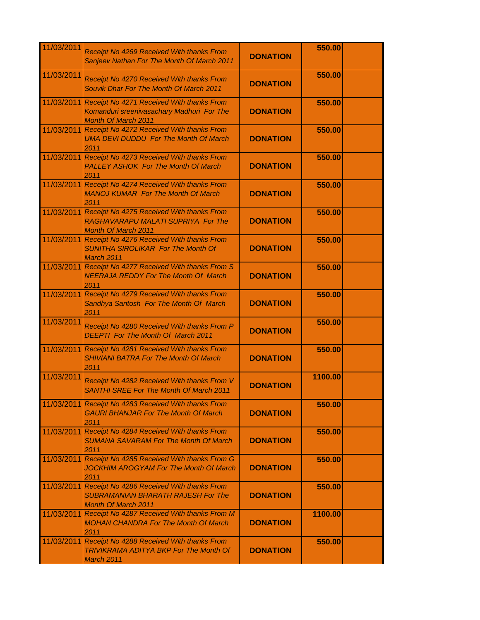| 11/03/2011 | Receipt No 4269 Received With thanks From<br>Sanjeev Nathan For The Month Of March 2011                                  | <b>DONATION</b> | 550.00  |  |
|------------|--------------------------------------------------------------------------------------------------------------------------|-----------------|---------|--|
| 11/03/2011 | Receipt No 4270 Received With thanks From<br>Souvik Dhar For The Month Of March 2011                                     | <b>DONATION</b> | 550.00  |  |
| 11/03/2011 | Receipt No 4271 Received With thanks From<br>Komanduri sreenivasachary Madhuri For The<br><b>Month Of March 2011</b>     | <b>DONATION</b> | 550.00  |  |
|            | 11/03/2011 Receipt No 4272 Received With thanks From<br><b>UMA DEVI DUDDU For The Month Of March</b><br>2011             | <b>DONATION</b> | 550.00  |  |
|            | 11/03/2011 Receipt No 4273 Received With thanks From<br><b>PALLEY ASHOK For The Month Of March</b><br>2011               | <b>DONATION</b> | 550.00  |  |
|            | 11/03/2011 Receipt No 4274 Received With thanks From<br><b>MANOJ KUMAR For The Month Of March</b><br>2011                | <b>DONATION</b> | 550.00  |  |
|            | 11/03/2011 Receipt No 4275 Received With thanks From<br>RAGHAVARAPU MALATI SUPRIYA For The<br><b>Month Of March 2011</b> | <b>DONATION</b> | 550.00  |  |
|            | 11/03/2011 Receipt No 4276 Received With thanks From<br><b>SUNITHA SIROLIKAR For The Month Of</b><br>March 2011          | <b>DONATION</b> | 550.00  |  |
| 11/03/2011 | Receipt No 4277 Received With thanks From S<br><b>NEERAJA REDDY For The Month Of March</b><br>2011                       | <b>DONATION</b> | 550.00  |  |
| 11/03/2011 | Receipt No 4279 Received With thanks From<br>Sandhya Santosh For The Month Of March<br>2011                              | <b>DONATION</b> | 550.00  |  |
| 11/03/2011 | Receipt No 4280 Received With thanks From P<br><b>DEEPTI</b> For The Month Of March 2011                                 | <b>DONATION</b> | 550.00  |  |
|            | 11/03/2011 Receipt No 4281 Received With thanks From<br><b>SHIVIANI BATRA For The Month Of March</b><br>2011             | <b>DONATION</b> | 550.00  |  |
| 11/03/2011 | Receipt No 4282 Received With thanks From V<br><b>SANTHI SREE For The Month Of March 2011</b>                            | <b>DONATION</b> | 1100.00 |  |
|            | 11/03/2011 Receipt No 4283 Received With thanks From<br><b>GAURI BHANJAR For The Month Of March</b><br>2011              | <b>DONATION</b> | 550.00  |  |
| 11/03/2011 | Receipt No 4284 Received With thanks From<br><b>SUMANA SAVARAM For The Month Of March</b><br>2011                        | <b>DONATION</b> | 550.00  |  |
| 11/03/2011 | Receipt No 4285 Received With thanks From G<br><b>JOCKHIM AROGYAM For The Month Of March</b><br>2011                     | <b>DONATION</b> | 550.00  |  |
| 11/03/2011 | Receipt No 4286 Received With thanks From<br><b>SUBRAMANIAN BHARATH RAJESH For The</b><br><b>Month Of March 2011</b>     | <b>DONATION</b> | 550.00  |  |
|            | 11/03/2011 Receipt No 4287 Received With thanks From M<br><b>MOHAN CHANDRA For The Month Of March</b><br>2011            | <b>DONATION</b> | 1100.00 |  |
| 11/03/2011 | Receipt No 4288 Received With thanks From<br><b>TRIVIKRAMA ADITYA BKP For The Month Of</b><br>March 2011                 | <b>DONATION</b> | 550.00  |  |